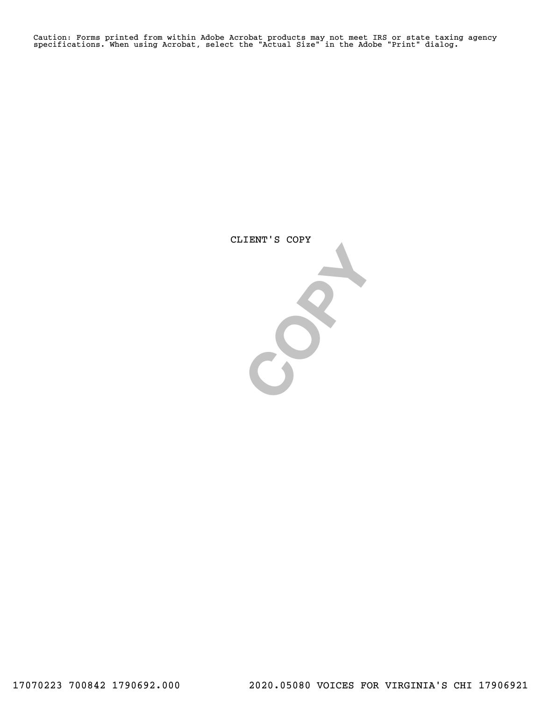Caution: Forms printed from within Adobe Acrobat products may not meet IRS or state taxing agency specifications. When using Acrobat, select the "Actual Size" in the Adobe "Print" dialog.

CLIENT'S COPY

 $S^2$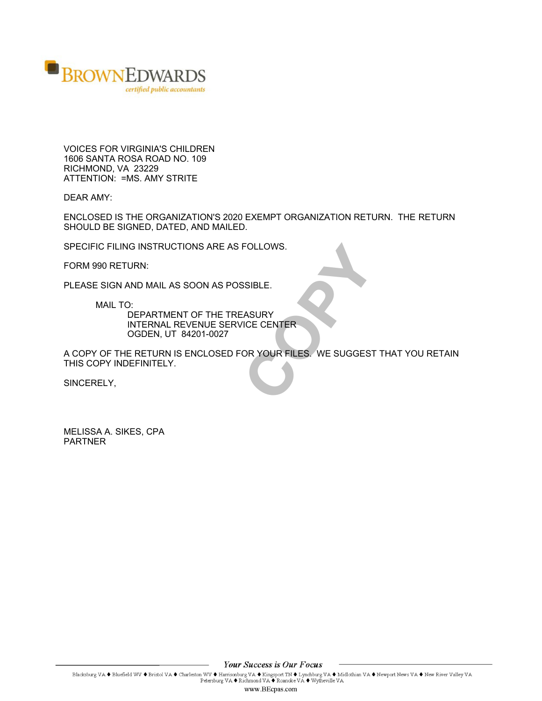

VOICES FOR VIRGINIA'S CHILDREN 1606 SANTA ROSA ROAD NO. 109 RICHMOND, VA 23229 ATTENTION: =MS. AMY STRITE

DEAR AMY:

ENCLOSED IS THE ORGANIZATION'S 2020 EXEMPT ORGANIZATION RETURN. THE RETURN SHOULD BE SIGNED, DATED, AND MAILED.

SPECIFIC FILING INSTRUCTIONS ARE AS FOLLOWS.

FORM 990 RETURN:

PLEASE SIGN AND MAIL AS SOON AS POSSIBLE.

MAIL TO:

DEPARTMENT OF THE TREASURY INTERNAL REVENUE SERVICE CENTER OGDEN, UT 84201-0027

FOLLOWS.<br>
SSIBLE.<br>
EASURY<br>
VICE CENTER<br>
OR YOUR FILES. WE SUGGEST A COPY OF THE RETURN IS ENCLOSED FOR YOUR FILES. WE SUGGEST THAT YOU RETAIN THIS COPY INDEFINITELY.

SINCERELY,

MELISSA A. SIKES, CPA PARTNER

**Your Success is Our Focus** 

Blacksburg VA  $\blacklozenge$  Bluefield WV  $\blacklozenge$  Bristol VA  $\blacklozenge$  Charleston WV  $\blacklozenge$  Harrisonburg VA  $\blacklozenge$  Kingsport TN  $\blacklozenge$  Lynchburg VA  $\blacklozenge$  Midlothian VA  $\blacklozenge$  Newport News VA  $\blacklozenge$  New River Valley VA  $\blacklozen$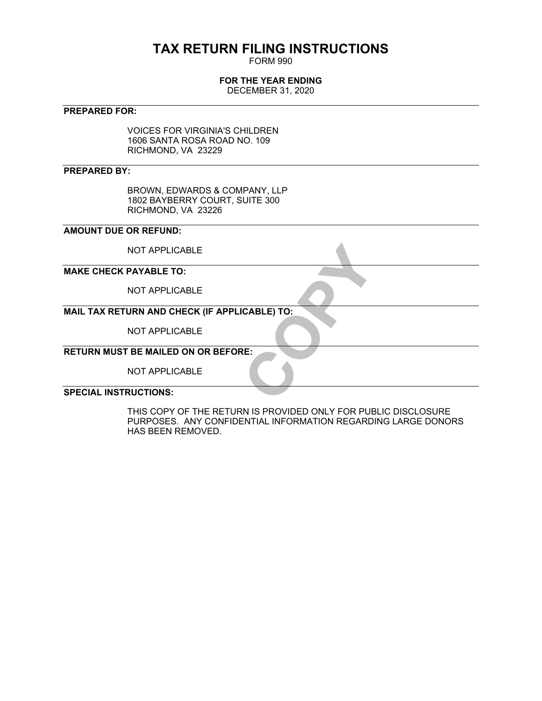# **TAX RETURN FILING INSTRUCTIONS**

FORM 990

### **FOR THE YEAR ENDING**

DECEMBER 31, 2020

#### **PREPARED FOR:**

VOICES FOR VIRGINIA'S CHILDREN 1606 SANTA ROSA ROAD NO. 109 RICHMOND, VA 23229

#### **PREPARED BY:**

BROWN, EDWARDS & COMPANY, LLP 1802 BAYBERRY COURT, SUITE 300 RICHMOND, VA 23226

#### **AMOUNT DUE OR REFUND:**

NOT APPLICABLE

#### **MAKE CHECK PAYABLE TO:**

NOT APPLICABLE

# **CABLE) TO: MAIL TAX RETURN AND CHECK (IF APPLICABLE) TO:**

NOT APPLICABLE

## **RETURN MUST BE MAILED ON OR BEFORE:**

NOT APPLICABLE

#### **SPECIAL INSTRUCTIONS:**

THIS COPY OF THE RETURN IS PROVIDED ONLY FOR PUBLIC DISCLOSURE PURPOSES. ANY CONFIDENTIAL INFORMATION REGARDING LARGE DONORS HAS BEEN REMOVED.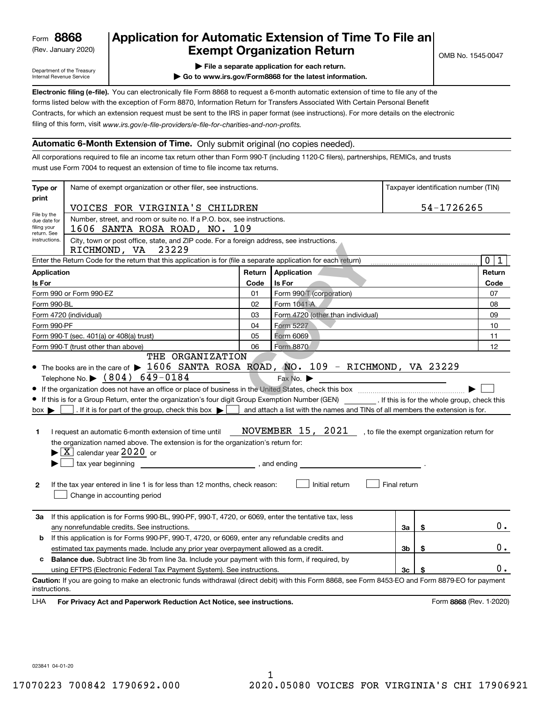(Rev. January 2020)

## **Application for Automatic Extension of Time To File an Exempt Organization Return**

Department of the Treasury Internal Revenue Service

- **| File a separate application for each return.**
- **| Go to www.irs.gov/Form8868 for the latest information.**

**Electronic filing (e-file).**  You can electronically file Form 8868 to request a 6-month automatic extension of time to file any of the filing of this form, visit www.irs.gov/e-file-providers/e-file-for-charities-and-non-profits. forms listed below with the exception of Form 8870, Information Return for Transfers Associated With Certain Personal Benefit Contracts, for which an extension request must be sent to the IRS in paper format (see instructions). For more details on the electronic

#### **Automatic 6-Month Extension of Time.** Only submit original (no copies needed).

All corporations required to file an income tax return other than Form 990-T (including 1120-C filers), partnerships, REMICs, and trusts must use Form 7004 to request an extension of time to file income tax returns.

| Type or                                                   | Name of exempt organization or other filer, see instructions.                                                                                                                                                                                                                                                                                                                                                                                                                                                                                                                                                                                                     |        |                                                                                                                                                                              |              |            | Taxpayer identification number (TIN) |  |
|-----------------------------------------------------------|-------------------------------------------------------------------------------------------------------------------------------------------------------------------------------------------------------------------------------------------------------------------------------------------------------------------------------------------------------------------------------------------------------------------------------------------------------------------------------------------------------------------------------------------------------------------------------------------------------------------------------------------------------------------|--------|------------------------------------------------------------------------------------------------------------------------------------------------------------------------------|--------------|------------|--------------------------------------|--|
| print                                                     | VOICES FOR VIRGINIA'S CHILDREN                                                                                                                                                                                                                                                                                                                                                                                                                                                                                                                                                                                                                                    |        |                                                                                                                                                                              |              | 54-1726265 |                                      |  |
| File by the<br>due date for<br>filing your<br>return. See | Number, street, and room or suite no. If a P.O. box, see instructions.<br>1606 SANTA ROSA ROAD, NO. 109                                                                                                                                                                                                                                                                                                                                                                                                                                                                                                                                                           |        |                                                                                                                                                                              |              |            |                                      |  |
| instructions.                                             | City, town or post office, state, and ZIP code. For a foreign address, see instructions.<br>RICHMOND, VA<br>23229                                                                                                                                                                                                                                                                                                                                                                                                                                                                                                                                                 |        |                                                                                                                                                                              |              |            |                                      |  |
|                                                           | Enter the Return Code for the return that this application is for (file a separate application for each return)                                                                                                                                                                                                                                                                                                                                                                                                                                                                                                                                                   |        |                                                                                                                                                                              |              |            | $\mathbf 0$<br>1                     |  |
| <b>Application</b>                                        |                                                                                                                                                                                                                                                                                                                                                                                                                                                                                                                                                                                                                                                                   | Return | Application                                                                                                                                                                  |              |            | Return                               |  |
| Is For                                                    |                                                                                                                                                                                                                                                                                                                                                                                                                                                                                                                                                                                                                                                                   | Code   | Is For                                                                                                                                                                       |              |            | Code                                 |  |
|                                                           | Form 990 or Form 990-EZ                                                                                                                                                                                                                                                                                                                                                                                                                                                                                                                                                                                                                                           | 01     | Form 990-T (corporation)                                                                                                                                                     |              |            | 07                                   |  |
| Form 990-BL                                               |                                                                                                                                                                                                                                                                                                                                                                                                                                                                                                                                                                                                                                                                   | 02     | Form 1041-A                                                                                                                                                                  |              |            | 08                                   |  |
|                                                           | Form 4720 (individual)                                                                                                                                                                                                                                                                                                                                                                                                                                                                                                                                                                                                                                            | 03     | Form 4720 (other than individual)                                                                                                                                            |              |            | 09                                   |  |
| Form 990-PF                                               |                                                                                                                                                                                                                                                                                                                                                                                                                                                                                                                                                                                                                                                                   | 04     | Form 5227                                                                                                                                                                    |              |            | 10                                   |  |
|                                                           | Form 990-T (sec. 401(a) or 408(a) trust)                                                                                                                                                                                                                                                                                                                                                                                                                                                                                                                                                                                                                          | 05     | Form 6069                                                                                                                                                                    |              |            | 11                                   |  |
|                                                           | Form 990-T (trust other than above)<br>THE ORGANIZATION                                                                                                                                                                                                                                                                                                                                                                                                                                                                                                                                                                                                           | 06     | Form 8870                                                                                                                                                                    |              |            | 12                                   |  |
| $box \blacktriangleright$<br>1<br>$\mathbf{2}$            | Telephone No. $\triangleright$ (804) 649-0184<br>• If this is for a Group Return, enter the organization's four digit Group Exemption Number (GEN) [167]. If this is for the whole group, check this<br>. If it is for part of the group, check this box $\blacktriangleright$<br>I request an automatic 6-month extension of time until<br>the organization named above. The extension is for the organization's return for:<br>$\blacktriangleright$ $\boxed{\text{X}}$ calendar year 2020 or<br>tax year beginning<br>$\frac{1}{2}$ , and ending<br>If the tax year entered in line 1 is for less than 12 months, check reason:<br>Change in accounting period |        | Fax No.<br>and attach a list with the names and TINs of all members the extension is for.<br>NOVEMBER 15, 2021, to file the exempt organization return for<br>Initial return | Final return |            |                                      |  |
| За                                                        | If this application is for Forms 990-BL, 990-PF, 990-T, 4720, or 6069, enter the tentative tax, less<br>any nonrefundable credits. See instructions.                                                                                                                                                                                                                                                                                                                                                                                                                                                                                                              |        |                                                                                                                                                                              | 3a           | \$         | $0$ .                                |  |
| b                                                         | If this application is for Forms 990-PF, 990-T, 4720, or 6069, enter any refundable credits and                                                                                                                                                                                                                                                                                                                                                                                                                                                                                                                                                                   |        |                                                                                                                                                                              |              |            |                                      |  |
|                                                           | estimated tax payments made. Include any prior year overpayment allowed as a credit.                                                                                                                                                                                                                                                                                                                                                                                                                                                                                                                                                                              |        |                                                                                                                                                                              | 3b           | \$         | 0.                                   |  |
| c                                                         | <b>Balance due.</b> Subtract line 3b from line 3a. Include your payment with this form, if required, by                                                                                                                                                                                                                                                                                                                                                                                                                                                                                                                                                           |        |                                                                                                                                                                              |              |            |                                      |  |
|                                                           | using EFTPS (Electronic Federal Tax Payment System). See instructions.                                                                                                                                                                                                                                                                                                                                                                                                                                                                                                                                                                                            |        |                                                                                                                                                                              | 3c           | \$         | 0.                                   |  |
| instructions.<br>LHA                                      | Caution: If you are going to make an electronic funds withdrawal (direct debit) with this Form 8868, see Form 8453-EO and Form 8879-EO for payment<br>For Privacy Act and Paperwork Reduction Act Notice, see instructions.                                                                                                                                                                                                                                                                                                                                                                                                                                       |        |                                                                                                                                                                              |              |            | Form 8868 (Rev. 1-2020)              |  |

023841 04-01-20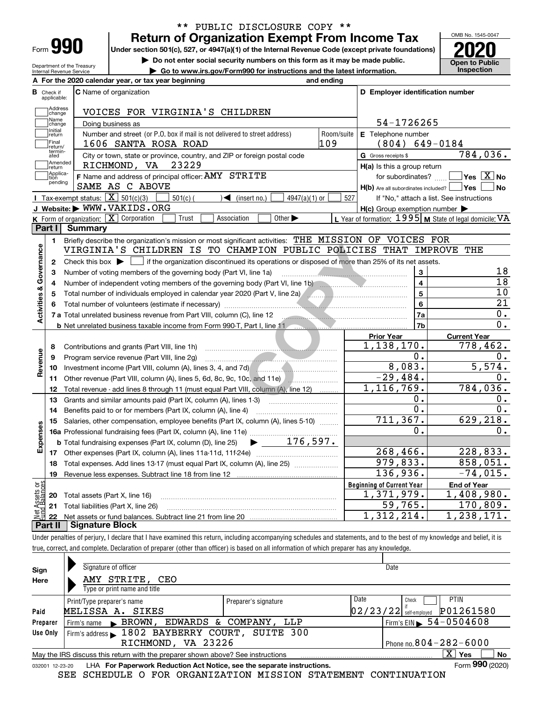| Form |  |
|------|--|

#### **Return of Organization Exempt From Income Tax** \*\* PUBLIC DISCLOSURE COPY \*\*

**Under section 501(c), 527, or 4947(a)(1) of the Internal Revenue Code (except private foundations) 2020**

**| Do not enter social security numbers on this form as it may be made public.**

Department of the Treasury Internal Revenue Service **| Go to www.irs.gov/Form990 for instructions and the latest information. Inspection**

OMB No. 1545-0047 **Open to Public** 

|                         |                                  | A For the 2020 calendar year, or tax year beginning                                                                                                 | and ending |                                                     |                                                           |
|-------------------------|----------------------------------|-----------------------------------------------------------------------------------------------------------------------------------------------------|------------|-----------------------------------------------------|-----------------------------------------------------------|
|                         | <b>B</b> Check if<br>applicable: | <b>C</b> Name of organization                                                                                                                       |            | D Employer identification number                    |                                                           |
|                         | Address<br>Change                | VOICES FOR VIRGINIA'S CHILDREN                                                                                                                      |            |                                                     |                                                           |
|                         | Name<br>change                   | Doing business as                                                                                                                                   |            | 54-1726265                                          |                                                           |
|                         | Initial<br>return                | Number and street (or P.O. box if mail is not delivered to street address)                                                                          | Room/suite | <b>E</b> Telephone number                           |                                                           |
|                         | Final<br>return/                 | 1606 SANTA ROSA ROAD                                                                                                                                | 109        | $(804) 649 - 0184$                                  |                                                           |
|                         | termin-<br>ated                  | City or town, state or province, country, and ZIP or foreign postal code                                                                            |            | G Gross receipts \$                                 | 784,036.                                                  |
|                         | Amended<br>return                | RICHMOND, VA 23229                                                                                                                                  |            | $H(a)$ is this a group return                       |                                                           |
|                         | Applica-<br>tion<br>pending      | F Name and address of principal officer: AMY STRITE<br>SAME AS C ABOVE                                                                              |            | $H(b)$ Are all subordinates included? $\Box$ Yes    | for subordinates? $\Box$ Yes $\boxed{X}$ No<br>l No       |
|                         |                                  | Tax-exempt status: $\boxed{\mathbf{X}}$ 501(c)(3)<br>$\sqrt{\frac{1}{1}}$ (insert no.)<br>$4947(a)(1)$ or<br>$501(c)$ (                             | 527        |                                                     | If "No," attach a list. See instructions                  |
|                         |                                  | J Website: WWW.VAKIDS.ORG                                                                                                                           |            | $H(c)$ Group exemption number $\blacktriangleright$ |                                                           |
|                         |                                  | K Form of organization: $\boxed{\mathbf{X}}$ Corporation<br>Other $\blacktriangleright$<br>Trust<br>Association                                     |            |                                                     | L Year of formation: $1995$ M State of legal domicile: VA |
|                         | Part I                           | <b>Summary</b>                                                                                                                                      |            |                                                     |                                                           |
|                         | 1.                               | Briefly describe the organization's mission or most significant activities: THE MISSION OF VOICES FOR                                               |            |                                                     |                                                           |
| Activities & Governance |                                  | VIRGINIA'S CHILDREN IS TO CHAMPION PUBLIC POLICIES THAT IMPROVE                                                                                     |            |                                                     | THE                                                       |
|                         | $\mathbf{2}$                     | Check this box $\blacktriangleright$ $\blacksquare$ if the organization discontinued its operations or disposed of more than 25% of its net assets. |            |                                                     |                                                           |
|                         | 3                                | Number of voting members of the governing body (Part VI, line 1a)                                                                                   |            | 3                                                   | 18<br>$\overline{18}$                                     |
|                         | 4                                |                                                                                                                                                     |            | $\overline{\mathbf{4}}$                             | 10                                                        |
|                         | 5                                | Total number of individuals employed in calendar year 2020 (Part V, line 2a) [[[[[[[[[[[[[[[[[[[[[[[[[]]]]]]]                                       |            | 5                                                   | $\overline{21}$                                           |
|                         | 6                                |                                                                                                                                                     |            | 6                                                   | $0$ .                                                     |
|                         |                                  | 7 a Total unrelated business revenue from Part VIII, column (C), line 12                                                                            |            | 7a<br>7b                                            | 0.                                                        |
|                         |                                  | <b>b</b> Net unrelated business taxable income from Form 990-T, Part I, line 11<br>. <del>.</del>                                                   |            | <b>Prior Year</b>                                   | <b>Current Year</b>                                       |
|                         | 8                                | Contributions and grants (Part VIII, line 1h)                                                                                                       |            | 1,138,170.                                          | 778, 462.                                                 |
|                         | 9                                | Program service revenue (Part VIII, line 2g)                                                                                                        |            | 0.                                                  | 0.                                                        |
| Revenue                 | 10                               |                                                                                                                                                     |            | 8,083.                                              | $\overline{5,574.}$                                       |
|                         |                                  | 11 Other revenue (Part VIII, column (A), lines 5, 6d, 8c, 9c, 10c, and 11e)                                                                         |            | $\overline{-29}$ , 484.                             | 0.                                                        |
|                         | 12                               | Total revenue - add lines 8 through 11 (must equal Part VIII, column (A), line 12)                                                                  |            | 1,116,769.                                          | 784,036.                                                  |
|                         | 13                               | Grants and similar amounts paid (Part IX, column (A), lines 1-3) <i>manumanonononononon</i>                                                         |            | ο.                                                  | 0.                                                        |
|                         | 14                               | Benefits paid to or for members (Part IX, column (A), line 4)                                                                                       |            | $\overline{0}$ .                                    | $\overline{0}$ .                                          |
|                         | 15                               | Salaries, other compensation, employee benefits (Part IX, column (A), lines 5-10)                                                                   |            | 711, 367.                                           | 629, 218.                                                 |
| Expenses                |                                  |                                                                                                                                                     |            | 0.                                                  | 0.                                                        |
|                         |                                  | $\blacktriangleright$ $\frac{176,597.}{ }$<br><b>b</b> Total fundraising expenses (Part IX, column (D), line 25)                                    |            |                                                     |                                                           |
|                         |                                  |                                                                                                                                                     |            | 268, 466.                                           | 228,833.                                                  |
|                         | 18                               | Total expenses. Add lines 13-17 (must equal Part IX, column (A), line 25) [                                                                         |            | 979,833.                                            | 858,051.                                                  |
|                         | 19                               |                                                                                                                                                     |            | 136,936.                                            | $-74,015.$                                                |
| äğ                      |                                  |                                                                                                                                                     |            | <b>Beginning of Current Year</b>                    | <b>End of Year</b>                                        |
| sets                    |                                  | 20 Total assets (Part X, line 16)                                                                                                                   |            | 1,371,979.                                          | 1,408,980.                                                |
|                         |                                  | 21 Total liabilities (Part X, line 26)                                                                                                              |            | 59,765.                                             | 170,809.                                                  |
|                         | 22                               |                                                                                                                                                     |            | 1,312,214.                                          | $\overline{1,238},171.$                                   |
|                         |                                  | <b>Part II   Signature Block</b>                                                                                                                    |            |                                                     |                                                           |

Under penalties of perjury, I declare that I have examined this return, including accompanying schedules and statements, and to the best of my knowledge and belief, it is true, correct, and complete. Declaration of preparer (other than officer) is based on all information of which preparer has any knowledge.

| Sign            | Signature of officer                                                            |                      | Date                                   |
|-----------------|---------------------------------------------------------------------------------|----------------------|----------------------------------------|
| Here            | AMY STRITE, CEO                                                                 |                      |                                        |
|                 | Type or print name and title                                                    |                      |                                        |
|                 | Print/Type preparer's name                                                      | Preparer's signature | Date<br><b>PTIN</b><br>Check           |
| Paid            | MELISSA A. SIKES                                                                |                      | P01261580<br>$02/23/22$ self-employed  |
| Preparer        | Firm's name BROWN, EDWARDS & COMPANY, LLP                                       |                      | Firm's EIN $\triangleright$ 54-0504608 |
| Use Only        | Firm's address 1802 BAYBERRY COURT, SUITE 300                                   |                      |                                        |
|                 | RICHMOND, VA 23226                                                              |                      | Phone no. $804 - 282 - 6000$           |
|                 | May the IRS discuss this return with the preparer shown above? See instructions |                      | $X \vert Y$ es<br>No                   |
| 032001 12-23-20 | LHA For Paperwork Reduction Act Notice, see the separate instructions.          |                      | Form 990 (2020)                        |

SEE SCHEDULE O FOR ORGANIZATION MISSION STATEMENT CONTINUATION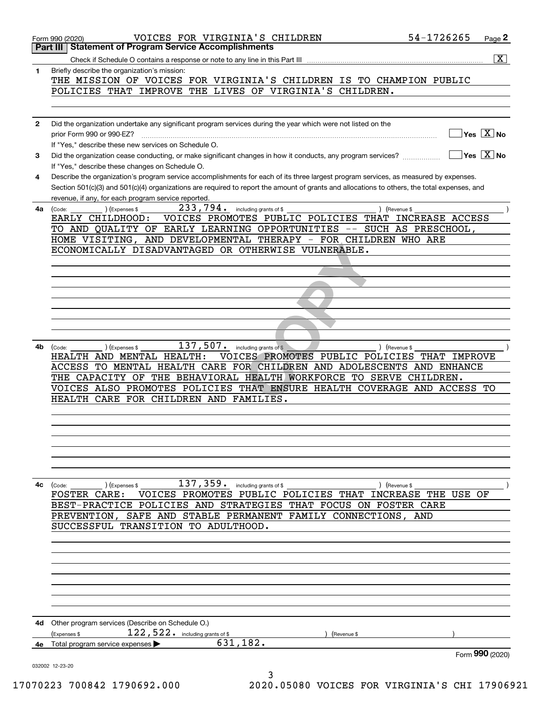|              | 54-1726265<br>VOICES FOR VIRGINIA'S CHILDREN<br>Page 2<br>Form 990 (2020)                                                                                                                                                                               |
|--------------|---------------------------------------------------------------------------------------------------------------------------------------------------------------------------------------------------------------------------------------------------------|
|              | Part III   Statement of Program Service Accomplishments                                                                                                                                                                                                 |
|              | $\overline{\mathbf{x}}$                                                                                                                                                                                                                                 |
| 1.           | Briefly describe the organization's mission:<br>THE MISSION OF VOICES FOR VIRGINIA'S CHILDREN IS TO CHAMPION PUBLIC                                                                                                                                     |
|              | POLICIES THAT IMPROVE THE LIVES OF VIRGINIA'S CHILDREN.                                                                                                                                                                                                 |
|              |                                                                                                                                                                                                                                                         |
| $\mathbf{2}$ | Did the organization undertake any significant program services during the year which were not listed on the                                                                                                                                            |
|              | $\overline{\mathsf{Yes} \mathrel{\hspace{0.5pt}\mathsf{X}}}$ No<br>prior Form 990 or 990-EZ?                                                                                                                                                            |
| 3            | If "Yes," describe these new services on Schedule O.<br>$\overline{\mathsf{Yes} \mathrel{\hspace{0.5pt} \hspace{0.5pt}} \mathbf{X}}$ No<br>Did the organization cease conducting, or make significant changes in how it conducts, any program services? |
|              | If "Yes," describe these changes on Schedule O.                                                                                                                                                                                                         |
| 4            | Describe the organization's program service accomplishments for each of its three largest program services, as measured by expenses.                                                                                                                    |
|              | Section 501(c)(3) and 501(c)(4) organizations are required to report the amount of grants and allocations to others, the total expenses, and<br>revenue, if any, for each program service reported.                                                     |
| 4a           | 233,794. including grants of \$<br>) (Expenses \$<br>) (Revenue \$<br>(Code:                                                                                                                                                                            |
|              | EARLY CHILDHOOD:<br>VOICES PROMOTES PUBLIC POLICIES THAT INCREASE ACCESS                                                                                                                                                                                |
|              | TO AND QUALITY OF EARLY LEARNING OPPORTUNITIES -- SUCH AS PRESCHOOL,                                                                                                                                                                                    |
|              | HOME VISITING, AND DEVELOPMENTAL THERAPY - FOR CHILDREN WHO ARE                                                                                                                                                                                         |
|              | ECONOMICALLY DISADVANTAGED OR OTHERWISE VULNERABLE.                                                                                                                                                                                                     |
|              |                                                                                                                                                                                                                                                         |
|              |                                                                                                                                                                                                                                                         |
|              |                                                                                                                                                                                                                                                         |
|              |                                                                                                                                                                                                                                                         |
|              |                                                                                                                                                                                                                                                         |
|              |                                                                                                                                                                                                                                                         |
|              | $137$ , $507$ $\cdot$ including grants of \$                                                                                                                                                                                                            |
| 4b           | (Expenses \$<br>) (Revenue \$<br>(Code:<br>HEALTH AND MENTAL HEALTH:<br>VOICES PROMOTES PUBLIC POLICIES THAT IMPROVE                                                                                                                                    |
|              | ACCESS TO MENTAL HEALTH CARE FOR CHILDREN AND ADOLESCENTS AND ENHANCE                                                                                                                                                                                   |
|              | THE CAPACITY OF THE BEHAVIORAL HEALTH WORKFORCE TO SERVE CHILDREN.                                                                                                                                                                                      |
|              | VOICES ALSO PROMOTES POLICIES THAT ENSURE HEALTH COVERAGE AND ACCESS TO                                                                                                                                                                                 |
|              | FOR CHILDREN AND FAMILIES.<br>HEALTH<br>CARE                                                                                                                                                                                                            |
|              |                                                                                                                                                                                                                                                         |
|              |                                                                                                                                                                                                                                                         |
|              |                                                                                                                                                                                                                                                         |
|              |                                                                                                                                                                                                                                                         |
|              |                                                                                                                                                                                                                                                         |
|              |                                                                                                                                                                                                                                                         |
| 4с           | 137, 359. including grants of \$<br>(Expenses \$<br>(Code:<br>) (Revenue \$<br>VOICES PROMOTES PUBLIC POLICIES THAT INCREASE THE USE OF<br><b>FOSTER CARE:</b>                                                                                          |
|              | BEST-PRACTICE POLICIES AND STRATEGIES THAT FOCUS ON FOSTER CARE                                                                                                                                                                                         |
|              | PREVENTION, SAFE AND STABLE PERMANENT FAMILY CONNECTIONS, AND                                                                                                                                                                                           |
|              | SUCCESSFUL TRANSITION TO ADULTHOOD.                                                                                                                                                                                                                     |
|              |                                                                                                                                                                                                                                                         |
|              |                                                                                                                                                                                                                                                         |
|              |                                                                                                                                                                                                                                                         |
|              |                                                                                                                                                                                                                                                         |
|              |                                                                                                                                                                                                                                                         |
|              |                                                                                                                                                                                                                                                         |
|              |                                                                                                                                                                                                                                                         |
| 4d           | Other program services (Describe on Schedule O.)<br>$122, 522$ $\cdot$ including grants of \$<br>(Expenses \$<br>(Revenue \$                                                                                                                            |
| 4е           | 631,182.<br>Total program service expenses                                                                                                                                                                                                              |
|              | Form 990 (2020)                                                                                                                                                                                                                                         |
|              | 032002 12-23-20<br>3                                                                                                                                                                                                                                    |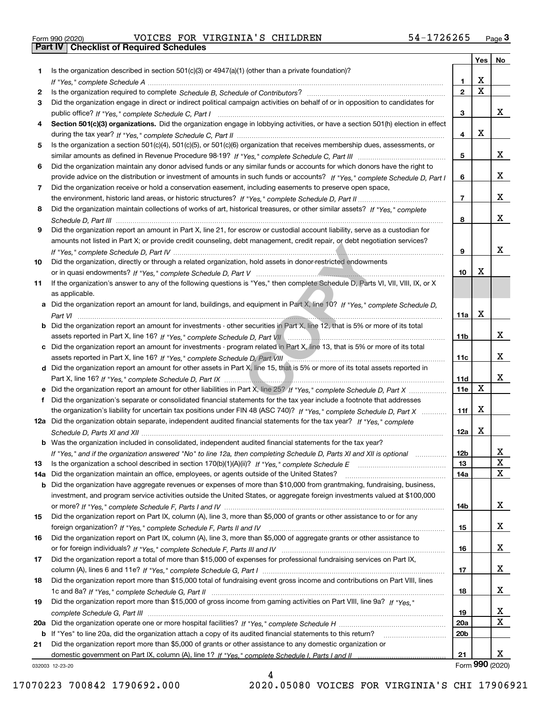|  | Form 990 (2020) |  |
|--|-----------------|--|

Form 990 (2020) Page **3Part IV Checklist of Required Schedules** VOICES FOR VIRGINIA'S CHILDREN 54-1726265

|     |                                                                                                                                                                                                                                                   |                 | Yes                     | No              |
|-----|---------------------------------------------------------------------------------------------------------------------------------------------------------------------------------------------------------------------------------------------------|-----------------|-------------------------|-----------------|
| 1.  | Is the organization described in section $501(c)(3)$ or $4947(a)(1)$ (other than a private foundation)?                                                                                                                                           |                 |                         |                 |
|     |                                                                                                                                                                                                                                                   | 1.              | X                       |                 |
| 2   |                                                                                                                                                                                                                                                   | $\overline{2}$  | $\overline{\mathbf{x}}$ |                 |
| 3   | Did the organization engage in direct or indirect political campaign activities on behalf of or in opposition to candidates for                                                                                                                   |                 |                         |                 |
|     |                                                                                                                                                                                                                                                   | 3               |                         | x               |
| 4   | Section 501(c)(3) organizations. Did the organization engage in lobbying activities, or have a section 501(h) election in effect                                                                                                                  |                 |                         |                 |
|     |                                                                                                                                                                                                                                                   | 4               | X                       |                 |
| 5   | Is the organization a section 501(c)(4), 501(c)(5), or 501(c)(6) organization that receives membership dues, assessments, or                                                                                                                      |                 |                         |                 |
|     |                                                                                                                                                                                                                                                   | 5               |                         | X               |
| 6   | Did the organization maintain any donor advised funds or any similar funds or accounts for which donors have the right to                                                                                                                         |                 |                         |                 |
|     | provide advice on the distribution or investment of amounts in such funds or accounts? If "Yes," complete Schedule D, Part I                                                                                                                      | 6               |                         | x               |
| 7   | Did the organization receive or hold a conservation easement, including easements to preserve open space,                                                                                                                                         |                 |                         |                 |
|     |                                                                                                                                                                                                                                                   | $\overline{7}$  |                         | x               |
| 8   | Did the organization maintain collections of works of art, historical treasures, or other similar assets? If "Yes," complete                                                                                                                      |                 |                         |                 |
|     |                                                                                                                                                                                                                                                   | 8               |                         | x               |
| 9   | Did the organization report an amount in Part X, line 21, for escrow or custodial account liability, serve as a custodian for                                                                                                                     |                 |                         |                 |
|     | amounts not listed in Part X; or provide credit counseling, debt management, credit repair, or debt negotiation services?                                                                                                                         |                 |                         |                 |
|     |                                                                                                                                                                                                                                                   | 9               |                         | x               |
| 10  | Did the organization, directly or through a related organization, hold assets in donor-restricted endowments                                                                                                                                      |                 |                         |                 |
|     |                                                                                                                                                                                                                                                   | 10              | X                       |                 |
| 11  | If the organization's answer to any of the following questions is "Yes," then complete Schedule D, Parts VI, VII, VIII, IX, or X                                                                                                                  |                 |                         |                 |
|     | as applicable.                                                                                                                                                                                                                                    |                 |                         |                 |
|     | a Did the organization report an amount for land, buildings, and equipment in Part X, line 10? If "Yes," complete Schedule D,                                                                                                                     |                 | X                       |                 |
|     |                                                                                                                                                                                                                                                   | 11a             |                         |                 |
|     | <b>b</b> Did the organization report an amount for investments - other securities in Part X, line 12, that is 5% or more of its total                                                                                                             |                 |                         | х               |
|     |                                                                                                                                                                                                                                                   | 11b             |                         |                 |
|     | c Did the organization report an amount for investments - program related in Part X, line 13, that is 5% or more of its total                                                                                                                     |                 |                         | х               |
|     | assets reported in Part X, line 16? If "Yes," complete Schedule D, Part VIII [[[[[[[[[[[[[[[[[[[[[[[[[[[[]]]]]<br>d Did the organization report an amount for other assets in Part X, line 15, that is 5% or more of its total assets reported in | 11c             |                         |                 |
|     |                                                                                                                                                                                                                                                   | 11d             |                         | х               |
|     |                                                                                                                                                                                                                                                   | <b>11e</b>      | $\mathbf X$             |                 |
| f   | Did the organization's separate or consolidated financial statements for the tax year include a footnote that addresses                                                                                                                           |                 |                         |                 |
|     | the organization's liability for uncertain tax positions under FIN 48 (ASC 740)? If "Yes," complete Schedule D, Part X                                                                                                                            | 11f             | X                       |                 |
|     | 12a Did the organization obtain separate, independent audited financial statements for the tax year? If "Yes," complete                                                                                                                           |                 |                         |                 |
|     |                                                                                                                                                                                                                                                   | 12a             | X                       |                 |
|     | <b>b</b> Was the organization included in consolidated, independent audited financial statements for the tax year?                                                                                                                                |                 |                         |                 |
|     | If "Yes," and if the organization answered "No" to line 12a, then completing Schedule D, Parts XI and XII is optional                                                                                                                             | 12D             |                         | ᅀ               |
| 13  |                                                                                                                                                                                                                                                   | 13              |                         | $\mathbf X$     |
| 14a | Did the organization maintain an office, employees, or agents outside of the United States?                                                                                                                                                       | 14a             |                         | $\mathbf X$     |
|     | <b>b</b> Did the organization have aggregate revenues or expenses of more than \$10,000 from grantmaking, fundraising, business,                                                                                                                  |                 |                         |                 |
|     | investment, and program service activities outside the United States, or aggregate foreign investments valued at \$100,000                                                                                                                        |                 |                         |                 |
|     |                                                                                                                                                                                                                                                   | 14b             |                         | x               |
| 15  | Did the organization report on Part IX, column (A), line 3, more than \$5,000 of grants or other assistance to or for any                                                                                                                         |                 |                         |                 |
|     |                                                                                                                                                                                                                                                   | 15              |                         | x               |
| 16  | Did the organization report on Part IX, column (A), line 3, more than \$5,000 of aggregate grants or other assistance to                                                                                                                          |                 |                         |                 |
|     |                                                                                                                                                                                                                                                   | 16              |                         | X               |
| 17  | Did the organization report a total of more than \$15,000 of expenses for professional fundraising services on Part IX,                                                                                                                           |                 |                         |                 |
|     |                                                                                                                                                                                                                                                   | 17              |                         | x               |
| 18  | Did the organization report more than \$15,000 total of fundraising event gross income and contributions on Part VIII, lines                                                                                                                      |                 |                         |                 |
|     |                                                                                                                                                                                                                                                   | 18              |                         | x               |
| 19  | Did the organization report more than \$15,000 of gross income from gaming activities on Part VIII, line 9a? If "Yes."                                                                                                                            |                 |                         |                 |
|     |                                                                                                                                                                                                                                                   | 19              |                         | X               |
|     |                                                                                                                                                                                                                                                   | 20a             |                         | $\mathbf X$     |
|     | b If "Yes" to line 20a, did the organization attach a copy of its audited financial statements to this return?                                                                                                                                    | 20 <sub>b</sub> |                         |                 |
| 21  | Did the organization report more than \$5,000 of grants or other assistance to any domestic organization or                                                                                                                                       |                 |                         |                 |
|     |                                                                                                                                                                                                                                                   | 21              |                         | X.              |
|     | 032003 12-23-20                                                                                                                                                                                                                                   |                 |                         | Form 990 (2020) |

032003 12-23-20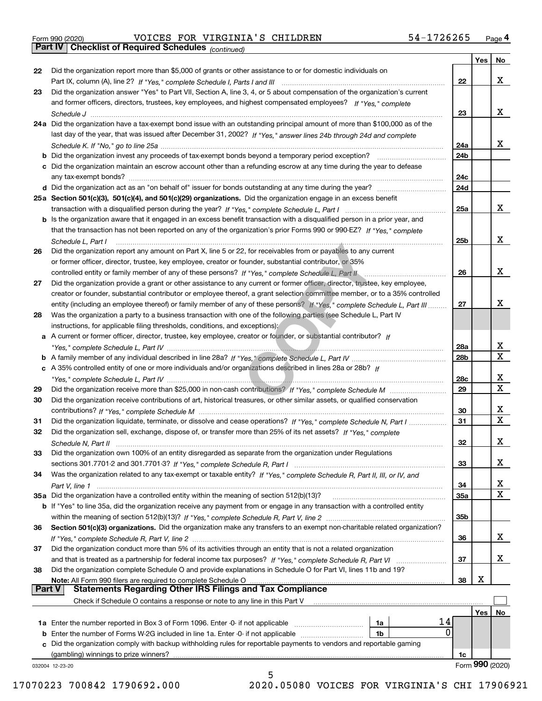|  | Form 990 (2020) |
|--|-----------------|
|  |                 |

Form 990 (2020) Page **4Part IV Checklist of Required Schedules** VOICES FOR VIRGINIA'S CHILDREN 54-1726265

*(continued)*

|          |                                                                                                                              |                 | Yes        | No              |
|----------|------------------------------------------------------------------------------------------------------------------------------|-----------------|------------|-----------------|
| 22       | Did the organization report more than \$5,000 of grants or other assistance to or for domestic individuals on                |                 |            |                 |
|          |                                                                                                                              | 22              |            | x               |
| 23       | Did the organization answer "Yes" to Part VII, Section A, line 3, 4, or 5 about compensation of the organization's current   |                 |            |                 |
|          | and former officers, directors, trustees, key employees, and highest compensated employees? If "Yes," complete               |                 |            |                 |
|          |                                                                                                                              | 23              |            | x               |
|          | 24a Did the organization have a tax-exempt bond issue with an outstanding principal amount of more than \$100,000 as of the  |                 |            |                 |
|          | last day of the year, that was issued after December 31, 2002? If "Yes," answer lines 24b through 24d and complete           |                 |            |                 |
|          |                                                                                                                              | 24a             |            | x               |
|          | b Did the organization invest any proceeds of tax-exempt bonds beyond a temporary period exception?                          | 24b             |            |                 |
|          | c Did the organization maintain an escrow account other than a refunding escrow at any time during the year to defease       |                 |            |                 |
|          | any tax-exempt bonds?                                                                                                        | 24c             |            |                 |
|          |                                                                                                                              | 24d             |            |                 |
|          | 25a Section 501(c)(3), 501(c)(4), and 501(c)(29) organizations. Did the organization engage in an excess benefit             |                 |            |                 |
|          |                                                                                                                              | 25a             |            | x               |
|          | b Is the organization aware that it engaged in an excess benefit transaction with a disqualified person in a prior year, and |                 |            |                 |
|          | that the transaction has not been reported on any of the organization's prior Forms 990 or 990-EZ? If "Yes," complete        |                 |            |                 |
|          |                                                                                                                              | 25b             |            | x               |
|          | Schedule L. Part I                                                                                                           |                 |            |                 |
| 26       | Did the organization report any amount on Part X, line 5 or 22, for receivables from or payables to any current              |                 |            |                 |
|          | or former officer, director, trustee, key employee, creator or founder, substantial contributor, or 35%                      |                 |            |                 |
|          |                                                                                                                              | 26              |            | x               |
| 27       | Did the organization provide a grant or other assistance to any current or former officer, director, trustee, key employee,  |                 |            |                 |
|          | creator or founder, substantial contributor or employee thereof, a grant selection committee member, or to a 35% controlled  |                 |            |                 |
|          | entity (including an employee thereof) or family member of any of these persons? If "Yes," complete Schedule L, Part III     | 27              |            | х               |
| 28       | Was the organization a party to a business transaction with one of the following parties (see Schedule L, Part IV            |                 |            |                 |
|          | instructions, for applicable filing thresholds, conditions, and exceptions):                                                 |                 |            |                 |
|          | a A current or former officer, director, trustee, key employee, creator or founder, or substantial contributor? If           |                 |            |                 |
|          |                                                                                                                              | 28a             |            | x               |
|          |                                                                                                                              | 28 <sub>b</sub> |            | $\mathbf X$     |
|          | c A 35% controlled entity of one or more individuals and/or organizations described in lines 28a or 28b? If                  |                 |            |                 |
|          |                                                                                                                              | 28c             |            | х               |
| 29       |                                                                                                                              | 29              |            | X               |
| 30       | Did the organization receive contributions of art, historical treasures, or other similar assets, or qualified conservation  |                 |            |                 |
|          |                                                                                                                              | 30              |            | x               |
| 31       | Did the organization liquidate, terminate, or dissolve and cease operations? If "Yes," complete Schedule N, Part I           | 31              |            | $\mathbf x$     |
| 32       | Did the organization sell, exchange, dispose of, or transfer more than 25% of its net assets? If "Yes," complete             |                 |            |                 |
|          |                                                                                                                              | 32              |            | х               |
| 33       | Did the organization own 100% of an entity disregarded as separate from the organization under Regulations                   |                 |            |                 |
|          |                                                                                                                              | 33              |            | х               |
| 34       | Was the organization related to any tax-exempt or taxable entity? If "Yes," complete Schedule R, Part II, III, or IV, and    |                 |            |                 |
|          |                                                                                                                              | 34              |            | X               |
|          | 35a Did the organization have a controlled entity within the meaning of section 512(b)(13)?                                  | 35a             |            | X               |
|          | b If "Yes" to line 35a, did the organization receive any payment from or engage in any transaction with a controlled entity  |                 |            |                 |
|          |                                                                                                                              | 35 <sub>b</sub> |            |                 |
| 36       | Section 501(c)(3) organizations. Did the organization make any transfers to an exempt non-charitable related organization?   |                 |            |                 |
|          |                                                                                                                              | 36              |            | x               |
| 37       | Did the organization conduct more than 5% of its activities through an entity that is not a related organization             |                 |            |                 |
|          | and that is treated as a partnership for federal income tax purposes? If "Yes," complete Schedule R, Part VI                 | 37              |            | x               |
| 38       | Did the organization complete Schedule O and provide explanations in Schedule O for Part VI, lines 11b and 19?               |                 |            |                 |
|          | Note: All Form 990 filers are required to complete Schedule O                                                                | 38              | X          |                 |
| ∣ Part V | <b>Statements Regarding Other IRS Filings and Tax Compliance</b>                                                             |                 |            |                 |
|          | Check if Schedule O contains a response or note to any line in this Part V                                                   |                 |            |                 |
|          |                                                                                                                              |                 | <b>Yes</b> | No              |
|          | 14<br>1a Enter the number reported in Box 3 of Form 1096. Enter -0- if not applicable<br>1a                                  |                 |            |                 |
|          | 0<br><b>b</b> Enter the number of Forms W-2G included in line 1a. Enter -0- if not applicable<br>1b                          |                 |            |                 |
|          | Did the organization comply with backup withholding rules for reportable payments to vendors and reportable gaming           |                 |            |                 |
|          | (gambling) winnings to prize winners?                                                                                        | 1c              |            |                 |
|          | 032004 12-23-20                                                                                                              |                 |            | Form 990 (2020) |
|          | 5                                                                                                                            |                 |            |                 |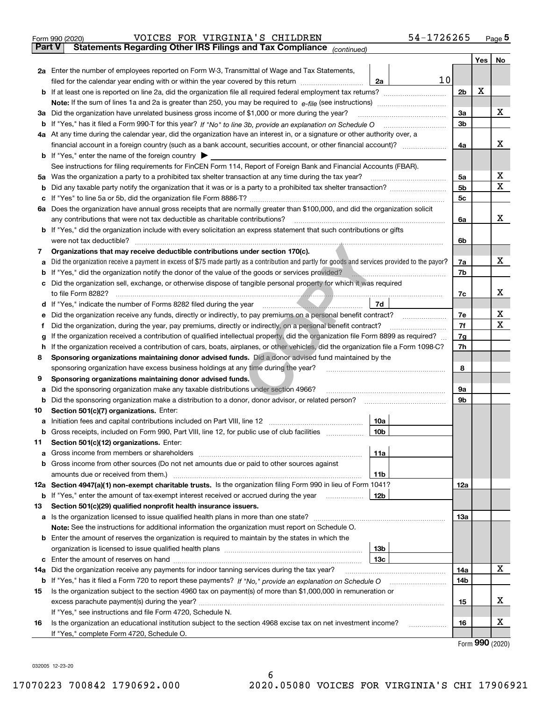|               | VOICES FOR VIRGINIA'S CHILDREN<br>54-1726265<br>Form 990 (2020)                                                                                 |                |     | $_{\text{Page}}$ 5 |
|---------------|-------------------------------------------------------------------------------------------------------------------------------------------------|----------------|-----|--------------------|
| <b>Part V</b> | Statements Regarding Other IRS Filings and Tax Compliance (continued)                                                                           |                |     |                    |
|               |                                                                                                                                                 |                | Yes | No                 |
|               | 2a Enter the number of employees reported on Form W-3, Transmittal of Wage and Tax Statements,                                                  |                |     |                    |
|               | 10<br>filed for the calendar year ending with or within the year covered by this return<br>2a                                                   |                |     |                    |
| b             |                                                                                                                                                 | 2 <sub>b</sub> | х   |                    |
|               |                                                                                                                                                 |                |     |                    |
| За            | Did the organization have unrelated business gross income of \$1,000 or more during the year?                                                   | 3a             |     | x                  |
| b             |                                                                                                                                                 | 3 <sub>b</sub> |     |                    |
|               | 4a At any time during the calendar year, did the organization have an interest in, or a signature or other authority over, a                    |                |     |                    |
|               |                                                                                                                                                 | 4a             |     | x                  |
|               | <b>b</b> If "Yes," enter the name of the foreign country $\blacktriangleright$                                                                  |                |     |                    |
|               | See instructions for filing requirements for FinCEN Form 114, Report of Foreign Bank and Financial Accounts (FBAR).                             |                |     |                    |
| 5a            | Was the organization a party to a prohibited tax shelter transaction at any time during the tax year?                                           | 5a             |     | х                  |
| b             |                                                                                                                                                 | 5 <sub>b</sub> |     | X                  |
| с             |                                                                                                                                                 | 5c             |     |                    |
|               | 6a Does the organization have annual gross receipts that are normally greater than \$100,000, and did the organization solicit                  |                |     |                    |
|               | any contributions that were not tax deductible as charitable contributions?                                                                     | 6a             |     | x                  |
| b             | If "Yes," did the organization include with every solicitation an express statement that such contributions or gifts                            |                |     |                    |
|               | were not tax deductible?                                                                                                                        | 6b             |     |                    |
| 7             | Organizations that may receive deductible contributions under section 170(c).                                                                   |                |     | x                  |
| а             | Did the organization receive a payment in excess of \$75 made partly as a contribution and partly for goods and services provided to the payor? | 7a             |     |                    |
| b             | If "Yes," did the organization notify the donor of the value of the goods or services provided?                                                 | 7b             |     |                    |
| c             | Did the organization sell, exchange, or otherwise dispose of tangible personal property for which it was required                               |                |     | х                  |
|               | 7d                                                                                                                                              | 7c             |     |                    |
| d             | Did the organization receive any funds, directly or indirectly, to pay premiums on a personal benefit contract?                                 | 7e             |     | х                  |
| е<br>f        | Did the organization, during the year, pay premiums, directly or indirectly, on a personal benefit contract?                                    | 7f             |     | X                  |
| g             | If the organization received a contribution of qualified intellectual property, did the organization file Form 8899 as required?                | 7g             |     |                    |
| h             | If the organization received a contribution of cars, boats, airplanes, or other vehicles, did the organization file a Form 1098-C?              | 7h             |     |                    |
| 8             | Sponsoring organizations maintaining donor advised funds. Did a donor advised fund maintained by the                                            |                |     |                    |
|               | sponsoring organization have excess business holdings at any time during the year?                                                              | 8              |     |                    |
| 9             | Sponsoring organizations maintaining donor advised funds.                                                                                       |                |     |                    |
| а             | Did the sponsoring organization make any taxable distributions under section 4966?                                                              | 9а             |     |                    |
| b             | Did the sponsoring organization make a distribution to a donor, donor advisor, or related person?                                               | 9b             |     |                    |
| 10            | Section 501(c)(7) organizations. Enter:                                                                                                         |                |     |                    |
| а             | 10a<br>Initiation fees and capital contributions included on Part VIII, line 12 [111] [11] [12] [11] [12] [11] [12] [                           |                |     |                    |
|               | 10b <br>Gross receipts, included on Form 990, Part VIII, line 12, for public use of club facilities                                             |                |     |                    |
| 11            | Section 501(c)(12) organizations. Enter:                                                                                                        |                |     |                    |
| a             | 11a<br>Gross income from members or shareholders                                                                                                |                |     |                    |
| b             | Gross income from other sources (Do not net amounts due or paid to other sources against                                                        |                |     |                    |
|               | 11 <sub>b</sub><br>amounts due or received from them.)                                                                                          |                |     |                    |
|               | 12a Section 4947(a)(1) non-exempt charitable trusts. Is the organization filing Form 990 in lieu of Form 1041?                                  | <b>12a</b>     |     |                    |
|               | 12b<br><b>b</b> If "Yes," enter the amount of tax-exempt interest received or accrued during the year <i>manument</i> of                        |                |     |                    |
| 13            | Section 501(c)(29) qualified nonprofit health insurance issuers.                                                                                |                |     |                    |
| a             | Is the organization licensed to issue qualified health plans in more than one state?                                                            | 13a            |     |                    |
|               | Note: See the instructions for additional information the organization must report on Schedule O.                                               |                |     |                    |
| b             | Enter the amount of reserves the organization is required to maintain by the states in which the                                                |                |     |                    |
|               | 13 <sub>b</sub>                                                                                                                                 |                |     |                    |
| с             | 13 <sub>c</sub>                                                                                                                                 |                |     |                    |
| 14a           | Did the organization receive any payments for indoor tanning services during the tax year?                                                      | 14a            |     | X                  |
|               | <b>b</b> If "Yes," has it filed a Form 720 to report these payments? If "No," provide an explanation on Schedule O                              | 14b            |     |                    |
| 15            | Is the organization subject to the section 4960 tax on payment(s) of more than \$1,000,000 in remuneration or                                   |                |     |                    |
|               |                                                                                                                                                 | 15             |     | х                  |
|               | If "Yes," see instructions and file Form 4720, Schedule N.                                                                                      |                |     |                    |
| 16            | Is the organization an educational institution subject to the section 4968 excise tax on net investment income?                                 | 16             |     | х                  |
|               | If "Yes," complete Form 4720, Schedule O.                                                                                                       |                |     |                    |

Form (2020) **990**

032005 12-23-20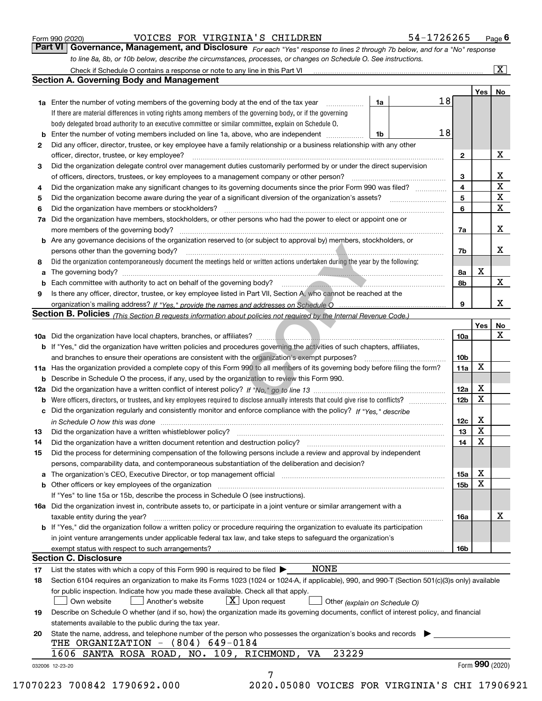|  | Form 990 (2020) |
|--|-----------------|
|  |                 |

#### VOICES FOR VIRGINIA'S CHILDREN 54-1726265

*For each "Yes" response to lines 2 through 7b below, and for a "No" response to line 8a, 8b, or 10b below, describe the circumstances, processes, or changes on Schedule O. See instructions.* Form 990 (2020) **COLOGET BOR VIRGINIA'S CHILDREN** 54-1726265 Page 6<br>**Part VI Governance, Management, and Disclosure** For each "Yes" response to lines 2 through 7b below, and for a "No" response

|     |                                                                                                                                                                             |    |                 | Yes <sub>1</sub> | No           |
|-----|-----------------------------------------------------------------------------------------------------------------------------------------------------------------------------|----|-----------------|------------------|--------------|
|     | <b>1a</b> Enter the number of voting members of the governing body at the end of the tax year <i>manumum</i>                                                                | 1a | 18              |                  |              |
|     | If there are material differences in voting rights among members of the governing body, or if the governing                                                                 |    |                 |                  |              |
|     | body delegated broad authority to an executive committee or similar committee, explain on Schedule O.                                                                       |    |                 |                  |              |
|     | Enter the number of voting members included on line 1a, above, who are independent                                                                                          | 1b | 18              |                  |              |
| 2   | Did any officer, director, trustee, or key employee have a family relationship or a business relationship with any other                                                    |    |                 |                  |              |
|     | officer, director, trustee, or key employee?                                                                                                                                |    | $\mathbf{2}$    |                  | х            |
| 3   | Did the organization delegate control over management duties customarily performed by or under the direct supervision                                                       |    |                 |                  |              |
|     |                                                                                                                                                                             |    | 3               |                  | х            |
| 4   | Did the organization make any significant changes to its governing documents since the prior Form 990 was filed?                                                            |    | 4               |                  | $\mathbf X$  |
| 5   |                                                                                                                                                                             |    | 5               |                  | $\mathbf X$  |
| 6   | Did the organization have members or stockholders?                                                                                                                          |    | 6               |                  | $\mathbf{x}$ |
| 7a  | Did the organization have members, stockholders, or other persons who had the power to elect or appoint one or                                                              |    |                 |                  |              |
|     |                                                                                                                                                                             |    | 7a              |                  | х            |
|     | <b>b</b> Are any governance decisions of the organization reserved to (or subject to approval by) members, stockholders, or                                                 |    |                 |                  |              |
|     | persons other than the governing body?                                                                                                                                      |    | 7b              |                  | х            |
| 8   | Did the organization contemporaneously document the meetings held or written actions undertaken during the year by the following:                                           |    |                 |                  |              |
| a   |                                                                                                                                                                             |    | 8а              | X                |              |
|     |                                                                                                                                                                             |    | 8b              |                  | X            |
| 9   | Is there any officer, director, trustee, or key employee listed in Part VII, Section A, who cannot be reached at the                                                        |    |                 |                  |              |
|     |                                                                                                                                                                             |    | 9               |                  | х            |
|     | Section B. Policies (This Section B requests information about policies not required by the Internal Revenue Code.)                                                         |    |                 |                  |              |
|     |                                                                                                                                                                             |    |                 | Yes              | No           |
|     |                                                                                                                                                                             |    | 10a             |                  | X            |
|     | <b>b</b> If "Yes," did the organization have written policies and procedures governing the activities of such chapters, affiliates,                                         |    |                 |                  |              |
|     |                                                                                                                                                                             |    | 10 <sub>b</sub> |                  |              |
|     | 11a Has the organization provided a complete copy of this Form 990 to all members of its governing body before filing the form?                                             |    | 11a             | X                |              |
|     | <b>b</b> Describe in Schedule O the process, if any, used by the organization to review this Form 990.                                                                      |    |                 |                  |              |
| 12a |                                                                                                                                                                             |    | 12a             | х                |              |
| b   |                                                                                                                                                                             |    | 12b             | X                |              |
|     | c Did the organization regularly and consistently monitor and enforce compliance with the policy? If "Yes," describe                                                        |    |                 |                  |              |
|     | in Schedule O how this was done encourance and the control of the control of the control of the control of the                                                              |    | 12c             | х                |              |
| 13  | Did the organization have a written whistleblower policy?<br>The content of the content of the content of the content of the content of the content of the content of the c |    | 13              | X                |              |
| 14  | Did the organization have a written document retention and destruction policy? manufactured and the organization have a written document retention and destruction policy?  |    | 14              | X                |              |
| 15  | Did the process for determining compensation of the following persons include a review and approval by independent                                                          |    |                 |                  |              |
|     | persons, comparability data, and contemporaneous substantiation of the deliberation and decision?                                                                           |    |                 |                  |              |
|     |                                                                                                                                                                             |    |                 | х                |              |
|     |                                                                                                                                                                             |    | 15a<br>15b      | $\mathbf X$      |              |
|     | <b>b</b> Other officers or key employees of the organization                                                                                                                |    |                 |                  |              |
|     | If "Yes" to line 15a or 15b, describe the process in Schedule O (see instructions).                                                                                         |    |                 |                  |              |
|     | 16a Did the organization invest in, contribute assets to, or participate in a joint venture or similar arrangement with a                                                   |    |                 |                  | х            |
|     | taxable entity during the year?<br><b>b</b> If "Yes," did the organization follow a written policy or procedure requiring the organization to evaluate its participation    |    | 16a             |                  |              |
|     |                                                                                                                                                                             |    |                 |                  |              |
|     | in joint venture arrangements under applicable federal tax law, and take steps to safeguard the organization's                                                              |    |                 |                  |              |
|     | <b>Section C. Disclosure</b>                                                                                                                                                |    | 16b             |                  |              |
|     | <b>NONE</b>                                                                                                                                                                 |    |                 |                  |              |
| 17  | List the states with which a copy of this Form 990 is required to be filed $\blacktriangleright$                                                                            |    |                 |                  |              |
| 18  | Section 6104 requires an organization to make its Forms 1023 (1024 or 1024-A, if applicable), 990, and 990-T (Section 501(c)(3)s only) available                            |    |                 |                  |              |
|     | for public inspection. Indicate how you made these available. Check all that apply.                                                                                         |    |                 |                  |              |
|     | $X$ Upon request<br>Own website<br>Another's website<br>Other (explain on Schedule O)                                                                                       |    |                 |                  |              |
| 19  | Describe on Schedule O whether (and if so, how) the organization made its governing documents, conflict of interest policy, and financial                                   |    |                 |                  |              |
|     | statements available to the public during the tax year.                                                                                                                     |    |                 |                  |              |
| 20  | State the name, address, and telephone number of the person who possesses the organization's books and records                                                              |    |                 |                  |              |
|     | THE ORGANIZATION $-$ (804) 649-0184                                                                                                                                         |    |                 |                  |              |
|     | 23229<br>1606 SANTA ROSA ROAD, NO. 109, RICHMOND,<br>VA                                                                                                                     |    |                 |                  |              |
|     |                                                                                                                                                                             |    |                 | Form 990 (2020)  |              |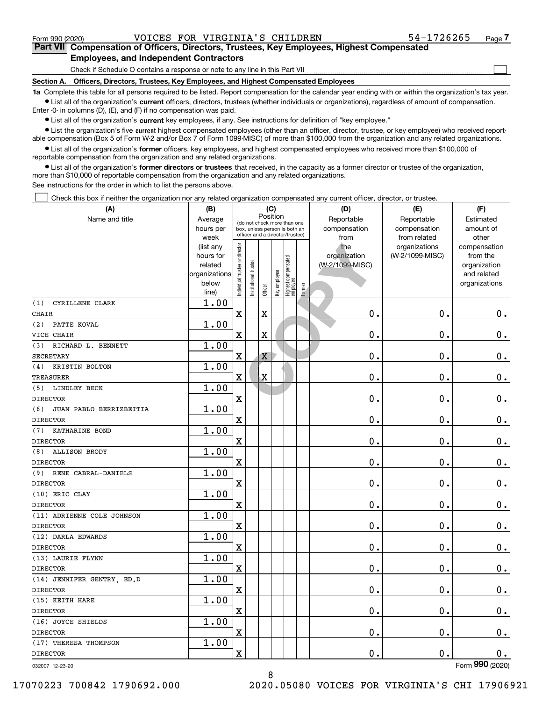$\mathcal{L}^{\text{max}}$ 

# **7Part VII Compensation of Officers, Directors, Trustees, Key Employees, Highest Compensated Employees, and Independent Contractors**

Check if Schedule O contains a response or note to any line in this Part VII

**Section A. Officers, Directors, Trustees, Key Employees, and Highest Compensated Employees**

**1a**  Complete this table for all persons required to be listed. Report compensation for the calendar year ending with or within the organization's tax year. **•** List all of the organization's current officers, directors, trustees (whether individuals or organizations), regardless of amount of compensation.

Enter -0- in columns (D), (E), and (F) if no compensation was paid.

 $\bullet$  List all of the organization's  $\,$ current key employees, if any. See instructions for definition of "key employee."

**•** List the organization's five current highest compensated employees (other than an officer, director, trustee, or key employee) who received reportable compensation (Box 5 of Form W-2 and/or Box 7 of Form 1099-MISC) of more than \$100,000 from the organization and any related organizations.

**•** List all of the organization's former officers, key employees, and highest compensated employees who received more than \$100,000 of reportable compensation from the organization and any related organizations.

**former directors or trustees**  ¥ List all of the organization's that received, in the capacity as a former director or trustee of the organization, more than \$10,000 of reportable compensation from the organization and any related organizations.

See instructions for the order in which to list the persons above.

Check this box if neither the organization nor any related organization compensated any current officer, director, or trustee.  $\mathcal{L}^{\text{max}}$ 

| (A)                            | (B)<br>(C)<br>Position                                      |                               | (D)                                                                                             | (E)                     | (F)                                |                                            |        |                                        |                                  |                                                                          |
|--------------------------------|-------------------------------------------------------------|-------------------------------|-------------------------------------------------------------------------------------------------|-------------------------|------------------------------------|--------------------------------------------|--------|----------------------------------------|----------------------------------|--------------------------------------------------------------------------|
| Name and title                 | Average<br>hours per<br>week                                |                               | (do not check more than one<br>box, unless person is both an<br>officer and a director/trustee) |                         | Reportable<br>compensation<br>from | Reportable<br>compensation<br>from related |        |                                        |                                  |                                                                          |
|                                | (list any<br>hours for<br>related<br>organizations<br>below | ndividual trustee or director | nstitutional trustee                                                                            | Officer                 | Key employee                       | Highest compensated<br> employee           | Former | the<br>organization<br>(W-2/1099-MISC) | organizations<br>(W-2/1099-MISC) | compensation<br>from the<br>organization<br>and related<br>organizations |
|                                | line)                                                       |                               |                                                                                                 |                         |                                    |                                            |        |                                        |                                  |                                                                          |
| (1)<br>CYRILLENE CLARK         | 1.00                                                        |                               |                                                                                                 |                         |                                    |                                            |        |                                        |                                  |                                                                          |
| <b>CHAIR</b>                   |                                                             | X                             |                                                                                                 | X                       |                                    |                                            |        | 0.                                     | 0.                               | $\mathbf 0$ .                                                            |
| (2)<br>PATTE KOVAL             | 1.00                                                        |                               |                                                                                                 |                         |                                    |                                            |        |                                        |                                  |                                                                          |
| VICE CHAIR                     |                                                             | X                             |                                                                                                 | $\overline{\mathbf{X}}$ |                                    |                                            |        | 0.                                     | $\mathbf 0$ .                    | $\mathbf 0$ .                                                            |
| RICHARD L. BENNETT<br>(3)      | 1.00                                                        |                               |                                                                                                 |                         |                                    |                                            |        |                                        |                                  |                                                                          |
| <b>SECRETARY</b>               |                                                             | $\rm X$                       |                                                                                                 | X                       |                                    |                                            |        | 0.                                     | $\mathbf 0$ .                    | $\mathbf 0$ .                                                            |
| KRISTIN BOLTON<br>(4)          | 1.00                                                        |                               |                                                                                                 |                         |                                    |                                            |        |                                        |                                  |                                                                          |
| <b>TREASURER</b>               |                                                             | $\overline{\text{X}}$         |                                                                                                 | $\overline{\mathbf{X}}$ |                                    |                                            |        | 0.                                     | $\mathbf 0$ .                    | $0_{.}$                                                                  |
| LINDLEY BECK<br>(5)            | 1.00                                                        |                               |                                                                                                 |                         |                                    |                                            |        |                                        |                                  |                                                                          |
| <b>DIRECTOR</b>                |                                                             | $\mathbf x$                   |                                                                                                 |                         |                                    |                                            |        | 0.                                     | $\mathbf 0$ .                    | $\mathbf 0$ .                                                            |
| (6)<br>JUAN PABLO BERRIZBEITIA | 1.00                                                        |                               |                                                                                                 |                         |                                    |                                            |        |                                        |                                  |                                                                          |
| <b>DIRECTOR</b>                |                                                             | $\overline{\textbf{X}}$       |                                                                                                 |                         |                                    |                                            |        | 0.                                     | $\mathbf 0$ .                    | 0.                                                                       |
| (7)<br>KATHARINE BOND          | 1.00                                                        |                               |                                                                                                 |                         |                                    |                                            |        |                                        |                                  |                                                                          |
| <b>DIRECTOR</b>                |                                                             | $\overline{\textbf{X}}$       |                                                                                                 |                         |                                    |                                            |        | 0.                                     | $\mathbf 0$ .                    | $0_{.}$                                                                  |
| <b>ALLISON BRODY</b><br>(8)    | 1.00                                                        |                               |                                                                                                 |                         |                                    |                                            |        |                                        |                                  |                                                                          |
| <b>DIRECTOR</b>                |                                                             | $\mathbf X$                   |                                                                                                 |                         |                                    |                                            |        | 0.                                     | $\mathbf 0$ .                    | $0_{.}$                                                                  |
| RENE CABRAL-DANIELS<br>(9)     | 1.00                                                        |                               |                                                                                                 |                         |                                    |                                            |        |                                        |                                  |                                                                          |
| <b>DIRECTOR</b>                |                                                             | $\rm X$                       |                                                                                                 |                         |                                    |                                            |        | 0.                                     | $\mathbf 0$ .                    | $\mathbf 0$ .                                                            |
| (10) ERIC CLAY                 | 1.00                                                        |                               |                                                                                                 |                         |                                    |                                            |        |                                        |                                  |                                                                          |
| <b>DIRECTOR</b>                |                                                             | $\mathbf X$                   |                                                                                                 |                         |                                    |                                            |        | 0.                                     | $\mathbf 0$ .                    | $\mathbf 0$ .                                                            |
| (11) ADRIENNE COLE JOHNSON     | 1.00                                                        |                               |                                                                                                 |                         |                                    |                                            |        |                                        |                                  |                                                                          |
| <b>DIRECTOR</b>                |                                                             | X                             |                                                                                                 |                         |                                    |                                            |        | 0.                                     | 0.                               | $0_{.}$                                                                  |
| (12) DARLA EDWARDS             | 1.00                                                        |                               |                                                                                                 |                         |                                    |                                            |        |                                        |                                  |                                                                          |
| <b>DIRECTOR</b>                |                                                             | $\mathbf X$                   |                                                                                                 |                         |                                    |                                            |        | $\mathbf 0$ .                          | $\mathbf 0$ .                    | $0$ .                                                                    |
| (13) LAURIE FLYNN              | 1.00                                                        |                               |                                                                                                 |                         |                                    |                                            |        |                                        |                                  |                                                                          |
| <b>DIRECTOR</b>                |                                                             | X                             |                                                                                                 |                         |                                    |                                            |        | $\mathbf 0$ .                          | $\mathbf 0$ .                    | $\mathbf 0$ .                                                            |
| (14) JENNIFER GENTRY, ED.D     | 1.00                                                        |                               |                                                                                                 |                         |                                    |                                            |        |                                        |                                  |                                                                          |
| <b>DIRECTOR</b>                |                                                             | $\mathbf X$                   |                                                                                                 |                         |                                    |                                            |        | 0.                                     | $\mathbf 0$ .                    | $\mathbf 0$ .                                                            |
| (15) KEITH HARE                | 1.00                                                        |                               |                                                                                                 |                         |                                    |                                            |        |                                        |                                  |                                                                          |
| <b>DIRECTOR</b>                |                                                             | X                             |                                                                                                 |                         |                                    |                                            |        | 0.                                     | $\mathbf 0$ .                    | 0.                                                                       |
| (16) JOYCE SHIELDS             | 1.00                                                        |                               |                                                                                                 |                         |                                    |                                            |        |                                        |                                  |                                                                          |
| <b>DIRECTOR</b>                |                                                             | $\mathbf X$                   |                                                                                                 |                         |                                    |                                            |        | 0.                                     | $\mathbf 0$ .                    | $0$ .                                                                    |
| (17) THERESA THOMPSON          | 1.00                                                        |                               |                                                                                                 |                         |                                    |                                            |        |                                        |                                  |                                                                          |
| <b>DIRECTOR</b>                |                                                             | $\mathbf X$                   |                                                                                                 |                         |                                    |                                            |        | 0.                                     | $\mathbf 0$ .                    | 0.<br>$\overline{\phantom{0}}$                                           |

032007 12-23-20

Form (2020) **990**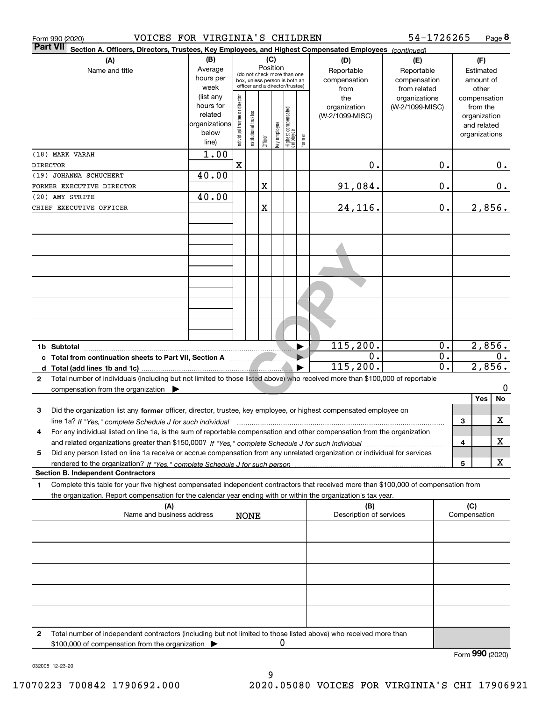|                 | VOICES FOR VIRGINIA'S CHILDREN<br>Form 990 (2020)                                                                                                                                                                                                      |                                                                      |                                                                                                                    |                       |         |              |                                           |                                                   |                                        | 54-1726265                       |                                        |                                               |                         | Page 8 |
|-----------------|--------------------------------------------------------------------------------------------------------------------------------------------------------------------------------------------------------------------------------------------------------|----------------------------------------------------------------------|--------------------------------------------------------------------------------------------------------------------|-----------------------|---------|--------------|-------------------------------------------|---------------------------------------------------|----------------------------------------|----------------------------------|----------------------------------------|-----------------------------------------------|-------------------------|--------|
| <b>Part VII</b> | Section A. Officers, Directors, Trustees, Key Employees, and Highest Compensated Employees (continued)                                                                                                                                                 |                                                                      |                                                                                                                    |                       |         |              |                                           |                                                   |                                        |                                  |                                        |                                               |                         |        |
|                 | (A)<br>Name and title                                                                                                                                                                                                                                  | (B)<br>Average<br>hours per<br>week                                  | (C)<br>Position<br>(do not check more than one<br>box, unless person is both an<br>officer and a director/trustee) |                       |         |              | (D)<br>Reportable<br>compensation<br>from | (E)<br>Reportable<br>compensation<br>from related |                                        |                                  | (F)<br>Estimated<br>amount of<br>other |                                               |                         |        |
|                 |                                                                                                                                                                                                                                                        | (list any<br>hours for<br>related<br>organizations<br>below<br>line) | ndividual trustee or director                                                                                      | Institutional trustee | Officer | key employee | Highest compensated<br>employee           | Former                                            | the<br>organization<br>(W-2/1099-MISC) | organizations<br>(W-2/1099-MISC) |                                        | compensation<br>organization<br>organizations | from the<br>and related |        |
| <b>DIRECTOR</b> | (18) MARK VARAH                                                                                                                                                                                                                                        | 1.00                                                                 | $\overline{\mathbf{X}}$                                                                                            |                       |         |              |                                           |                                                   | 0.                                     |                                  | 0.                                     |                                               |                         | $0$ .  |
|                 | (19) JOHANNA SCHUCHERT                                                                                                                                                                                                                                 | 40.00                                                                |                                                                                                                    |                       |         |              |                                           |                                                   |                                        |                                  |                                        |                                               |                         |        |
|                 | FORMER EXECUTIVE DIRECTOR                                                                                                                                                                                                                              |                                                                      |                                                                                                                    |                       | X       |              |                                           |                                                   | 91,084.                                |                                  | 0.                                     |                                               |                         | $0$ .  |
|                 | (20) AMY STRITE                                                                                                                                                                                                                                        | 40.00                                                                |                                                                                                                    |                       |         |              |                                           |                                                   |                                        |                                  |                                        |                                               |                         |        |
|                 | CHIEF EXECUTIVE OFFICER                                                                                                                                                                                                                                |                                                                      |                                                                                                                    |                       | X       |              |                                           |                                                   | 24,116.                                |                                  | 0.                                     |                                               |                         | 2,856. |
|                 |                                                                                                                                                                                                                                                        |                                                                      |                                                                                                                    |                       |         |              |                                           |                                                   |                                        |                                  |                                        |                                               |                         |        |
|                 |                                                                                                                                                                                                                                                        |                                                                      |                                                                                                                    |                       |         |              |                                           |                                                   |                                        |                                  |                                        |                                               |                         |        |
|                 |                                                                                                                                                                                                                                                        |                                                                      |                                                                                                                    |                       |         |              |                                           |                                                   |                                        |                                  |                                        |                                               |                         |        |
|                 |                                                                                                                                                                                                                                                        |                                                                      |                                                                                                                    |                       |         |              |                                           |                                                   |                                        |                                  |                                        |                                               |                         |        |
|                 |                                                                                                                                                                                                                                                        |                                                                      |                                                                                                                    |                       |         |              |                                           |                                                   |                                        |                                  |                                        |                                               |                         |        |
|                 |                                                                                                                                                                                                                                                        |                                                                      |                                                                                                                    |                       |         |              |                                           |                                                   |                                        |                                  |                                        |                                               |                         |        |
|                 | 1b Subtotal                                                                                                                                                                                                                                            |                                                                      |                                                                                                                    |                       |         |              |                                           | ▶                                                 | 115, 200.                              |                                  | 0.                                     |                                               |                         | 2,856. |
|                 |                                                                                                                                                                                                                                                        |                                                                      |                                                                                                                    |                       |         |              |                                           |                                                   | 0.                                     |                                  | $\overline{0}$ .                       |                                               |                         | 0.     |
|                 | d Total (add lines 1b and 1c)                                                                                                                                                                                                                          |                                                                      |                                                                                                                    |                       |         |              |                                           |                                                   | 115,200.                               |                                  | $\overline{0}$ .                       |                                               | 2,856.                  |        |
| 2               | Total number of individuals (including but not limited to those listed above) who received more than \$100,000 of reportable<br>compensation from the organization $\blacktriangleright$                                                               |                                                                      |                                                                                                                    |                       |         |              |                                           |                                                   |                                        |                                  |                                        |                                               |                         | 0      |
|                 |                                                                                                                                                                                                                                                        |                                                                      |                                                                                                                    |                       |         |              |                                           |                                                   |                                        |                                  |                                        |                                               | <b>Yes</b>              | No     |
| з               | Did the organization list any former officer, director, trustee, key employee, or highest compensated employee on                                                                                                                                      |                                                                      |                                                                                                                    |                       |         |              |                                           |                                                   |                                        |                                  |                                        |                                               |                         |        |
| 4               | line 1a? If "Yes," complete Schedule J for such individual material content content to the content of the complete Schedule J for such individual                                                                                                      |                                                                      |                                                                                                                    |                       |         |              |                                           |                                                   |                                        |                                  |                                        | 3                                             |                         | X      |
|                 | For any individual listed on line 1a, is the sum of reportable compensation and other compensation from the organization                                                                                                                               |                                                                      |                                                                                                                    |                       |         |              |                                           |                                                   |                                        |                                  |                                        | 4                                             |                         | х      |
| 5               | Did any person listed on line 1a receive or accrue compensation from any unrelated organization or individual for services                                                                                                                             |                                                                      |                                                                                                                    |                       |         |              |                                           |                                                   |                                        |                                  |                                        |                                               |                         |        |
|                 |                                                                                                                                                                                                                                                        |                                                                      |                                                                                                                    |                       |         |              |                                           |                                                   |                                        |                                  |                                        | 5                                             |                         | X      |
|                 | <b>Section B. Independent Contractors</b>                                                                                                                                                                                                              |                                                                      |                                                                                                                    |                       |         |              |                                           |                                                   |                                        |                                  |                                        |                                               |                         |        |
| 1               | Complete this table for your five highest compensated independent contractors that received more than \$100,000 of compensation from<br>the organization. Report compensation for the calendar year ending with or within the organization's tax year. |                                                                      |                                                                                                                    |                       |         |              |                                           |                                                   |                                        |                                  |                                        |                                               |                         |        |
|                 | (A)                                                                                                                                                                                                                                                    |                                                                      |                                                                                                                    |                       |         |              |                                           |                                                   | (B)                                    |                                  |                                        | (C)                                           |                         |        |
|                 | Name and business address                                                                                                                                                                                                                              |                                                                      |                                                                                                                    | <b>NONE</b>           |         |              |                                           |                                                   | Description of services                |                                  |                                        | Compensation                                  |                         |        |
|                 |                                                                                                                                                                                                                                                        |                                                                      |                                                                                                                    |                       |         |              |                                           |                                                   |                                        |                                  |                                        |                                               |                         |        |
|                 |                                                                                                                                                                                                                                                        |                                                                      |                                                                                                                    |                       |         |              |                                           |                                                   |                                        |                                  |                                        |                                               |                         |        |
|                 |                                                                                                                                                                                                                                                        |                                                                      |                                                                                                                    |                       |         |              |                                           |                                                   |                                        |                                  |                                        |                                               |                         |        |
|                 |                                                                                                                                                                                                                                                        |                                                                      |                                                                                                                    |                       |         |              |                                           |                                                   |                                        |                                  |                                        |                                               |                         |        |
|                 |                                                                                                                                                                                                                                                        |                                                                      |                                                                                                                    |                       |         |              |                                           |                                                   |                                        |                                  |                                        |                                               |                         |        |
| 2               | Total number of independent contractors (including but not limited to those listed above) who received more than<br>\$100,000 of compensation from the organization                                                                                    |                                                                      |                                                                                                                    |                       |         | 0            |                                           |                                                   |                                        |                                  |                                        |                                               |                         |        |
|                 |                                                                                                                                                                                                                                                        |                                                                      |                                                                                                                    |                       |         |              |                                           |                                                   |                                        |                                  |                                        | Form 990 (2020)                               |                         |        |

032008 12-23-20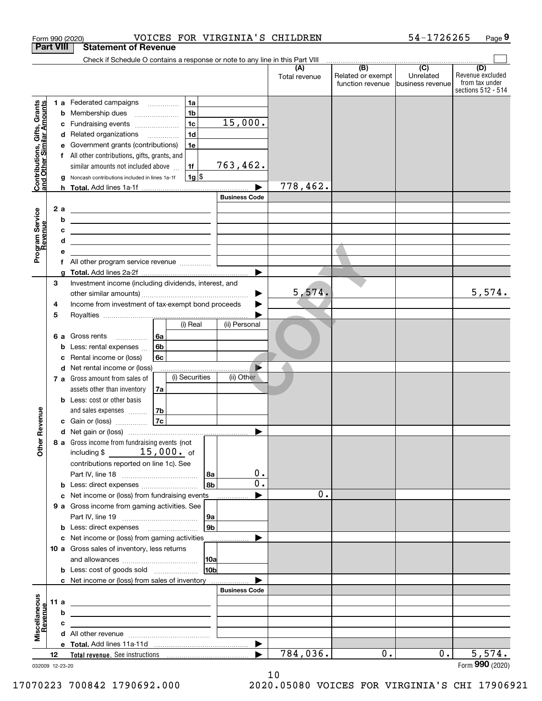|                                                           |                  |        | Form 990 (2020)                                                                                                                                                                      |          |                |                      | VOICES FOR VIRGINIA'S CHILDREN |                                       | 54-1726265                    | Page 9                             |  |
|-----------------------------------------------------------|------------------|--------|--------------------------------------------------------------------------------------------------------------------------------------------------------------------------------------|----------|----------------|----------------------|--------------------------------|---------------------------------------|-------------------------------|------------------------------------|--|
|                                                           | <b>Part VIII</b> |        | <b>Statement of Revenue</b>                                                                                                                                                          |          |                |                      |                                |                                       |                               |                                    |  |
|                                                           |                  |        | Check if Schedule O contains a response or note to any line in this Part VIII                                                                                                        |          |                |                      | (A)                            | $\overline{(B)}$                      | $\overline{(C)}$              | (D)                                |  |
|                                                           |                  |        |                                                                                                                                                                                      |          |                |                      | Total revenue                  | Related or exempt<br>function revenue | Unrelated<br>business revenue | Revenue excluded<br>from tax under |  |
|                                                           |                  |        |                                                                                                                                                                                      |          |                |                      |                                |                                       |                               | sections 512 - 514                 |  |
|                                                           |                  |        | <b>1 a</b> Federated campaigns                                                                                                                                                       |          | 1a             |                      |                                |                                       |                               |                                    |  |
| mounts                                                    |                  |        | <b>b</b> Membership dues                                                                                                                                                             |          | 1 <sub>b</sub> |                      |                                |                                       |                               |                                    |  |
|                                                           |                  | с      | Fundraising events                                                                                                                                                                   |          | 1 <sub>c</sub> | 15,000.              |                                |                                       |                               |                                    |  |
|                                                           |                  |        | d Related organizations                                                                                                                                                              |          | 1 <sub>d</sub> |                      |                                |                                       |                               |                                    |  |
|                                                           |                  | е      | Government grants (contributions)                                                                                                                                                    |          | 1e             |                      |                                |                                       |                               |                                    |  |
|                                                           |                  |        | f All other contributions, gifts, grants, and                                                                                                                                        |          |                |                      |                                |                                       |                               |                                    |  |
| Contributions, Gifts, Grants<br>and Other Similar Amounts |                  |        | similar amounts not included above                                                                                                                                                   |          | 1f             | 763,462.             |                                |                                       |                               |                                    |  |
|                                                           |                  | g      | Noncash contributions included in lines 1a-1f                                                                                                                                        |          | $1g$ \$        |                      | 778,462.                       |                                       |                               |                                    |  |
|                                                           |                  |        |                                                                                                                                                                                      |          |                | <b>Business Code</b> |                                |                                       |                               |                                    |  |
|                                                           |                  | 2a     |                                                                                                                                                                                      |          |                |                      |                                |                                       |                               |                                    |  |
| Program Service<br>Revenue                                |                  | b      | <u> 1989 - Johann John Stone, fransk politiker (d. 1989)</u><br><u> 1980 - Johann Barn, mars eta bainar eta bainar eta baina eta baina eta baina eta baina eta baina eta baina e</u> |          |                |                      |                                |                                       |                               |                                    |  |
|                                                           |                  | c      | <u> 1989 - Johann Barn, mars ann an t-Amhain ann an t-Amhain an t-Amhain an t-Amhain an t-Amhain an t-Amhain an t-</u>                                                               |          |                |                      |                                |                                       |                               |                                    |  |
| evenue                                                    |                  | d      |                                                                                                                                                                                      |          |                |                      |                                |                                       |                               |                                    |  |
|                                                           |                  | е      |                                                                                                                                                                                      |          |                |                      |                                |                                       |                               |                                    |  |
|                                                           |                  | f      | All other program service revenue                                                                                                                                                    |          |                |                      |                                |                                       |                               |                                    |  |
|                                                           |                  | a      |                                                                                                                                                                                      |          |                |                      |                                |                                       |                               |                                    |  |
|                                                           | 3                |        | Investment income (including dividends, interest, and                                                                                                                                |          |                |                      |                                |                                       |                               |                                    |  |
|                                                           |                  |        |                                                                                                                                                                                      |          |                | ▶                    | 5,574.                         |                                       |                               | 5,574.                             |  |
|                                                           | 4                |        | Income from investment of tax-exempt bond proceeds                                                                                                                                   |          |                | ▶                    |                                |                                       |                               |                                    |  |
|                                                           | 5                |        |                                                                                                                                                                                      |          | $(i)$ Real     |                      |                                |                                       |                               |                                    |  |
|                                                           |                  |        |                                                                                                                                                                                      |          |                | (ii) Personal        |                                |                                       |                               |                                    |  |
|                                                           |                  | 6а     | Gross rents                                                                                                                                                                          | 6a<br>6b |                |                      |                                |                                       |                               |                                    |  |
|                                                           |                  | b<br>с | Less: rental expenses<br>Rental income or (loss)                                                                                                                                     | 6c       |                |                      |                                |                                       |                               |                                    |  |
|                                                           |                  |        | d Net rental income or (loss)                                                                                                                                                        |          |                |                      |                                |                                       |                               |                                    |  |
|                                                           |                  |        | <b>7 a</b> Gross amount from sales of                                                                                                                                                |          | (i) Securities | (ii) Other           |                                |                                       |                               |                                    |  |
|                                                           |                  |        | assets other than inventory                                                                                                                                                          | 7a       |                |                      |                                |                                       |                               |                                    |  |
|                                                           |                  |        | <b>b</b> Less: cost or other basis                                                                                                                                                   |          |                |                      |                                |                                       |                               |                                    |  |
|                                                           |                  |        | and sales expenses                                                                                                                                                                   | 7b       |                |                      |                                |                                       |                               |                                    |  |
| venue                                                     |                  |        | <b>c</b> Gain or (loss)                                                                                                                                                              | 7c       |                |                      |                                |                                       |                               |                                    |  |
|                                                           |                  |        |                                                                                                                                                                                      |          |                |                      |                                |                                       |                               |                                    |  |
| Other Re                                                  |                  |        | 8 a Gross income from fundraising events (not                                                                                                                                        |          |                |                      |                                |                                       |                               |                                    |  |
|                                                           |                  |        | including $\frac{2}{3}$ 15,000. of                                                                                                                                                   |          |                |                      |                                |                                       |                               |                                    |  |
|                                                           |                  |        | contributions reported on line 1c). See                                                                                                                                              |          |                | 0.                   |                                |                                       |                               |                                    |  |
|                                                           |                  |        | Less: direct expenses                                                                                                                                                                |          | l 8a<br>8b     | 0.                   |                                |                                       |                               |                                    |  |
|                                                           |                  | b<br>с | Net income or (loss) from fundraising events                                                                                                                                         |          |                |                      | $0$ .                          |                                       |                               |                                    |  |
|                                                           |                  |        | 9 a Gross income from gaming activities. See                                                                                                                                         |          |                |                      |                                |                                       |                               |                                    |  |
|                                                           |                  |        |                                                                                                                                                                                      |          | 9a             |                      |                                |                                       |                               |                                    |  |
|                                                           |                  |        |                                                                                                                                                                                      |          | 9b             |                      |                                |                                       |                               |                                    |  |
|                                                           |                  | с      | Net income or (loss) from gaming activities                                                                                                                                          |          |                |                      |                                |                                       |                               |                                    |  |
|                                                           |                  |        | 10 a Gross sales of inventory, less returns                                                                                                                                          |          |                |                      |                                |                                       |                               |                                    |  |
|                                                           |                  |        |                                                                                                                                                                                      |          | 10a            |                      |                                |                                       |                               |                                    |  |
|                                                           |                  |        | <b>b</b> Less: cost of goods sold                                                                                                                                                    |          | 10b            |                      |                                |                                       |                               |                                    |  |
|                                                           |                  |        | c Net income or (loss) from sales of inventory                                                                                                                                       |          |                |                      |                                |                                       |                               |                                    |  |
|                                                           |                  |        |                                                                                                                                                                                      |          |                | <b>Business Code</b> |                                |                                       |                               |                                    |  |
|                                                           | 11 a             |        |                                                                                                                                                                                      |          |                |                      |                                |                                       |                               |                                    |  |
|                                                           |                  | b      |                                                                                                                                                                                      |          |                |                      |                                |                                       |                               |                                    |  |
| Miscellaneous<br>Revenue                                  |                  | с      |                                                                                                                                                                                      |          |                |                      |                                |                                       |                               |                                    |  |
|                                                           |                  |        |                                                                                                                                                                                      |          |                |                      |                                |                                       |                               |                                    |  |
|                                                           | 12               |        |                                                                                                                                                                                      |          |                |                      | 784,036.                       | $0$ .                                 | 0.                            | 5,574.                             |  |
| 032009 12-23-20                                           |                  |        |                                                                                                                                                                                      |          |                |                      |                                |                                       |                               | Form 990 (2020)                    |  |

10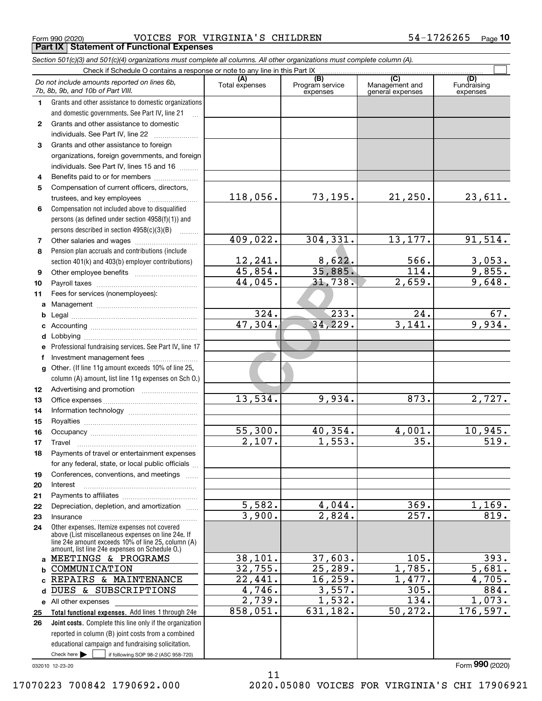Form 990 (2020) Page VOICES FOR VIRGINIA'S CHILDREN 54-1726265 **Part IX Statement of Functional Expenses**

|              | Section 501(c)(3) and 501(c)(4) organizations must complete all columns. All other organizations must complete column (A). |                       |                                    |                                           |                                |
|--------------|----------------------------------------------------------------------------------------------------------------------------|-----------------------|------------------------------------|-------------------------------------------|--------------------------------|
|              | Check if Schedule O contains a response or note to any line in this Part IX                                                |                       |                                    |                                           |                                |
|              | Do not include amounts reported on lines 6b,<br>7b, 8b, 9b, and 10b of Part VIII.                                          | (A)<br>Total expenses | (B)<br>Program service<br>expenses | (C)<br>Management and<br>general expenses | (D)<br>Fundraising<br>expenses |
| 1.           | Grants and other assistance to domestic organizations                                                                      |                       |                                    |                                           |                                |
|              | and domestic governments. See Part IV, line 21                                                                             |                       |                                    |                                           |                                |
| $\mathbf{2}$ | Grants and other assistance to domestic                                                                                    |                       |                                    |                                           |                                |
|              | individuals. See Part IV, line 22                                                                                          |                       |                                    |                                           |                                |
| 3            | Grants and other assistance to foreign                                                                                     |                       |                                    |                                           |                                |
|              | organizations, foreign governments, and foreign                                                                            |                       |                                    |                                           |                                |
|              | individuals. See Part IV, lines 15 and 16                                                                                  |                       |                                    |                                           |                                |
| 4            | Benefits paid to or for members                                                                                            |                       |                                    |                                           |                                |
| 5            | Compensation of current officers, directors,                                                                               |                       |                                    |                                           |                                |
|              |                                                                                                                            | 118,056.              | 73,195.                            | 21,250.                                   | 23,611.                        |
| 6            | Compensation not included above to disqualified                                                                            |                       |                                    |                                           |                                |
|              | persons (as defined under section 4958(f)(1)) and                                                                          |                       |                                    |                                           |                                |
|              | persons described in section 4958(c)(3)(B)                                                                                 |                       |                                    |                                           |                                |
| 7            |                                                                                                                            | 409,022.              | 304,331.                           | 13, 177.                                  | 91,514.                        |
| 8            | Pension plan accruals and contributions (include                                                                           |                       |                                    |                                           |                                |
|              | section 401(k) and 403(b) employer contributions)                                                                          | 12,241.               | 8,622.                             | 566.                                      | $\frac{3,053}{9,855}$          |
| 9            |                                                                                                                            | 45,854.               | 35,885.                            | $\overline{114}$ .                        |                                |
| 10           |                                                                                                                            | 44,045.               | 31,738.                            | 2,659.                                    | 9,648.                         |
| 11           | Fees for services (nonemployees):                                                                                          |                       |                                    |                                           |                                |
| a            |                                                                                                                            |                       |                                    |                                           |                                |
| b            |                                                                                                                            | 324.                  | 233.                               | 24.                                       | 67.                            |
| c            |                                                                                                                            | 47,304.               | 34,229.                            | 3,141.                                    | 9,934.                         |
| d            |                                                                                                                            |                       |                                    |                                           |                                |
| е            | Professional fundraising services. See Part IV, line 17                                                                    |                       |                                    |                                           |                                |
| f            | Investment management fees                                                                                                 |                       |                                    |                                           |                                |
| g            | Other. (If line 11g amount exceeds 10% of line 25,                                                                         |                       |                                    |                                           |                                |
|              | column (A) amount, list line 11g expenses on Sch 0.)                                                                       |                       |                                    |                                           |                                |
| 12           |                                                                                                                            |                       |                                    |                                           |                                |
| 13           |                                                                                                                            | 13,534.               | 9,934.                             | 873.                                      | 2,727.                         |
| 14           |                                                                                                                            |                       |                                    |                                           |                                |
| 15           |                                                                                                                            |                       |                                    |                                           |                                |
| 16           |                                                                                                                            | 55,300.               | 40,354.                            | 4,001.                                    | 10,945.                        |
| 17           |                                                                                                                            | 2,107.                | 1,553.                             | 35.                                       | $\overline{519}$ .             |
| 18           | Payments of travel or entertainment expenses                                                                               |                       |                                    |                                           |                                |
|              | for any federal, state, or local public officials                                                                          |                       |                                    |                                           |                                |
| 19           | Conferences, conventions, and meetings                                                                                     |                       |                                    |                                           |                                |
| 20           | Interest                                                                                                                   |                       |                                    |                                           |                                |
| 21           |                                                                                                                            | 5,582.                | 4,044.                             | 369.                                      | 1,169.                         |
| 22           | Depreciation, depletion, and amortization                                                                                  | 3,900.                | 2,824.                             | 257.                                      | 819.                           |
| 23           | Insurance                                                                                                                  |                       |                                    |                                           |                                |
| 24           | Other expenses. Itemize expenses not covered<br>above (List miscellaneous expenses on line 24e. If                         |                       |                                    |                                           |                                |
|              | line 24e amount exceeds 10% of line 25, column (A)<br>amount, list line 24e expenses on Schedule O.)                       |                       |                                    |                                           |                                |
|              | a MEETINGS & PROGRAMS                                                                                                      | 38,101.               | 37,603.                            | 105.                                      | 393.                           |
| b            | COMMUNICATION                                                                                                              | 32,755.               | 25, 289.                           | 1,785.                                    | 5,681.                         |
|              | REPAIRS & MAINTENANCE                                                                                                      | 22,441.               | 16, 259.                           | 1,477.                                    | 4,705.                         |
| d            | DUES & SUBSCRIPTIONS                                                                                                       | 4,746.                | 3,557.                             | 305.                                      | 884.                           |
|              | e All other expenses                                                                                                       | 2,739.                | 1,532.                             | 134.                                      | 1,073.                         |
| 25           | Total functional expenses. Add lines 1 through 24e                                                                         | 858,051.              | 631,182.                           | 50, 272.                                  | 176, 597.                      |
| 26           | <b>Joint costs.</b> Complete this line only if the organization                                                            |                       |                                    |                                           |                                |
|              | reported in column (B) joint costs from a combined                                                                         |                       |                                    |                                           |                                |
|              | educational campaign and fundraising solicitation.                                                                         |                       |                                    |                                           |                                |
|              | Check here $\blacktriangleright$<br>if following SOP 98-2 (ASC 958-720)                                                    |                       |                                    |                                           |                                |

11

032010 12-23-20

Form (2020) **990**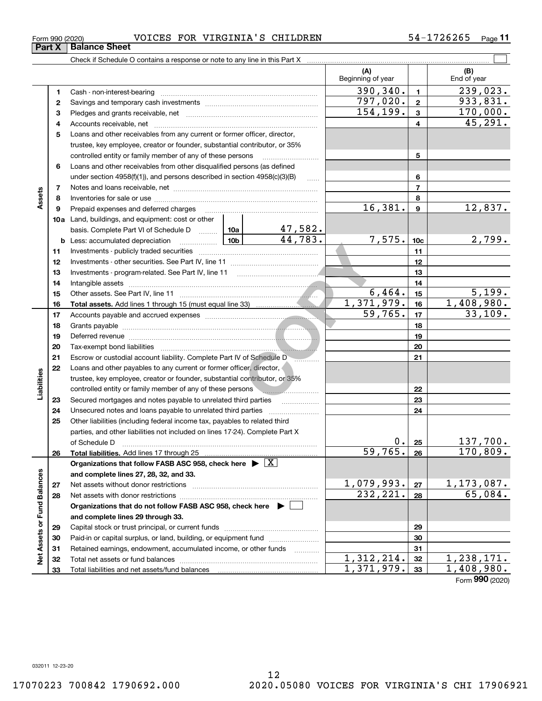| Form 990 (2020) |  | VOICES FOR VIRGINIA'S CHILDREN |  | 54-1726265 | Page 11 |
|-----------------|--|--------------------------------|--|------------|---------|
|-----------------|--|--------------------------------|--|------------|---------|

|                             |              |                                                                                                                                                                                                                                |         |                         | (A)<br>Beginning of year |                         | (B)<br>End of year |
|-----------------------------|--------------|--------------------------------------------------------------------------------------------------------------------------------------------------------------------------------------------------------------------------------|---------|-------------------------|--------------------------|-------------------------|--------------------|
|                             | 1            |                                                                                                                                                                                                                                |         |                         | 390, 340.                | $\mathbf{1}$            | 239,023.           |
|                             | $\mathbf{2}$ |                                                                                                                                                                                                                                |         |                         | 797,020.                 | $\overline{\mathbf{2}}$ | 933,831.           |
|                             | З            |                                                                                                                                                                                                                                |         |                         | 154,199.                 | 3                       | 170,000.           |
|                             | 4            |                                                                                                                                                                                                                                |         |                         |                          | 4                       | 45, 291.           |
|                             | 5            | Loans and other receivables from any current or former officer, director,                                                                                                                                                      |         |                         |                          |                         |                    |
|                             |              | trustee, key employee, creator or founder, substantial contributor, or 35%                                                                                                                                                     |         |                         |                          |                         |                    |
|                             |              | controlled entity or family member of any of these persons                                                                                                                                                                     |         |                         |                          | 5                       |                    |
|                             | 6            | Loans and other receivables from other disqualified persons (as defined                                                                                                                                                        |         |                         |                          |                         |                    |
|                             |              | under section 4958(f)(1)), and persons described in section 4958(c)(3)(B)                                                                                                                                                      |         | $\ldots$                |                          | 6                       |                    |
|                             | 7            |                                                                                                                                                                                                                                |         |                         |                          | $\overline{7}$          |                    |
| Assets                      | 8            |                                                                                                                                                                                                                                |         |                         |                          | 8                       |                    |
|                             | 9            | Prepaid expenses and deferred charges                                                                                                                                                                                          | 16,381. | $\boldsymbol{9}$        | 12,837.                  |                         |                    |
|                             |              | 10a Land, buildings, and equipment: cost or other                                                                                                                                                                              |         |                         |                          |                         |                    |
|                             |              | basis. Complete Part VI of Schedule D  10a                                                                                                                                                                                     |         | $\frac{47,582}{44,783}$ |                          |                         |                    |
|                             |              | <u>  10b</u>  <br><b>b</b> Less: accumulated depreciation                                                                                                                                                                      |         |                         | 7,575.                   | 10 <sub>c</sub>         | 2,799.             |
|                             | 11           |                                                                                                                                                                                                                                |         |                         | 11                       |                         |                    |
|                             | 12           |                                                                                                                                                                                                                                |         | 12                      |                          |                         |                    |
|                             | 13           |                                                                                                                                                                                                                                |         | 13                      |                          |                         |                    |
|                             | 14           |                                                                                                                                                                                                                                |         |                         |                          | 14                      |                    |
|                             | 15           |                                                                                                                                                                                                                                |         |                         | 6,464.                   | 15                      | 5,199.             |
|                             | 16           |                                                                                                                                                                                                                                |         |                         | 1,371,979.               | 16                      | 1,408,980.         |
|                             | 17           |                                                                                                                                                                                                                                |         |                         | 59,765.                  | 17                      | 33,109.            |
|                             | 18           |                                                                                                                                                                                                                                |         |                         |                          | 18                      |                    |
|                             | 19           |                                                                                                                                                                                                                                |         | 19                      |                          |                         |                    |
|                             | 20           |                                                                                                                                                                                                                                |         |                         | 20                       |                         |                    |
|                             | 21           | Escrow or custodial account liability. Complete Part IV of Schedule D                                                                                                                                                          |         |                         |                          | 21                      |                    |
|                             | 22           | Loans and other payables to any current or former officer, director,                                                                                                                                                           |         |                         |                          |                         |                    |
| Liabilities                 |              | trustee, key employee, creator or founder, substantial contributor, or 35%                                                                                                                                                     |         |                         |                          |                         |                    |
|                             |              | controlled entity or family member of any of these persons                                                                                                                                                                     |         |                         |                          | 22                      |                    |
|                             | 23           | Secured mortgages and notes payable to unrelated third parties                                                                                                                                                                 |         |                         |                          | 23                      |                    |
|                             | 24           | Unsecured notes and loans payable to unrelated third parties                                                                                                                                                                   |         |                         |                          | 24                      |                    |
|                             | 25           | Other liabilities (including federal income tax, payables to related third                                                                                                                                                     |         |                         |                          |                         |                    |
|                             |              | parties, and other liabilities not included on lines 17-24). Complete Part X                                                                                                                                                   |         |                         |                          |                         |                    |
|                             |              |                                                                                                                                                                                                                                |         |                         | 0.<br>59,765.            | 25                      | 137,700.           |
|                             | 26           |                                                                                                                                                                                                                                |         |                         |                          | 26                      | 170,809.           |
|                             |              | Organizations that follow FASB ASC 958, check here $\triangleright \lfloor X \rfloor$                                                                                                                                          |         |                         |                          |                         |                    |
|                             |              | and complete lines 27, 28, 32, and 33.                                                                                                                                                                                         |         |                         | 1,079,993.               |                         | 1, 173, 087.       |
|                             | 27           | Net assets without donor restrictions [11] with an intervention and assets without donor restrictions [11] with an intervention and assets without donor restrictions [11] with an intervention and assets with an interventio |         |                         | 232,221.                 | 27<br>28                | 65,084.            |
|                             | 28           |                                                                                                                                                                                                                                |         |                         |                          |                         |                    |
|                             |              | Organizations that do not follow FASB ASC 958, check here ▶ □<br>and complete lines 29 through 33.                                                                                                                             |         |                         |                          |                         |                    |
|                             |              |                                                                                                                                                                                                                                |         |                         |                          | 29                      |                    |
|                             | 29<br>30     | Paid-in or capital surplus, or land, building, or equipment fund                                                                                                                                                               |         |                         |                          | 30                      |                    |
|                             | 31           | Retained earnings, endowment, accumulated income, or other funds                                                                                                                                                               |         |                         |                          | 31                      |                    |
| Net Assets or Fund Balances | 32           |                                                                                                                                                                                                                                |         | 1,312,214.              | 32                       | 1,238,171.              |                    |
|                             | 33           |                                                                                                                                                                                                                                |         |                         | 1,371,979.               | 33                      | 1,408,980.         |
|                             |              |                                                                                                                                                                                                                                |         |                         |                          |                         |                    |

Form (2020) **990**

**Part X Balance Sheet**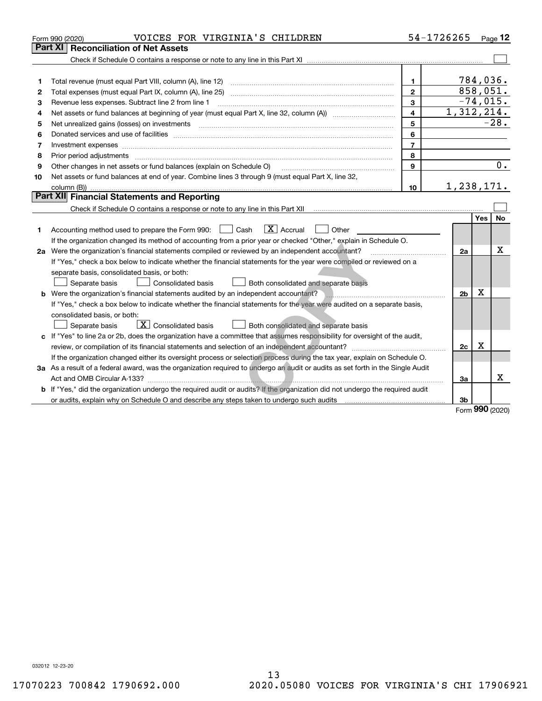|    | VOICES FOR VIRGINIA'S CHILDREN<br>Form 990 (2020)                                                                                    |                | 54-1726265     |          | Page $12$           |  |  |
|----|--------------------------------------------------------------------------------------------------------------------------------------|----------------|----------------|----------|---------------------|--|--|
|    | Part XI<br><b>Reconciliation of Net Assets</b>                                                                                       |                |                |          |                     |  |  |
|    |                                                                                                                                      |                |                |          |                     |  |  |
|    |                                                                                                                                      |                |                |          |                     |  |  |
| 1  |                                                                                                                                      | 1              |                | 784,036. |                     |  |  |
| 2  |                                                                                                                                      | $\overline{2}$ |                | 858,051. |                     |  |  |
| З  | Revenue less expenses. Subtract line 2 from line 1                                                                                   | 3              |                |          | $-74,015.$          |  |  |
| 4  |                                                                                                                                      | $\overline{4}$ | 1,312,214.     |          |                     |  |  |
| 5  |                                                                                                                                      | 5              |                |          | $-28.$              |  |  |
| 6  |                                                                                                                                      | 6              |                |          |                     |  |  |
| 7  | Investment expenses www.communication.com/www.communication.com/www.communication.com/www.communication.com                          | $\overline{7}$ |                |          |                     |  |  |
| 8  | Prior period adjustments www.communication.communication.communication.com/                                                          | 8              |                |          |                     |  |  |
| 9  | Other changes in net assets or fund balances (explain on Schedule O)                                                                 | 9              |                |          | 0.                  |  |  |
| 10 | Net assets or fund balances at end of year. Combine lines 3 through 9 (must equal Part X, line 32,                                   |                |                |          |                     |  |  |
|    |                                                                                                                                      | 10             | 1,238,171.     |          |                     |  |  |
|    | <b>Part XII Financial Statements and Reporting</b>                                                                                   |                |                |          |                     |  |  |
|    |                                                                                                                                      |                |                |          |                     |  |  |
|    |                                                                                                                                      |                |                | Yes      | <b>No</b>           |  |  |
| 1  | $\boxed{\mathbf{X}}$ Accrual<br>Accounting method used to prepare the Form 990: <u>[</u> Cash<br>$\Box$ Other                        |                |                |          |                     |  |  |
|    | If the organization changed its method of accounting from a prior year or checked "Other," explain in Schedule O.                    |                |                |          |                     |  |  |
|    | 2a Were the organization's financial statements compiled or reviewed by an independent accountant?                                   |                |                |          |                     |  |  |
|    | If "Yes," check a box below to indicate whether the financial statements for the year were compiled or reviewed on a                 |                |                |          |                     |  |  |
|    | separate basis, consolidated basis, or both:                                                                                         |                |                |          |                     |  |  |
|    | Separate basis<br>Consolidated basis<br>Both consolidated and separate basis                                                         |                |                |          |                     |  |  |
|    | b Were the organization's financial statements audited by an independent accountant?                                                 |                | 2 <sub>b</sub> | х        |                     |  |  |
|    | If "Yes," check a box below to indicate whether the financial statements for the year were audited on a separate basis,              |                |                |          |                     |  |  |
|    | consolidated basis, or both:                                                                                                         |                |                |          |                     |  |  |
|    | $\boxed{\mathbf{X}}$ Consolidated basis<br>Both consolidated and separate basis<br>Separate basis                                    |                |                |          |                     |  |  |
|    | c If "Yes" to line 2a or 2b, does the organization have a committee that assumes responsibility for oversight of the audit,          |                |                |          |                     |  |  |
|    |                                                                                                                                      |                | 2c             | х        |                     |  |  |
|    | If the organization changed either its oversight process or selection process during the tax year, explain on Schedule O.            |                |                |          |                     |  |  |
|    | 3a As a result of a federal award, was the organization required to undergo an audit or audits as set forth in the Single Audit      |                |                |          |                     |  |  |
|    |                                                                                                                                      |                | 3a             |          | x                   |  |  |
|    | <b>b</b> If "Yes," did the organization undergo the required audit or audits? If the organization did not undergo the required audit |                |                |          |                     |  |  |
|    |                                                                                                                                      |                | 3b             |          |                     |  |  |
|    |                                                                                                                                      |                |                |          | $000 \text{ years}$ |  |  |

Form (2020) **990**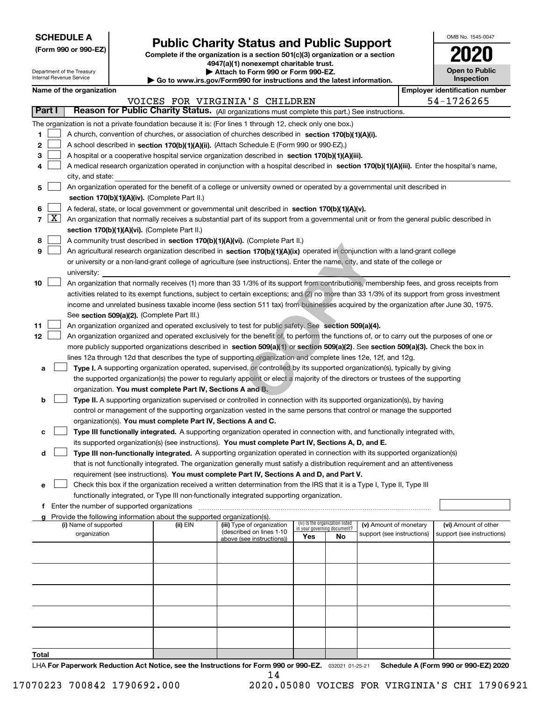| <b>SCHEDULE A</b> |
|-------------------|
|-------------------|

Department of the Treasury Internal Revenue Service

**(Form 990 or 990-EZ)**

# **Public Charity Status and Public Support**

**Complete if the organization is a section 501(c)(3) organization or a section 4947(a)(1) nonexempt charitable trust. | Attach to Form 990 or Form 990-EZ.** 

| $\blacktriangleright$ Allach to Form 330 or Form 330-EZ.                 |
|--------------------------------------------------------------------------|
| ▶ Go to www.irs.gov/Form990 for instructions and the latest information. |

| OMB No. 1545-0047                   |
|-------------------------------------|
| 2020                                |
| <b>Open to Public</b><br>Inspection |

 $\mathbf{I}$ 

|                          | <b>Employer identification number</b><br>Name of the organization                                                                            |          |                                                        |                                 |     |                                                      |  |                                                    |  |  |  |
|--------------------------|----------------------------------------------------------------------------------------------------------------------------------------------|----------|--------------------------------------------------------|---------------------------------|-----|------------------------------------------------------|--|----------------------------------------------------|--|--|--|
|                          |                                                                                                                                              |          | VOICES FOR VIRGINIA'S CHILDREN                         |                                 |     |                                                      |  | 54-1726265                                         |  |  |  |
| <b>Part I</b>            | Reason for Public Charity Status. (All organizations must complete this part.) See instructions.                                             |          |                                                        |                                 |     |                                                      |  |                                                    |  |  |  |
|                          | The organization is not a private foundation because it is: (For lines 1 through 12, check only one box.)                                    |          |                                                        |                                 |     |                                                      |  |                                                    |  |  |  |
| 1                        | A church, convention of churches, or association of churches described in section 170(b)(1)(A)(i).                                           |          |                                                        |                                 |     |                                                      |  |                                                    |  |  |  |
| 2                        | A school described in section 170(b)(1)(A)(ii). (Attach Schedule E (Form 990 or 990-EZ).)                                                    |          |                                                        |                                 |     |                                                      |  |                                                    |  |  |  |
| з                        | A hospital or a cooperative hospital service organization described in section 170(b)(1)(A)(iii).                                            |          |                                                        |                                 |     |                                                      |  |                                                    |  |  |  |
| 4                        | A medical research organization operated in conjunction with a hospital described in section 170(b)(1)(A)(iii). Enter the hospital's name,   |          |                                                        |                                 |     |                                                      |  |                                                    |  |  |  |
|                          | city, and state:                                                                                                                             |          |                                                        |                                 |     |                                                      |  |                                                    |  |  |  |
| 5                        | An organization operated for the benefit of a college or university owned or operated by a governmental unit described in                    |          |                                                        |                                 |     |                                                      |  |                                                    |  |  |  |
|                          | section 170(b)(1)(A)(iv). (Complete Part II.)                                                                                                |          |                                                        |                                 |     |                                                      |  |                                                    |  |  |  |
| 6                        | A federal, state, or local government or governmental unit described in section 170(b)(1)(A)(v).                                             |          |                                                        |                                 |     |                                                      |  |                                                    |  |  |  |
| $\lfloor x \rfloor$<br>7 | An organization that normally receives a substantial part of its support from a governmental unit or from the general public described in    |          |                                                        |                                 |     |                                                      |  |                                                    |  |  |  |
|                          | section 170(b)(1)(A)(vi). (Complete Part II.)                                                                                                |          |                                                        |                                 |     |                                                      |  |                                                    |  |  |  |
| 8                        | A community trust described in section 170(b)(1)(A)(vi). (Complete Part II.)                                                                 |          |                                                        |                                 |     |                                                      |  |                                                    |  |  |  |
| 9                        | An agricultural research organization described in section 170(b)(1)(A)(ix) operated in conjunction with a land-grant college                |          |                                                        |                                 |     |                                                      |  |                                                    |  |  |  |
|                          | or university or a non-land-grant college of agriculture (see instructions). Enter the name, city, and state of the college or               |          |                                                        |                                 |     |                                                      |  |                                                    |  |  |  |
|                          | university:                                                                                                                                  |          |                                                        |                                 |     |                                                      |  |                                                    |  |  |  |
| 10                       | An organization that normally receives (1) more than 33 1/3% of its support from contributions, membership fees, and gross receipts from     |          |                                                        |                                 |     |                                                      |  |                                                    |  |  |  |
|                          | activities related to its exempt functions, subject to certain exceptions; and (2) no more than 33 1/3% of its support from gross investment |          |                                                        |                                 |     |                                                      |  |                                                    |  |  |  |
|                          | income and unrelated business taxable income (less section 511 tax) from businesses acquired by the organization after June 30, 1975.        |          |                                                        |                                 |     |                                                      |  |                                                    |  |  |  |
|                          | See section 509(a)(2). (Complete Part III.)                                                                                                  |          |                                                        |                                 |     |                                                      |  |                                                    |  |  |  |
| 11                       | An organization organized and operated exclusively to test for public safety. See section 509(a)(4).                                         |          |                                                        |                                 |     |                                                      |  |                                                    |  |  |  |
| 12                       | An organization organized and operated exclusively for the benefit of, to perform the functions of, or to carry out the purposes of one or   |          |                                                        |                                 |     |                                                      |  |                                                    |  |  |  |
|                          | more publicly supported organizations described in section 509(a)(1) or section 509(a)(2). See section 509(a)(3). Check the box in           |          |                                                        |                                 |     |                                                      |  |                                                    |  |  |  |
|                          | lines 12a through 12d that describes the type of supporting organization and complete lines 12e, 12f, and 12g.                               |          |                                                        |                                 |     |                                                      |  |                                                    |  |  |  |
| а                        | Type I. A supporting organization operated, supervised, or controlled by its supported organization(s), typically by giving                  |          |                                                        |                                 |     |                                                      |  |                                                    |  |  |  |
|                          | the supported organization(s) the power to regularly appoint or elect a majority of the directors or trustees of the supporting              |          |                                                        |                                 |     |                                                      |  |                                                    |  |  |  |
|                          | organization. You must complete Part IV, Sections A and B.                                                                                   |          |                                                        |                                 |     |                                                      |  |                                                    |  |  |  |
| b                        | Type II. A supporting organization supervised or controlled in connection with its supported organization(s), by having                      |          |                                                        |                                 |     |                                                      |  |                                                    |  |  |  |
|                          | control or management of the supporting organization vested in the same persons that control or manage the supported                         |          |                                                        |                                 |     |                                                      |  |                                                    |  |  |  |
|                          | organization(s). You must complete Part IV, Sections A and C.                                                                                |          |                                                        |                                 |     |                                                      |  |                                                    |  |  |  |
| c                        | Type III functionally integrated. A supporting organization operated in connection with, and functionally integrated with,                   |          |                                                        |                                 |     |                                                      |  |                                                    |  |  |  |
|                          | its supported organization(s) (see instructions). You must complete Part IV, Sections A, D, and E.                                           |          |                                                        |                                 |     |                                                      |  |                                                    |  |  |  |
| d                        | Type III non-functionally integrated. A supporting organization operated in connection with its supported organization(s)                    |          |                                                        |                                 |     |                                                      |  |                                                    |  |  |  |
|                          | that is not functionally integrated. The organization generally must satisfy a distribution requirement and an attentiveness                 |          |                                                        |                                 |     |                                                      |  |                                                    |  |  |  |
|                          | requirement (see instructions). You must complete Part IV, Sections A and D, and Part V.                                                     |          |                                                        |                                 |     |                                                      |  |                                                    |  |  |  |
| е                        | Check this box if the organization received a written determination from the IRS that it is a Type I, Type II, Type III                      |          |                                                        |                                 |     |                                                      |  |                                                    |  |  |  |
|                          | functionally integrated, or Type III non-functionally integrated supporting organization.                                                    |          |                                                        |                                 |     |                                                      |  |                                                    |  |  |  |
|                          |                                                                                                                                              |          |                                                        |                                 |     |                                                      |  |                                                    |  |  |  |
|                          | Provide the following information about the supported organization(s).<br>(i) Name of supported                                              |          |                                                        | (iv) Is the organization listed |     |                                                      |  |                                                    |  |  |  |
|                          | organization                                                                                                                                 | (ii) EIN | (iii) Type of organization<br>(described on lines 1-10 | in your governing document?     |     | (v) Amount of monetary<br>support (see instructions) |  | (vi) Amount of other<br>support (see instructions) |  |  |  |
|                          |                                                                                                                                              |          | above (see instructions))                              | Yes                             | No. |                                                      |  |                                                    |  |  |  |
|                          |                                                                                                                                              |          |                                                        |                                 |     |                                                      |  |                                                    |  |  |  |
|                          |                                                                                                                                              |          |                                                        |                                 |     |                                                      |  |                                                    |  |  |  |
|                          |                                                                                                                                              |          |                                                        |                                 |     |                                                      |  |                                                    |  |  |  |
|                          |                                                                                                                                              |          |                                                        |                                 |     |                                                      |  |                                                    |  |  |  |
|                          |                                                                                                                                              |          |                                                        |                                 |     |                                                      |  |                                                    |  |  |  |
|                          |                                                                                                                                              |          |                                                        |                                 |     |                                                      |  |                                                    |  |  |  |
|                          |                                                                                                                                              |          |                                                        |                                 |     |                                                      |  |                                                    |  |  |  |
|                          |                                                                                                                                              |          |                                                        |                                 |     |                                                      |  |                                                    |  |  |  |
|                          |                                                                                                                                              |          |                                                        |                                 |     |                                                      |  |                                                    |  |  |  |
| Total                    |                                                                                                                                              |          |                                                        |                                 |     |                                                      |  |                                                    |  |  |  |

LHA For Paperwork Reduction Act Notice, see the Instructions for Form 990 or 990-EZ. <sub>032021</sub> o1-25-21 Schedule A (Form 990 or 990-EZ) 2020 14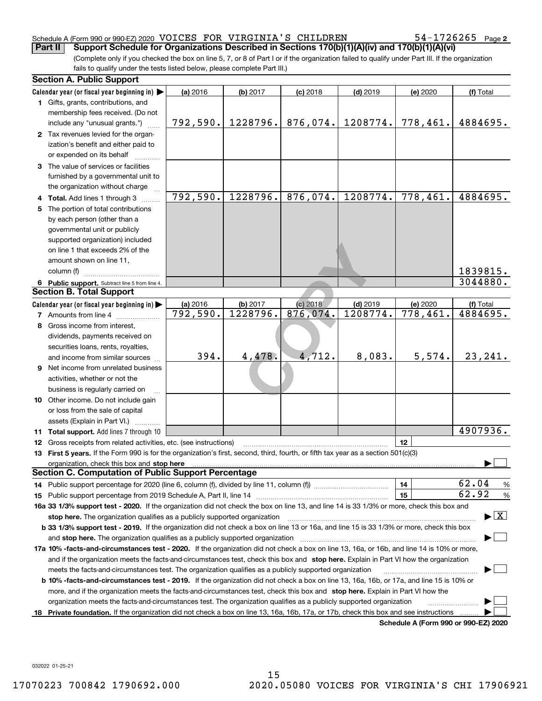#### Schedule A (Form 990 or 990-EZ) 2020  $\,$  VOICES  $\,$  FOR  $\,$  VIRGINIA'S  $\,$  CHILDREN  $\,$   $\,$   $\,$  54-1726265  $\,$   $_{\rm Page}$ **Part II Support Schedule for Organizations Described in Sections 170(b)(1)(A)(iv) and 170(b)(1)(A)(vi)**

 $54 - 1726265$  Page 2

(Complete only if you checked the box on line 5, 7, or 8 of Part I or if the organization failed to qualify under Part III. If the organization fails to qualify under the tests listed below, please complete Part III.)

| <b>Section A. Public Support</b>                                                                                                               |                       |          |            |            |                                      |                                         |
|------------------------------------------------------------------------------------------------------------------------------------------------|-----------------------|----------|------------|------------|--------------------------------------|-----------------------------------------|
| Calendar year (or fiscal year beginning in)                                                                                                    | (a) 2016              | (b) 2017 | $(c)$ 2018 | $(d)$ 2019 | (e) 2020                             | (f) Total                               |
| 1 Gifts, grants, contributions, and                                                                                                            |                       |          |            |            |                                      |                                         |
| membership fees received. (Do not                                                                                                              |                       |          |            |            |                                      |                                         |
| include any "unusual grants.")                                                                                                                 | 792,590.              | 1228796. | 876,074.   | 1208774.   | 778,461.                             | 4884695.                                |
| 2 Tax revenues levied for the organ-                                                                                                           |                       |          |            |            |                                      |                                         |
| ization's benefit and either paid to                                                                                                           |                       |          |            |            |                                      |                                         |
| or expended on its behalf                                                                                                                      |                       |          |            |            |                                      |                                         |
| 3 The value of services or facilities                                                                                                          |                       |          |            |            |                                      |                                         |
| furnished by a governmental unit to                                                                                                            |                       |          |            |            |                                      |                                         |
| the organization without charge                                                                                                                |                       |          |            |            |                                      |                                         |
| 4 Total. Add lines 1 through 3                                                                                                                 | $\overline{792,590.}$ | 1228796. | 876,074.   | 1208774.   | 778,461.                             | 4884695.                                |
| 5 The portion of total contributions                                                                                                           |                       |          |            |            |                                      |                                         |
| by each person (other than a                                                                                                                   |                       |          |            |            |                                      |                                         |
| governmental unit or publicly                                                                                                                  |                       |          |            |            |                                      |                                         |
| supported organization) included                                                                                                               |                       |          |            |            |                                      |                                         |
| on line 1 that exceeds 2% of the                                                                                                               |                       |          |            |            |                                      |                                         |
| amount shown on line 11,                                                                                                                       |                       |          |            |            |                                      |                                         |
| column (f)                                                                                                                                     |                       |          |            |            |                                      | 1839815.                                |
| 6 Public support. Subtract line 5 from line 4.                                                                                                 |                       |          |            |            |                                      | 3044880.                                |
| <b>Section B. Total Support</b>                                                                                                                |                       |          |            |            |                                      |                                         |
| Calendar year (or fiscal year beginning in)                                                                                                    | (a) 2016              | (b) 2017 | (c) 2018   | $(d)$ 2019 | (e) 2020                             | (f) Total                               |
| <b>7</b> Amounts from line 4                                                                                                                   | 792,590.              | 1228796. | 876,074.   | 1208774.   | 778,461.                             | 4884695.                                |
| 8 Gross income from interest,                                                                                                                  |                       |          |            |            |                                      |                                         |
| dividends, payments received on                                                                                                                |                       |          |            |            |                                      |                                         |
| securities loans, rents, royalties,                                                                                                            |                       |          |            |            |                                      |                                         |
| and income from similar sources                                                                                                                | 394.                  | 4,478.   | 4,712.     | 8,083.     | 5,574.                               | 23, 241.                                |
| 9 Net income from unrelated business                                                                                                           |                       |          |            |            |                                      |                                         |
| activities, whether or not the                                                                                                                 |                       |          |            |            |                                      |                                         |
| business is regularly carried on                                                                                                               |                       |          |            |            |                                      |                                         |
| <b>10</b> Other income. Do not include gain                                                                                                    |                       |          |            |            |                                      |                                         |
| or loss from the sale of capital                                                                                                               |                       |          |            |            |                                      |                                         |
| assets (Explain in Part VI.)                                                                                                                   |                       |          |            |            |                                      |                                         |
| <b>11 Total support.</b> Add lines 7 through 10                                                                                                |                       |          |            |            |                                      | 4907936.                                |
| 12 Gross receipts from related activities, etc. (see instructions)                                                                             |                       |          |            |            | 12                                   |                                         |
| 13 First 5 years. If the Form 990 is for the organization's first, second, third, fourth, or fifth tax year as a section 501(c)(3)             |                       |          |            |            |                                      |                                         |
| organization, check this box and stop here                                                                                                     |                       |          |            |            |                                      |                                         |
| <b>Section C. Computation of Public Support Percentage</b>                                                                                     |                       |          |            |            |                                      |                                         |
|                                                                                                                                                |                       |          |            |            | 14                                   | 62.04<br>$\frac{9}{6}$                  |
|                                                                                                                                                |                       |          |            |            | 15                                   | 62.92<br>$\frac{9}{6}$                  |
| 16a 33 1/3% support test - 2020. If the organization did not check the box on line 13, and line 14 is 33 1/3% or more, check this box and      |                       |          |            |            |                                      |                                         |
| stop here. The organization qualifies as a publicly supported organization                                                                     |                       |          |            |            |                                      | $\blacktriangleright$ $\vert$ X $\vert$ |
| b 33 1/3% support test - 2019. If the organization did not check a box on line 13 or 16a, and line 15 is 33 1/3% or more, check this box       |                       |          |            |            |                                      |                                         |
| and stop here. The organization qualifies as a publicly supported organization                                                                 |                       |          |            |            |                                      |                                         |
| 17a 10% -facts-and-circumstances test - 2020. If the organization did not check a box on line 13, 16a, or 16b, and line 14 is 10% or more,     |                       |          |            |            |                                      |                                         |
| and if the organization meets the facts-and-circumstances test, check this box and stop here. Explain in Part VI how the organization          |                       |          |            |            |                                      |                                         |
| meets the facts-and-circumstances test. The organization qualifies as a publicly supported organization                                        |                       |          |            |            |                                      |                                         |
| <b>b 10% -facts-and-circumstances test - 2019.</b> If the organization did not check a box on line 13, 16a, 16b, or 17a, and line 15 is 10% or |                       |          |            |            |                                      |                                         |
| more, and if the organization meets the facts-and-circumstances test, check this box and stop here. Explain in Part VI how the                 |                       |          |            |            |                                      |                                         |
| organization meets the facts-and-circumstances test. The organization qualifies as a publicly supported organization                           |                       |          |            |            |                                      |                                         |
| 18 Private foundation. If the organization did not check a box on line 13, 16a, 16b, 17a, or 17b, check this box and see instructions          |                       |          |            |            |                                      |                                         |
|                                                                                                                                                |                       |          |            |            | Schedule A (Form 990 or 990-EZ) 2020 |                                         |

**Schedule A (Form 990 or 990-EZ) 2020**

032022 01-25-21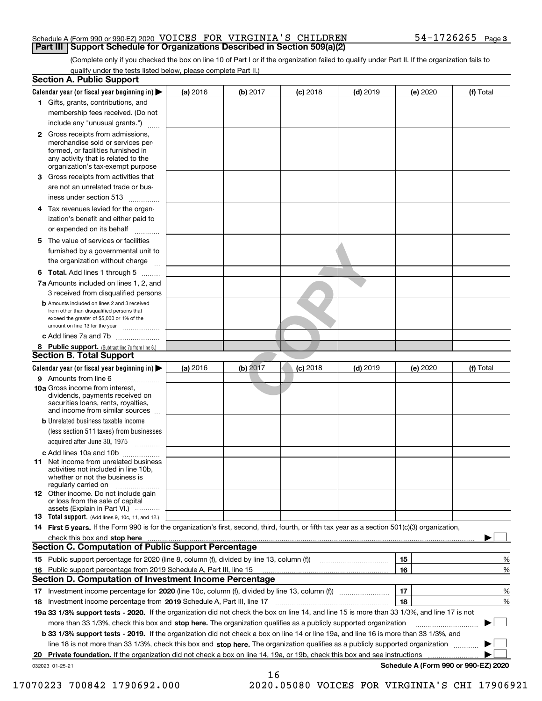#### Schedule A (Form 990 or 990-EZ) 2020  $\,$  VOICES  $\,$  FOR  $\,$  VIRGINIA'S  $\,$  CHILDREN  $\,$   $\,$   $\,$  54-1726265  $\,$   $_{\rm Page}$ **Part III Support Schedule for Organizations Described in Section 509(a)(2)**

(Complete only if you checked the box on line 10 of Part I or if the organization failed to qualify under Part II. If the organization fails to qualify under the tests listed below, please complete Part II.)

|    | <b>Section A. Public Support</b>                                                                                                                                                                                                    |            |          |            |            |          |                                      |
|----|-------------------------------------------------------------------------------------------------------------------------------------------------------------------------------------------------------------------------------------|------------|----------|------------|------------|----------|--------------------------------------|
|    | Calendar year (or fiscal year beginning in) $\blacktriangleright$                                                                                                                                                                   | $(a)$ 2016 | (b) 2017 | $(c)$ 2018 | $(d)$ 2019 | (e) 2020 | (f) Total                            |
|    | 1 Gifts, grants, contributions, and                                                                                                                                                                                                 |            |          |            |            |          |                                      |
|    | membership fees received. (Do not                                                                                                                                                                                                   |            |          |            |            |          |                                      |
|    | include any "unusual grants.")                                                                                                                                                                                                      |            |          |            |            |          |                                      |
|    | <b>2</b> Gross receipts from admissions,<br>merchandise sold or services per-<br>formed, or facilities furnished in<br>any activity that is related to the<br>organization's tax-exempt purpose                                     |            |          |            |            |          |                                      |
|    | 3 Gross receipts from activities that<br>are not an unrelated trade or bus-                                                                                                                                                         |            |          |            |            |          |                                      |
|    | iness under section 513                                                                                                                                                                                                             |            |          |            |            |          |                                      |
|    | 4 Tax revenues levied for the organ-<br>ization's benefit and either paid to                                                                                                                                                        |            |          |            |            |          |                                      |
|    | or expended on its behalf<br>5 The value of services or facilities                                                                                                                                                                  |            |          |            |            |          |                                      |
|    | furnished by a governmental unit to<br>the organization without charge                                                                                                                                                              |            |          |            |            |          |                                      |
|    |                                                                                                                                                                                                                                     |            |          |            |            |          |                                      |
|    | <b>6 Total.</b> Add lines 1 through 5                                                                                                                                                                                               |            |          |            |            |          |                                      |
|    | 7a Amounts included on lines 1, 2, and<br>3 received from disqualified persons                                                                                                                                                      |            |          |            |            |          |                                      |
|    | <b>b</b> Amounts included on lines 2 and 3 received<br>from other than disqualified persons that<br>exceed the greater of \$5,000 or 1% of the<br>amount on line 13 for the year                                                    |            |          |            |            |          |                                      |
|    | c Add lines 7a and 7b                                                                                                                                                                                                               |            |          |            |            |          |                                      |
|    | 8 Public support. (Subtract line 7c from line 6.)                                                                                                                                                                                   |            |          |            |            |          |                                      |
|    | <b>Section B. Total Support</b>                                                                                                                                                                                                     |            |          |            |            |          |                                      |
|    | Calendar year (or fiscal year beginning in)                                                                                                                                                                                         | (a) 2016   | (b) 2017 | $(c)$ 2018 | $(d)$ 2019 | (e) 2020 | (f) Total                            |
|    | 9 Amounts from line 6<br><b>10a</b> Gross income from interest,<br>dividends, payments received on<br>securities loans, rents, royalties,<br>and income from similar sources                                                        |            |          |            |            |          |                                      |
|    | <b>b</b> Unrelated business taxable income<br>(less section 511 taxes) from businesses<br>acquired after June 30, 1975<br>1.1.1.1.1.1.1.1.1.1                                                                                       |            |          |            |            |          |                                      |
|    | c Add lines 10a and 10b                                                                                                                                                                                                             |            |          |            |            |          |                                      |
|    | 11 Net income from unrelated business<br>activities not included in line 10b.<br>whether or not the business is<br>regularly carried on                                                                                             |            |          |            |            |          |                                      |
|    | <b>12</b> Other income. Do not include gain<br>or loss from the sale of capital<br>assets (Explain in Part VI.)                                                                                                                     |            |          |            |            |          |                                      |
|    | 13 Total support. (Add lines 9, 10c, 11, and 12.)                                                                                                                                                                                   |            |          |            |            |          |                                      |
|    | 14 First 5 years. If the Form 990 is for the organization's first, second, third, fourth, or fifth tax year as a section 501(c)(3) organization,                                                                                    |            |          |            |            |          |                                      |
|    | check this box and <b>stop here</b> with the continuum continuum continuum continuum continuum continuum continuum continuum continuum continuum continuum continuum continuum continuum continuum continuum continuum continuum co |            |          |            |            |          |                                      |
|    | <b>Section C. Computation of Public Support Percentage</b>                                                                                                                                                                          |            |          |            |            |          |                                      |
|    |                                                                                                                                                                                                                                     |            |          |            |            | 15       | %                                    |
| 16 | Public support percentage from 2019 Schedule A, Part III, line 15                                                                                                                                                                   |            |          |            |            | 16       | %                                    |
|    | Section D. Computation of Investment Income Percentage                                                                                                                                                                              |            |          |            |            |          |                                      |
|    | 17 Investment income percentage for 2020 (line 10c, column (f), divided by line 13, column (f))                                                                                                                                     |            |          |            |            | 17<br>18 | %<br>%                               |
|    | 18 Investment income percentage from 2019 Schedule A, Part III, line 17<br>19a 33 1/3% support tests - 2020. If the organization did not check the box on line 14, and line 15 is more than 33 1/3%, and line 17 is not             |            |          |            |            |          |                                      |
|    | more than 33 1/3%, check this box and stop here. The organization qualifies as a publicly supported organization                                                                                                                    |            |          |            |            |          |                                      |
|    | b 33 1/3% support tests - 2019. If the organization did not check a box on line 14 or line 19a, and line 16 is more than 33 1/3%, and                                                                                               |            |          |            |            |          |                                      |
|    | line 18 is not more than 33 1/3%, check this box and stop here. The organization qualifies as a publicly supported organization                                                                                                     |            |          |            |            |          |                                      |
| 20 | <b>Private foundation.</b> If the organization did not check a box on line 14, 19a, or 19b, check this box and see instructions                                                                                                     |            |          |            |            |          | .                                    |
|    | 032023 01-25-21                                                                                                                                                                                                                     |            |          |            |            |          | Schedule A (Form 990 or 990-EZ) 2020 |
|    |                                                                                                                                                                                                                                     |            | 16       |            |            |          |                                      |

 <sup>17070223 700842 1790692.000 2020.05080</sup> VOICES FOR VIRGINIA'S CHI 17906921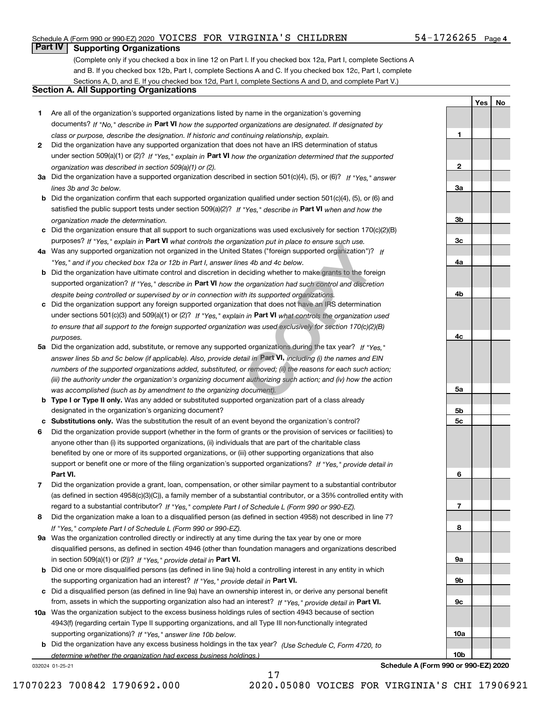#### Schedule A (Form 990 or 990-EZ) 2020  $\,$  VOICES  $\,$  FOR  $\,$  VIRGINIA'S  $\,$  CHILDREN  $\,$   $\,$   $\,$  54-1726265  $\,$   $_{\rm Page}$

## **Part IV Supporting Organizations**

(Complete only if you checked a box in line 12 on Part I. If you checked box 12a, Part I, complete Sections A and B. If you checked box 12b, Part I, complete Sections A and C. If you checked box 12c, Part I, complete Sections A, D, and E. If you checked box 12d, Part I, complete Sections A and D, and complete Part V.)

#### **Section A. All Supporting Organizations**

- **1** Are all of the organization's supported organizations listed by name in the organization's governing documents? If "No," describe in **Part VI** how the supported organizations are designated. If designated by *class or purpose, describe the designation. If historic and continuing relationship, explain.*
- **2** Did the organization have any supported organization that does not have an IRS determination of status under section 509(a)(1) or (2)? If "Yes," explain in Part VI how the organization determined that the supported *organization was described in section 509(a)(1) or (2).*
- **3a** Did the organization have a supported organization described in section 501(c)(4), (5), or (6)? If "Yes," answer *lines 3b and 3c below.*
- **b** Did the organization confirm that each supported organization qualified under section 501(c)(4), (5), or (6) and satisfied the public support tests under section 509(a)(2)? If "Yes," describe in **Part VI** when and how the *organization made the determination.*
- **c**Did the organization ensure that all support to such organizations was used exclusively for section 170(c)(2)(B) purposes? If "Yes," explain in **Part VI** what controls the organization put in place to ensure such use.
- **4a***If* Was any supported organization not organized in the United States ("foreign supported organization")? *"Yes," and if you checked box 12a or 12b in Part I, answer lines 4b and 4c below.*
- **b** Did the organization have ultimate control and discretion in deciding whether to make grants to the foreign supported organization? If "Yes," describe in **Part VI** how the organization had such control and discretion *despite being controlled or supervised by or in connection with its supported organizations.*
- **c** Did the organization support any foreign supported organization that does not have an IRS determination under sections 501(c)(3) and 509(a)(1) or (2)? If "Yes," explain in **Part VI** what controls the organization used *to ensure that all support to the foreign supported organization was used exclusively for section 170(c)(2)(B) purposes.*
- **5a***If "Yes,"* Did the organization add, substitute, or remove any supported organizations during the tax year? answer lines 5b and 5c below (if applicable). Also, provide detail in Part **VI,** including (i) the names and EIN *numbers of the supported organizations added, substituted, or removed; (ii) the reasons for each such action; (iii) the authority under the organization's organizing document authorizing such action; and (iv) how the action was accomplished (such as by amendment to the organizing document).* Inzation put in place to ensure such use.<br>
States ("foreign supported organization")?<br>
les 4b and 4c below.<br>
deciding whether to make grants to the fore<br>
e organization had such control and discreti<br>
th its supported organ
- **b** Type I or Type II only. Was any added or substituted supported organization part of a class already designated in the organization's organizing document?
- **cSubstitutions only.**  Was the substitution the result of an event beyond the organization's control?
- **6** Did the organization provide support (whether in the form of grants or the provision of services or facilities) to **Part VI.** *If "Yes," provide detail in* support or benefit one or more of the filing organization's supported organizations? anyone other than (i) its supported organizations, (ii) individuals that are part of the charitable class benefited by one or more of its supported organizations, or (iii) other supporting organizations that also
- **7**Did the organization provide a grant, loan, compensation, or other similar payment to a substantial contributor *If "Yes," complete Part I of Schedule L (Form 990 or 990-EZ).* regard to a substantial contributor? (as defined in section 4958(c)(3)(C)), a family member of a substantial contributor, or a 35% controlled entity with
- **8** Did the organization make a loan to a disqualified person (as defined in section 4958) not described in line 7? *If "Yes," complete Part I of Schedule L (Form 990 or 990-EZ).*
- **9a** Was the organization controlled directly or indirectly at any time during the tax year by one or more in section 509(a)(1) or (2))? If "Yes," *provide detail in* <code>Part VI.</code> disqualified persons, as defined in section 4946 (other than foundation managers and organizations described
- **b** Did one or more disqualified persons (as defined in line 9a) hold a controlling interest in any entity in which the supporting organization had an interest? If "Yes," provide detail in P**art VI**.
- **c**Did a disqualified person (as defined in line 9a) have an ownership interest in, or derive any personal benefit from, assets in which the supporting organization also had an interest? If "Yes," provide detail in P**art VI.**
- **10a** Was the organization subject to the excess business holdings rules of section 4943 because of section supporting organizations)? If "Yes," answer line 10b below. 4943(f) (regarding certain Type II supporting organizations, and all Type III non-functionally integrated
- **b** Did the organization have any excess business holdings in the tax year? (Use Schedule C, Form 4720, to *determine whether the organization had excess business holdings.)*

17

032024 01-25-21

**Schedule A (Form 990 or 990-EZ) 2020**

**1**

**2**

**3a**

**3b**

**YesNo**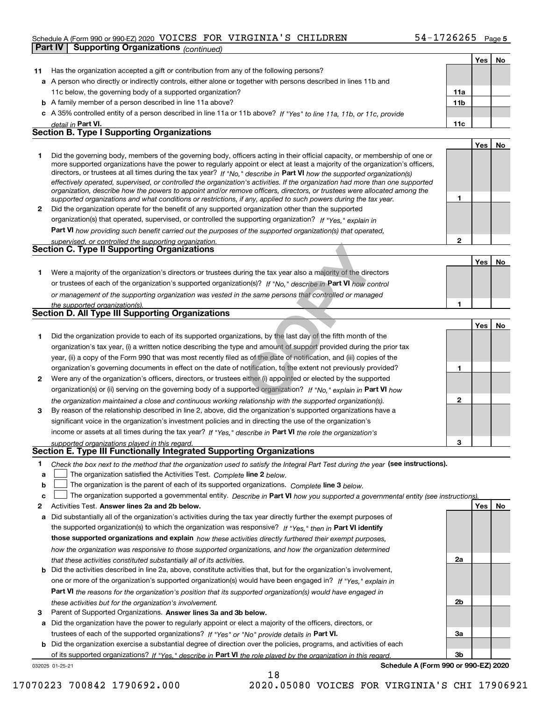#### Schedule A (Form 990 or 990-EZ) 2020  $\,$  VOICES  $\,$  FOR  $\,$  VIRGINIA'S  $\,$  CHILDREN  $\,$   $\,$   $\,$  54-1726265  $\,$   $_{\rm Page}$ **Part IV Supporting Organizations** *(continued)*

|              |                                                                                                                                                                                                                                                           |              | Yes   No |    |
|--------------|-----------------------------------------------------------------------------------------------------------------------------------------------------------------------------------------------------------------------------------------------------------|--------------|----------|----|
| 11           | Has the organization accepted a gift or contribution from any of the following persons?                                                                                                                                                                   |              |          |    |
|              | a A person who directly or indirectly controls, either alone or together with persons described in lines 11b and                                                                                                                                          |              |          |    |
|              | 11c below, the governing body of a supported organization?                                                                                                                                                                                                | 11a          |          |    |
|              | <b>b</b> A family member of a person described in line 11a above?                                                                                                                                                                                         | 11b          |          |    |
|              | c A 35% controlled entity of a person described in line 11a or 11b above? If "Yes" to line 11a, 11b, or 11c, provide                                                                                                                                      |              |          |    |
|              | detail in Part VI.                                                                                                                                                                                                                                        | 11c          |          |    |
|              | <b>Section B. Type I Supporting Organizations</b>                                                                                                                                                                                                         |              |          |    |
|              |                                                                                                                                                                                                                                                           |              | Yes      | No |
| 1            | Did the governing body, members of the governing body, officers acting in their official capacity, or membership of one or                                                                                                                                |              |          |    |
|              | more supported organizations have the power to regularly appoint or elect at least a majority of the organization's officers,                                                                                                                             |              |          |    |
|              | directors, or trustees at all times during the tax year? If "No," describe in Part VI how the supported organization(s)<br>effectively operated, supervised, or controlled the organization's activities. If the organization had more than one supported |              |          |    |
|              | organization, describe how the powers to appoint and/or remove officers, directors, or trustees were allocated among the                                                                                                                                  |              |          |    |
|              | supported organizations and what conditions or restrictions, if any, applied to such powers during the tax year.                                                                                                                                          | 1            |          |    |
| $\mathbf{2}$ | Did the organization operate for the benefit of any supported organization other than the supported                                                                                                                                                       |              |          |    |
|              | organization(s) that operated, supervised, or controlled the supporting organization? If "Yes," explain in                                                                                                                                                |              |          |    |
|              | Part VI how providing such benefit carried out the purposes of the supported organization(s) that operated,                                                                                                                                               |              |          |    |
|              | supervised, or controlled the supporting organization.                                                                                                                                                                                                    | $\mathbf{2}$ |          |    |
|              | <b>Section C. Type II Supporting Organizations</b>                                                                                                                                                                                                        |              |          |    |
|              |                                                                                                                                                                                                                                                           |              | Yes      | No |
| 1.           | Were a majority of the organization's directors or trustees during the tax year also a majority of the directors                                                                                                                                          |              |          |    |
|              | or trustees of each of the organization's supported organization(s)? If "No." describe in Part VI how control                                                                                                                                             |              |          |    |
|              | or management of the supporting organization was vested in the same persons that controlled or managed                                                                                                                                                    |              |          |    |
|              | the supported organization(s).<br><b>Section D. All Type III Supporting Organizations</b>                                                                                                                                                                 | 1            |          |    |
|              |                                                                                                                                                                                                                                                           |              |          |    |
|              |                                                                                                                                                                                                                                                           |              | Yes      | No |
| 1            | Did the organization provide to each of its supported organizations, by the last day of the fifth month of the                                                                                                                                            |              |          |    |
|              | organization's tax year, (i) a written notice describing the type and amount of support provided during the prior tax                                                                                                                                     |              |          |    |
|              | year, (ii) a copy of the Form 990 that was most recently filed as of the date of notification, and (iii) copies of the                                                                                                                                    |              |          |    |
|              | organization's governing documents in effect on the date of notification, to the extent not previously provided?                                                                                                                                          | 1            |          |    |
| 2            | Were any of the organization's officers, directors, or trustees either (i) appointed or elected by the supported                                                                                                                                          |              |          |    |
|              | organization(s) or (ii) serving on the governing body of a supported organization? If "No," explain in Part VI how                                                                                                                                        |              |          |    |
|              | the organization maintained a close and continuous working relationship with the supported organization(s).                                                                                                                                               | $\mathbf{2}$ |          |    |
| 3            | By reason of the relationship described in line 2, above, did the organization's supported organizations have a                                                                                                                                           |              |          |    |
|              | significant voice in the organization's investment policies and in directing the use of the organization's                                                                                                                                                |              |          |    |
|              | income or assets at all times during the tax year? If "Yes," describe in Part VI the role the organization's                                                                                                                                              | з            |          |    |
|              | supported organizations played in this regard.<br>Section E. Type III Functionally Integrated Supporting Organizations                                                                                                                                    |              |          |    |
| 1            | Check the box next to the method that the organization used to satisfy the Integral Part Test during the year (see instructions).                                                                                                                         |              |          |    |
| a            | The organization satisfied the Activities Test. Complete line 2 below.                                                                                                                                                                                    |              |          |    |
| b            | The organization is the parent of each of its supported organizations. Complete line 3 below.                                                                                                                                                             |              |          |    |
| c            | The organization supported a governmental entity. Describe in Part VI how you supported a governmental entity (see instructions)                                                                                                                          |              |          |    |
| 2            | Activities Test. Answer lines 2a and 2b below.                                                                                                                                                                                                            |              | Yes      | No |
| a            | Did substantially all of the organization's activities during the tax year directly further the exempt purposes of                                                                                                                                        |              |          |    |
|              | the supported organization(s) to which the organization was responsive? If "Yes." then in Part VI identify                                                                                                                                                |              |          |    |
|              | those supported organizations and explain how these activities directly furthered their exempt purposes,                                                                                                                                                  |              |          |    |
|              | how the organization was responsive to those supported organizations, and how the organization determined                                                                                                                                                 |              |          |    |
|              | that these activities constituted substantially all of its activities.                                                                                                                                                                                    | 2a           |          |    |
|              | <b>b</b> Did the activities described in line 2a, above, constitute activities that, but for the organization's involvement,                                                                                                                              |              |          |    |
|              | one or more of the organization's supported organization(s) would have been engaged in? If "Yes," explain in                                                                                                                                              |              |          |    |
|              | Part VI the reasons for the organization's position that its supported organization(s) would have engaged in                                                                                                                                              |              |          |    |
|              | these activities but for the organization's involvement.                                                                                                                                                                                                  | 2b           |          |    |
| 3            | Parent of Supported Organizations. Answer lines 3a and 3b below.                                                                                                                                                                                          |              |          |    |
|              | a Did the organization have the power to regularly appoint or elect a majority of the officers, directors, or                                                                                                                                             |              |          |    |
|              | trustees of each of the supported organizations? If "Yes" or "No" provide details in Part VI.                                                                                                                                                             | За           |          |    |
|              | <b>b</b> Did the organization exercise a substantial degree of direction over the policies, programs, and activities of each                                                                                                                              |              |          |    |
|              | of its supported organizations? If "Yes," describe in Part VI the role played by the organization in this regard.                                                                                                                                         | 3b           |          |    |
|              | Schedule A (Form 990 or 990-EZ) 2020<br>032025 01-25-21                                                                                                                                                                                                   |              |          |    |

18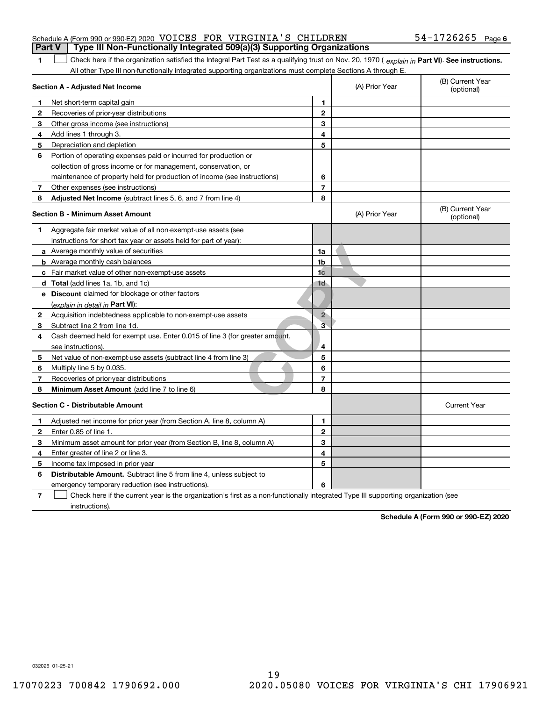|  | Schedule A (Form 990 or 990-EZ) 2020 VOICES FOR VIRGINIA'S CHILDREN                   |  |  | $54 - 1726265$ Page 6 |  |
|--|---------------------------------------------------------------------------------------|--|--|-----------------------|--|
|  | <b>Part V</b> Type III Non-Functionally Integrated 509(a)(3) Supporting Organizations |  |  |                       |  |

1 Check here if the organization satisfied the Integral Part Test as a qualifying trust on Nov. 20, 1970 (explain in Part VI). See instructions. All other Type III non-functionally integrated supporting organizations must complete Sections A through E.

|              | Section A - Adjusted Net Income                                                                                                   | (A) Prior Year | (B) Current Year<br>(optional) |                                |
|--------------|-----------------------------------------------------------------------------------------------------------------------------------|----------------|--------------------------------|--------------------------------|
| 1            | Net short-term capital gain                                                                                                       | 1              |                                |                                |
| 2            | Recoveries of prior-year distributions                                                                                            | $\mathbf{2}$   |                                |                                |
| 3            | Other gross income (see instructions)                                                                                             | 3              |                                |                                |
| 4            | Add lines 1 through 3.                                                                                                            | 4              |                                |                                |
| 5            | Depreciation and depletion                                                                                                        | 5              |                                |                                |
| 6            | Portion of operating expenses paid or incurred for production or                                                                  |                |                                |                                |
|              | collection of gross income or for management, conservation, or                                                                    |                |                                |                                |
|              | maintenance of property held for production of income (see instructions)                                                          | 6              |                                |                                |
| 7            | Other expenses (see instructions)                                                                                                 | 7              |                                |                                |
| 8            | Adjusted Net Income (subtract lines 5, 6, and 7 from line 4)                                                                      | 8              |                                |                                |
|              | <b>Section B - Minimum Asset Amount</b>                                                                                           |                | (A) Prior Year                 | (B) Current Year<br>(optional) |
| 1.           | Aggregate fair market value of all non-exempt-use assets (see                                                                     |                |                                |                                |
|              | instructions for short tax year or assets held for part of year):                                                                 |                |                                |                                |
|              | a Average monthly value of securities                                                                                             | 1a             |                                |                                |
|              | <b>b</b> Average monthly cash balances                                                                                            | 1 <sub>b</sub> |                                |                                |
|              | c Fair market value of other non-exempt-use assets                                                                                | 1 <sub>c</sub> |                                |                                |
|              | d Total (add lines 1a, 1b, and 1c)                                                                                                | 1d             |                                |                                |
|              | e Discount claimed for blockage or other factors                                                                                  |                |                                |                                |
|              | (explain in detail in Part VI):                                                                                                   |                |                                |                                |
| $\mathbf{2}$ | Acquisition indebtedness applicable to non-exempt-use assets                                                                      | $\overline{2}$ |                                |                                |
| 3            | Subtract line 2 from line 1d.                                                                                                     | 3              |                                |                                |
| 4            | Cash deemed held for exempt use. Enter 0.015 of line 3 (for greater amount,                                                       |                |                                |                                |
|              | see instructions).                                                                                                                | 4              |                                |                                |
| 5            | Net value of non-exempt-use assets (subtract line 4 from line 3)                                                                  | 5              |                                |                                |
| 6            | Multiply line 5 by 0.035.                                                                                                         | 6              |                                |                                |
| 7            | Recoveries of prior-year distributions                                                                                            | 7              |                                |                                |
| 8            | Minimum Asset Amount (add line 7 to line 6)                                                                                       | 8              |                                |                                |
|              | <b>Section C - Distributable Amount</b>                                                                                           |                |                                | <b>Current Year</b>            |
| 1            | Adjusted net income for prior year (from Section A, line 8, column A)                                                             | 1              |                                |                                |
| 2            | Enter 0.85 of line 1.                                                                                                             | $\overline{2}$ |                                |                                |
| 3            | Minimum asset amount for prior year (from Section B, line 8, column A)                                                            | 3              |                                |                                |
| 4            | Enter greater of line 2 or line 3.                                                                                                | 4              |                                |                                |
| 5            | Income tax imposed in prior year                                                                                                  | 5              |                                |                                |
| 6            | <b>Distributable Amount.</b> Subtract line 5 from line 4, unless subject to                                                       |                |                                |                                |
|              | emergency temporary reduction (see instructions).                                                                                 | 6              |                                |                                |
| 7            | Check here if the current year is the organization's first as a non-functionally integrated Type III supporting organization (see |                |                                |                                |

instructions).

**1**

**Schedule A (Form 990 or 990-EZ) 2020**

032026 01-25-21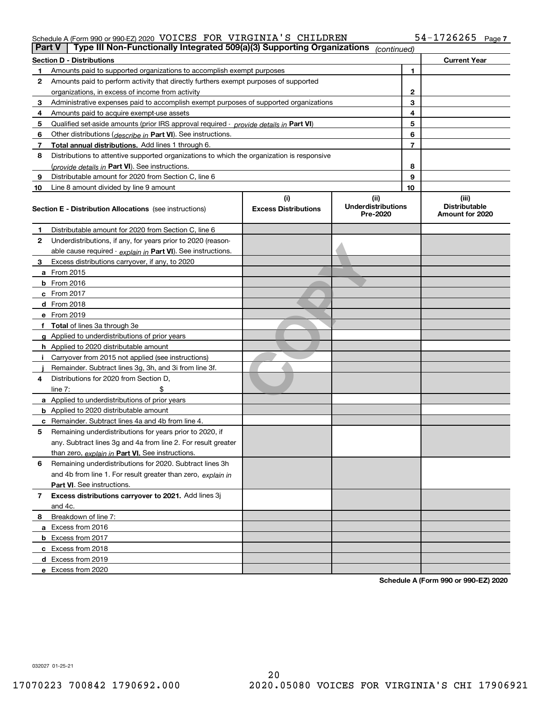#### Schedule A (Form 990 or 990-EZ) 2020  $\,$  VOICES  $\,$  FOR  $\,$  VIRGINIA'S  $\,$  CHILDREN  $\,$   $\,$   $\,$  54-1726265  $\,$   $_{\rm Page}$

|    | Type III Non-Functionally Integrated 509(a)(3) Supporting Organizations<br>Part V<br>(continued) |                                                                                      |                                       |    |                                         |
|----|--------------------------------------------------------------------------------------------------|--------------------------------------------------------------------------------------|---------------------------------------|----|-----------------------------------------|
|    | <b>Section D - Distributions</b>                                                                 |                                                                                      |                                       |    | <b>Current Year</b>                     |
|    | Amounts paid to supported organizations to accomplish exempt purposes                            |                                                                                      |                                       |    |                                         |
| 2  |                                                                                                  | Amounts paid to perform activity that directly furthers exempt purposes of supported |                                       |    |                                         |
|    | organizations, in excess of income from activity                                                 |                                                                                      |                                       |    |                                         |
| 3  | Administrative expenses paid to accomplish exempt purposes of supported organizations            |                                                                                      | 3                                     |    |                                         |
| 4  | Amounts paid to acquire exempt-use assets                                                        |                                                                                      |                                       | 4  |                                         |
| 5  | Qualified set aside amounts (prior IRS approval required - provide details in Part VI)           |                                                                                      |                                       | 5  |                                         |
| 6  | Other distributions ( <i>describe in</i> Part VI). See instructions.                             |                                                                                      |                                       | 6  |                                         |
| 7  | Total annual distributions. Add lines 1 through 6.                                               |                                                                                      |                                       | 7  |                                         |
| 8  | Distributions to attentive supported organizations to which the organization is responsive       |                                                                                      |                                       |    |                                         |
|    | (provide details in Part VI). See instructions.                                                  |                                                                                      |                                       | 8  |                                         |
| 9  | Distributable amount for 2020 from Section C, line 6                                             |                                                                                      |                                       | 9  |                                         |
| 10 | Line 8 amount divided by line 9 amount                                                           |                                                                                      |                                       | 10 |                                         |
|    |                                                                                                  | (i)                                                                                  | (ii)                                  |    | (iii)                                   |
|    | <b>Section E - Distribution Allocations</b> (see instructions)                                   | <b>Excess Distributions</b>                                                          | <b>Underdistributions</b><br>Pre-2020 |    | <b>Distributable</b><br>Amount for 2020 |
| 1  | Distributable amount for 2020 from Section C, line 6                                             |                                                                                      |                                       |    |                                         |
| 2  | Underdistributions, if any, for years prior to 2020 (reason-                                     |                                                                                      |                                       |    |                                         |
|    | able cause required - explain in Part VI). See instructions.                                     |                                                                                      |                                       |    |                                         |
| 3  | Excess distributions carryover, if any, to 2020                                                  |                                                                                      |                                       |    |                                         |
|    | a From 2015                                                                                      |                                                                                      |                                       |    |                                         |
|    | $b$ From 2016                                                                                    |                                                                                      |                                       |    |                                         |
|    | c From $2017$                                                                                    |                                                                                      |                                       |    |                                         |
|    | <b>d</b> From 2018                                                                               |                                                                                      |                                       |    |                                         |
|    | e From 2019                                                                                      |                                                                                      |                                       |    |                                         |
|    | f Total of lines 3a through 3e                                                                   |                                                                                      |                                       |    |                                         |
|    | g Applied to underdistributions of prior years                                                   |                                                                                      |                                       |    |                                         |
|    | <b>h</b> Applied to 2020 distributable amount                                                    |                                                                                      |                                       |    |                                         |
|    | Carryover from 2015 not applied (see instructions)                                               |                                                                                      |                                       |    |                                         |
|    | Remainder. Subtract lines 3g, 3h, and 3i from line 3f.                                           |                                                                                      |                                       |    |                                         |
| 4  | Distributions for 2020 from Section D.                                                           |                                                                                      |                                       |    |                                         |
|    | line $7:$                                                                                        |                                                                                      |                                       |    |                                         |
|    | a Applied to underdistributions of prior years                                                   |                                                                                      |                                       |    |                                         |
|    | <b>b</b> Applied to 2020 distributable amount                                                    |                                                                                      |                                       |    |                                         |
|    | <b>c</b> Remainder. Subtract lines 4a and 4b from line 4.                                        |                                                                                      |                                       |    |                                         |
| 5  | Remaining underdistributions for years prior to 2020, if                                         |                                                                                      |                                       |    |                                         |
|    | any. Subtract lines 3g and 4a from line 2. For result greater                                    |                                                                                      |                                       |    |                                         |
|    | than zero, explain in Part VI. See instructions.                                                 |                                                                                      |                                       |    |                                         |
| 6  | Remaining underdistributions for 2020. Subtract lines 3h                                         |                                                                                      |                                       |    |                                         |
|    | and 4b from line 1. For result greater than zero, explain in                                     |                                                                                      |                                       |    |                                         |
|    | <b>Part VI.</b> See instructions.                                                                |                                                                                      |                                       |    |                                         |
| 7  | Excess distributions carryover to 2021. Add lines 3j                                             |                                                                                      |                                       |    |                                         |
|    | and 4c.                                                                                          |                                                                                      |                                       |    |                                         |
| 8  | Breakdown of line 7:                                                                             |                                                                                      |                                       |    |                                         |
|    | a Excess from 2016                                                                               |                                                                                      |                                       |    |                                         |
|    | <b>b</b> Excess from 2017                                                                        |                                                                                      |                                       |    |                                         |
|    | c Excess from 2018                                                                               |                                                                                      |                                       |    |                                         |
|    | d Excess from 2019                                                                               |                                                                                      |                                       |    |                                         |
|    | e Excess from 2020                                                                               |                                                                                      |                                       |    |                                         |

**Schedule A (Form 990 or 990-EZ) 2020**

032027 01-25-21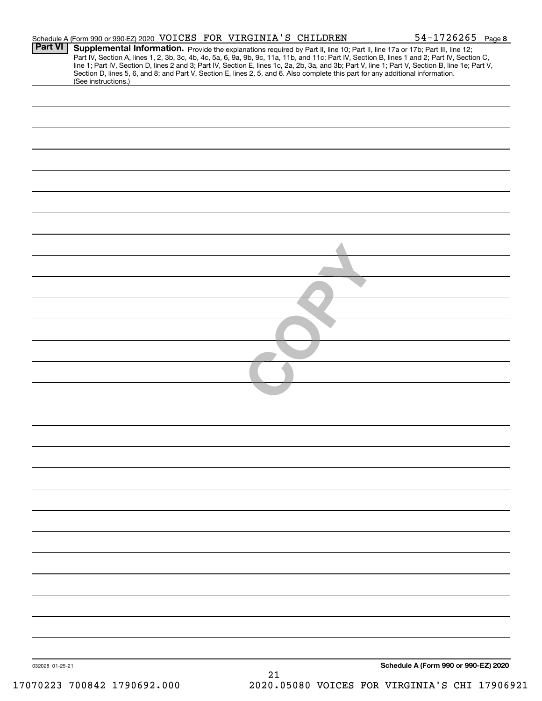| Part VI         | Schedule A (Form 990 or 990-EZ) 2020 VOICES FOR VIRGINIA'S CHILDREN |  |                                                                                                                                 | $54 - 1726265$ Page 8<br>Supplemental Information. Provide the explanations required by Part II, line 10; Part II, line 17a or 17b; Part III, line 12;                                                                                                                                           |
|-----------------|---------------------------------------------------------------------|--|---------------------------------------------------------------------------------------------------------------------------------|--------------------------------------------------------------------------------------------------------------------------------------------------------------------------------------------------------------------------------------------------------------------------------------------------|
|                 |                                                                     |  | Section D, lines 5, 6, and 8; and Part V, Section E, lines 2, 5, and 6. Also complete this part for any additional information. | Part IV, Section A, lines 1, 2, 3b, 3c, 4b, 4c, 5a, 6, 9a, 9b, 9c, 11a, 11b, and 11c; Part IV, Section B, lines 1 and 2; Part IV, Section C,<br>line 1; Part IV, Section D, lines 2 and 3; Part IV, Section E, lines 1c, 2a, 2b, 3a, and 3b; Part V, line 1; Part V, Section B, line 1e; Part V, |
|                 | (See instructions.)                                                 |  |                                                                                                                                 |                                                                                                                                                                                                                                                                                                  |
|                 |                                                                     |  |                                                                                                                                 |                                                                                                                                                                                                                                                                                                  |
|                 |                                                                     |  |                                                                                                                                 |                                                                                                                                                                                                                                                                                                  |
|                 |                                                                     |  |                                                                                                                                 |                                                                                                                                                                                                                                                                                                  |
|                 |                                                                     |  |                                                                                                                                 |                                                                                                                                                                                                                                                                                                  |
|                 |                                                                     |  |                                                                                                                                 |                                                                                                                                                                                                                                                                                                  |
|                 |                                                                     |  |                                                                                                                                 |                                                                                                                                                                                                                                                                                                  |
|                 |                                                                     |  |                                                                                                                                 |                                                                                                                                                                                                                                                                                                  |
|                 |                                                                     |  |                                                                                                                                 |                                                                                                                                                                                                                                                                                                  |
|                 |                                                                     |  |                                                                                                                                 |                                                                                                                                                                                                                                                                                                  |
|                 |                                                                     |  |                                                                                                                                 |                                                                                                                                                                                                                                                                                                  |
|                 |                                                                     |  |                                                                                                                                 |                                                                                                                                                                                                                                                                                                  |
|                 |                                                                     |  |                                                                                                                                 |                                                                                                                                                                                                                                                                                                  |
|                 |                                                                     |  |                                                                                                                                 |                                                                                                                                                                                                                                                                                                  |
|                 |                                                                     |  |                                                                                                                                 |                                                                                                                                                                                                                                                                                                  |
|                 |                                                                     |  |                                                                                                                                 |                                                                                                                                                                                                                                                                                                  |
|                 |                                                                     |  |                                                                                                                                 |                                                                                                                                                                                                                                                                                                  |
|                 |                                                                     |  |                                                                                                                                 |                                                                                                                                                                                                                                                                                                  |
|                 |                                                                     |  |                                                                                                                                 |                                                                                                                                                                                                                                                                                                  |
|                 |                                                                     |  |                                                                                                                                 |                                                                                                                                                                                                                                                                                                  |
|                 |                                                                     |  |                                                                                                                                 |                                                                                                                                                                                                                                                                                                  |
|                 |                                                                     |  |                                                                                                                                 |                                                                                                                                                                                                                                                                                                  |
|                 |                                                                     |  |                                                                                                                                 |                                                                                                                                                                                                                                                                                                  |
|                 |                                                                     |  |                                                                                                                                 |                                                                                                                                                                                                                                                                                                  |
|                 |                                                                     |  |                                                                                                                                 |                                                                                                                                                                                                                                                                                                  |
|                 |                                                                     |  |                                                                                                                                 |                                                                                                                                                                                                                                                                                                  |
|                 |                                                                     |  |                                                                                                                                 |                                                                                                                                                                                                                                                                                                  |
|                 |                                                                     |  |                                                                                                                                 |                                                                                                                                                                                                                                                                                                  |
|                 |                                                                     |  |                                                                                                                                 |                                                                                                                                                                                                                                                                                                  |
|                 |                                                                     |  |                                                                                                                                 |                                                                                                                                                                                                                                                                                                  |
|                 |                                                                     |  |                                                                                                                                 |                                                                                                                                                                                                                                                                                                  |
|                 |                                                                     |  |                                                                                                                                 |                                                                                                                                                                                                                                                                                                  |
| 032028 01-25-21 |                                                                     |  |                                                                                                                                 | Schedule A (Form 990 or 990-EZ) 2020                                                                                                                                                                                                                                                             |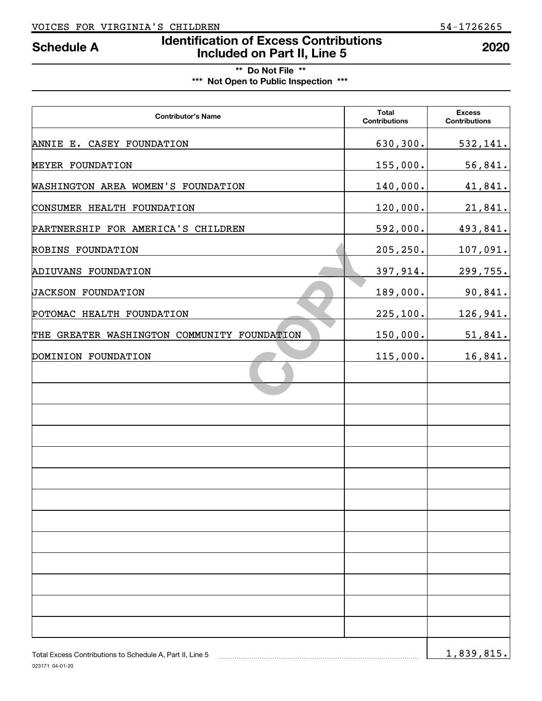# **Identification of Excess Contributions Included on Part II, Line 5 Schedule A 2020**

**\*\* Do Not File \*\* \*\*\* Not Open to Public Inspection \*\*\***

| <b>Contributor's Name</b>                                 | <b>Total</b><br><b>Contributions</b> | <b>Excess</b><br><b>Contributions</b> |
|-----------------------------------------------------------|--------------------------------------|---------------------------------------|
| ANNIE E. CASEY FOUNDATION                                 | 630,300.                             | 532,141.                              |
| MEYER FOUNDATION                                          | 155,000.                             | 56,841.                               |
| WASHINGTON AREA WOMEN'S FOUNDATION                        | 140,000.                             | 41,841.                               |
| CONSUMER HEALTH FOUNDATION                                | 120,000.                             | 21,841.                               |
| PARTNERSHIP FOR AMERICA'S CHILDREN                        | 592,000.                             | 493,841.                              |
| ROBINS FOUNDATION                                         | 205, 250.                            | 107,091.                              |
| ADIUVANS FOUNDATION                                       | 397,914.                             | 299,755.                              |
| JACKSON FOUNDATION                                        | 189,000.                             | 90,841.                               |
| POTOMAC HEALTH FOUNDATION                                 | 225,100.                             | 126,941.                              |
| THE GREATER WASHINGTON COMMUNITY FOUNDATION               | 150,000.                             | 51,841.                               |
| DOMINION FOUNDATION                                       | 115,000.                             | 16,841.                               |
|                                                           |                                      |                                       |
|                                                           |                                      |                                       |
|                                                           |                                      |                                       |
|                                                           |                                      |                                       |
|                                                           |                                      |                                       |
|                                                           |                                      |                                       |
|                                                           |                                      |                                       |
|                                                           |                                      |                                       |
|                                                           |                                      |                                       |
|                                                           |                                      |                                       |
|                                                           |                                      |                                       |
|                                                           |                                      |                                       |
|                                                           |                                      |                                       |
| Total Excess Contributions to Schedule A, Part II, Line 5 |                                      | 1,839,815.                            |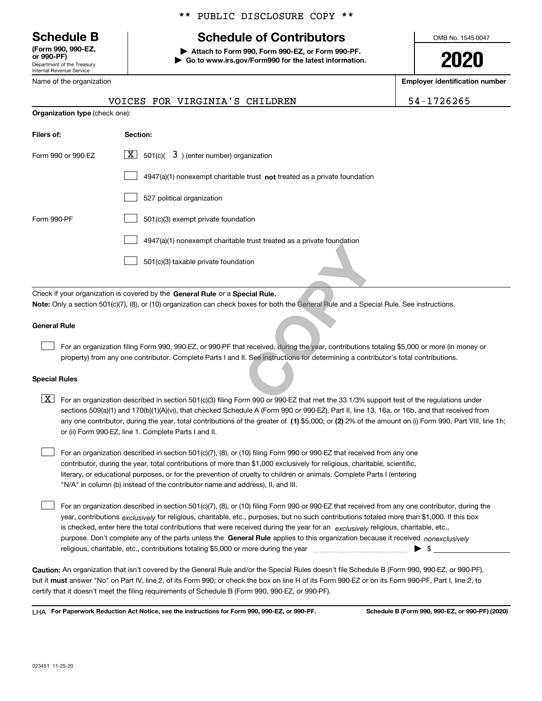Department of the Treasury Internal Revenue Service **(Form 990, 990-EZ, or 990-PF)**

Name of the organization

#### \*\* PUBLIC DISCLOSURE COPY \*\*

# **Schedule B Schedule of Contributors**

**| Attach to Form 990, Form 990-EZ, or Form 990-PF. | Go to www.irs.gov/Form990 for the latest information.** OMB No. 1545-0047

**2020**

**Employer identification number**

|                                                                                                                                                                                                                                                                                                                                                                                                                                                                                                                                                                                         | VOICES FOR VIRGINIA'S CHILDREN                                                                                                                                                                                                                                                                                                                                                                                                                                                                            | 54-1726265 |  |  |  |  |
|-----------------------------------------------------------------------------------------------------------------------------------------------------------------------------------------------------------------------------------------------------------------------------------------------------------------------------------------------------------------------------------------------------------------------------------------------------------------------------------------------------------------------------------------------------------------------------------------|-----------------------------------------------------------------------------------------------------------------------------------------------------------------------------------------------------------------------------------------------------------------------------------------------------------------------------------------------------------------------------------------------------------------------------------------------------------------------------------------------------------|------------|--|--|--|--|
| Organization type (check one):                                                                                                                                                                                                                                                                                                                                                                                                                                                                                                                                                          |                                                                                                                                                                                                                                                                                                                                                                                                                                                                                                           |            |  |  |  |  |
| Filers of:                                                                                                                                                                                                                                                                                                                                                                                                                                                                                                                                                                              | Section:                                                                                                                                                                                                                                                                                                                                                                                                                                                                                                  |            |  |  |  |  |
| Form 990 or 990-EZ                                                                                                                                                                                                                                                                                                                                                                                                                                                                                                                                                                      | 501(c)( $3$ ) (enter number) organization<br>  X                                                                                                                                                                                                                                                                                                                                                                                                                                                          |            |  |  |  |  |
|                                                                                                                                                                                                                                                                                                                                                                                                                                                                                                                                                                                         | $4947(a)(1)$ nonexempt charitable trust <b>not</b> treated as a private foundation                                                                                                                                                                                                                                                                                                                                                                                                                        |            |  |  |  |  |
|                                                                                                                                                                                                                                                                                                                                                                                                                                                                                                                                                                                         | 527 political organization                                                                                                                                                                                                                                                                                                                                                                                                                                                                                |            |  |  |  |  |
| Form 990-PF                                                                                                                                                                                                                                                                                                                                                                                                                                                                                                                                                                             | 501(c)(3) exempt private foundation                                                                                                                                                                                                                                                                                                                                                                                                                                                                       |            |  |  |  |  |
|                                                                                                                                                                                                                                                                                                                                                                                                                                                                                                                                                                                         | 4947(a)(1) nonexempt charitable trust treated as a private foundation                                                                                                                                                                                                                                                                                                                                                                                                                                     |            |  |  |  |  |
|                                                                                                                                                                                                                                                                                                                                                                                                                                                                                                                                                                                         | 501(c)(3) taxable private foundation                                                                                                                                                                                                                                                                                                                                                                                                                                                                      |            |  |  |  |  |
| <b>General Rule</b>                                                                                                                                                                                                                                                                                                                                                                                                                                                                                                                                                                     | Check if your organization is covered by the General Rule or a Special Rule.<br>Note: Only a section 501(c)(7), (8), or (10) organization can check boxes for both the General Rule and a Special Rule. See instructions.                                                                                                                                                                                                                                                                                 |            |  |  |  |  |
|                                                                                                                                                                                                                                                                                                                                                                                                                                                                                                                                                                                         |                                                                                                                                                                                                                                                                                                                                                                                                                                                                                                           |            |  |  |  |  |
|                                                                                                                                                                                                                                                                                                                                                                                                                                                                                                                                                                                         | For an organization filing Form 990, 990-EZ, or 990-PF that received, during the year, contributions totaling \$5,000 or more (in money or<br>property) from any one contributor. Complete Parts I and II. See instructions for determining a contributor's total contributions.                                                                                                                                                                                                                          |            |  |  |  |  |
| <b>Special Rules</b>                                                                                                                                                                                                                                                                                                                                                                                                                                                                                                                                                                    |                                                                                                                                                                                                                                                                                                                                                                                                                                                                                                           |            |  |  |  |  |
| $\lfloor x \rfloor$                                                                                                                                                                                                                                                                                                                                                                                                                                                                                                                                                                     | For an organization described in section 501(c)(3) filing Form 990 or 990-EZ that met the 33 1/3% support test of the regulations under<br>sections 509(a)(1) and 170(b)(1)(A)(vi), that checked Schedule A (Form 990 or 990-EZ), Part II, line 13, 16a, or 16b, and that received from<br>any one contributor, during the year, total contributions of the greater of (1) \$5,000; or (2) 2% of the amount on (i) Form 990, Part VIII, line 1h;<br>or (ii) Form 990-EZ, line 1. Complete Parts I and II. |            |  |  |  |  |
| For an organization described in section 501(c)(7), (8), or (10) filing Form 990 or 990-EZ that received from any one<br>contributor, during the year, total contributions of more than \$1,000 exclusively for religious, charitable, scientific,<br>literary, or educational purposes, or for the prevention of cruelty to children or animals. Complete Parts I (entering<br>"N/A" in column (b) instead of the contributor name and address), II, and III.                                                                                                                          |                                                                                                                                                                                                                                                                                                                                                                                                                                                                                                           |            |  |  |  |  |
| For an organization described in section 501(c)(7), (8), or (10) filing Form 990 or 990-EZ that received from any one contributor, during the<br>year, contributions <sub>exclusively</sub> for religious, charitable, etc., purposes, but no such contributions totaled more than \$1,000. If this box<br>is checked, enter here the total contributions that were received during the year for an exclusively religious, charitable, etc.,<br>purpose. Don't complete any of the parts unless the General Rule applies to this organization because it received <i>nonexclusively</i> |                                                                                                                                                                                                                                                                                                                                                                                                                                                                                                           |            |  |  |  |  |

**Caution:**  An organization that isn't covered by the General Rule and/or the Special Rules doesn't file Schedule B (Form 990, 990-EZ, or 990-PF),  **must** but it answer "No" on Part IV, line 2, of its Form 990; or check the box on line H of its Form 990-EZ or on its Form 990-PF, Part I, line 2, to certify that it doesn't meet the filing requirements of Schedule B (Form 990, 990-EZ, or 990-PF).

religious, charitable, etc., contributions totaling \$5,000 or more during the year  $\ldots$  $\ldots$  $\ldots$  $\ldots$  $\ldots$ 

**For Paperwork Reduction Act Notice, see the instructions for Form 990, 990-EZ, or 990-PF. Schedule B (Form 990, 990-EZ, or 990-PF) (2020)** LHA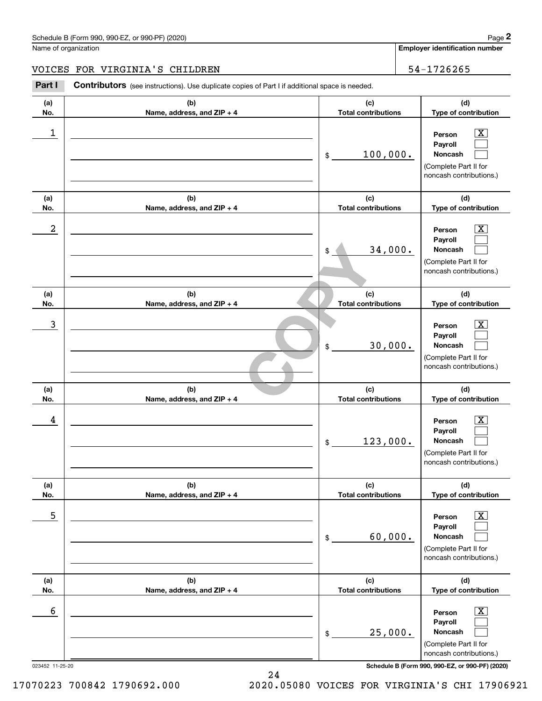Name of organization

**Employer identification number**

#### VOICES FOR VIRGINIA'S CHILDREN 54-1726265

Chedule B (Form 990, 990-EZ, or 990-PF) (2020)<br>
lame of organization<br> **29 COLORES FOR VIRGINIA'S CHILDREN**<br> **29 COLORES FOR VIRGINIA'S CHILDREN**<br> **29 COLORES FOR VIRGINIA'S CHILDREN**<br>
29 COLORES FOR VIRGINIA'S CHILDREN<br>
29

| (a)                  | (b)                          | (c)                        | (d)                                                                                                                                                          |
|----------------------|------------------------------|----------------------------|--------------------------------------------------------------------------------------------------------------------------------------------------------------|
| No.                  | Name, address, and ZIP + 4   | <b>Total contributions</b> | Type of contribution                                                                                                                                         |
| 1                    |                              | 100,000.<br>\$             | $\overline{\text{X}}$<br>Person<br>Payroll<br>Noncash<br>(Complete Part II for<br>noncash contributions.)                                                    |
| (a)                  | (b)                          | (c)                        | (d)                                                                                                                                                          |
| No.                  | Name, address, and ZIP + 4   | <b>Total contributions</b> | Type of contribution                                                                                                                                         |
| 2                    |                              | 34,000.<br>\$              | x<br>Person<br>Payroll<br>Noncash<br>(Complete Part II for<br>noncash contributions.)                                                                        |
| (a)                  | (b)                          | (c)                        | (d)                                                                                                                                                          |
| No.                  | Name, address, and ZIP + 4   | <b>Total contributions</b> | Type of contribution                                                                                                                                         |
| 3                    |                              | 30,000.<br>\$              | X.<br>Person<br>Payroll<br>Noncash<br>(Complete Part II for<br>noncash contributions.)                                                                       |
| (a)                  | (b)                          | (c)                        | (d)                                                                                                                                                          |
| No.                  | Name, address, and ZIP + 4   | <b>Total contributions</b> | Type of contribution                                                                                                                                         |
| 4                    |                              | 123,000.<br>\$             | X.<br>Person<br>Payroll<br>Noncash<br>(Complete Part II for<br>noncash contributions.)                                                                       |
| (a)                  | (b)                          | (c)                        | (d)                                                                                                                                                          |
| No.                  | Name, address, and $ZIP + 4$ | <b>Total contributions</b> | Type of contribution                                                                                                                                         |
| 5                    |                              | 60,000.<br>\$              | $\overline{\mathbf{X}}$<br>Person<br>Payroll<br>Noncash<br>(Complete Part II for<br>noncash contributions.)                                                  |
| (a)                  | (b)                          | (c)                        | (d)                                                                                                                                                          |
| No.                  | Name, address, and ZIP + 4   | <b>Total contributions</b> | Type of contribution                                                                                                                                         |
| 6<br>023452 11-25-20 |                              | 25,000.<br>\$              | $\overline{\text{X}}$<br>Person<br>Payroll<br>Noncash<br>(Complete Part II for<br>noncash contributions.)<br>Schedule B (Form 990, 990-EZ, or 990-PF) (2020) |

24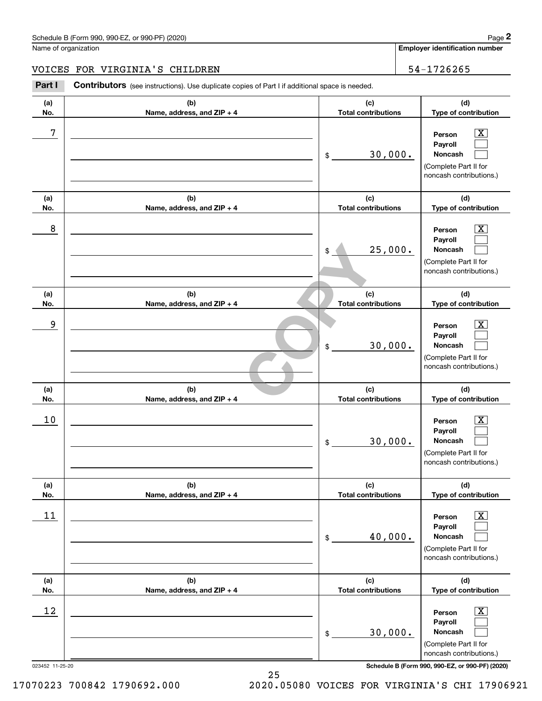Name of organization

**Employer identification number**

#### VOICES FOR VIRGINIA'S CHILDREN 54-1726265

Chedule B (Form 990, 990-EZ, or 990-PF) (2020)<br>
lame of organization<br> **29 COLORES FOR VIRGINIA'S CHILDREN**<br> **29 COLORES FOR VIRGINIA'S CHILDREN**<br> **29 COLORES FOR VIRGINIA'S CHILDREN**<br>
29 COLORES FOR VIRGINIA'S CHILDREN<br>
29

| (a)<br>No.      | (b)<br>Name, address, and ZIP + 4 | (c)<br><b>Total contributions</b> | (d)<br>Type of contribution                                                                                 |
|-----------------|-----------------------------------|-----------------------------------|-------------------------------------------------------------------------------------------------------------|
| 7               |                                   | 30,000.<br>\$                     | $\overline{\text{X}}$<br>Person<br>Payroll<br>Noncash<br>(Complete Part II for<br>noncash contributions.)   |
| (a)<br>No.      | (b)<br>Name, address, and ZIP + 4 | (c)<br><b>Total contributions</b> | (d)<br>Type of contribution                                                                                 |
| 8               |                                   | 25,000.<br>\$                     | $\overline{\text{X}}$<br>Person<br>Payroll<br>Noncash<br>(Complete Part II for<br>noncash contributions.)   |
| (a)<br>No.      | (b)<br>Name, address, and ZIP + 4 | (c)<br><b>Total contributions</b> | (d)<br>Type of contribution                                                                                 |
| 9               |                                   | 30,000.<br>\$                     | $\overline{\text{X}}$<br>Person<br>Payroll<br>Noncash<br>(Complete Part II for<br>noncash contributions.)   |
| (a)<br>No.      | (b)<br>Name, address, and ZIP + 4 | (c)<br><b>Total contributions</b> | (d)<br>Type of contribution                                                                                 |
| 10              |                                   | 30,000.<br>\$                     | $\overline{\text{X}}$<br>Person<br>Payroll<br>Noncash<br>(Complete Part II for<br>noncash contributions.)   |
| (a)<br>No.      | (b)<br>Name, address, and ZIP + 4 | (c)<br><b>Total contributions</b> | (d)<br>Type of contribution                                                                                 |
| 11              |                                   | 40,000.<br>$\,$                   | $\overline{\mathbf{X}}$<br>Person<br>Payroll<br>Noncash<br>(Complete Part II for<br>noncash contributions.) |
| (a)<br>No.      | (b)<br>Name, address, and ZIP + 4 | (c)<br><b>Total contributions</b> | (d)<br>Type of contribution                                                                                 |
| 12              |                                   | 30,000.<br>\$                     | $\mathbf{X}$<br>Person<br>Payroll<br>Noncash<br>(Complete Part II for                                       |
| 023452 11-25-20 |                                   |                                   | noncash contributions.)<br>Schedule B (Form 990, 990-EZ, or 990-PF) (2020)                                  |

17070223 700842 1790692.000 2020.05080 VOICES FOR VIRGINIA'S CHI 17906921

25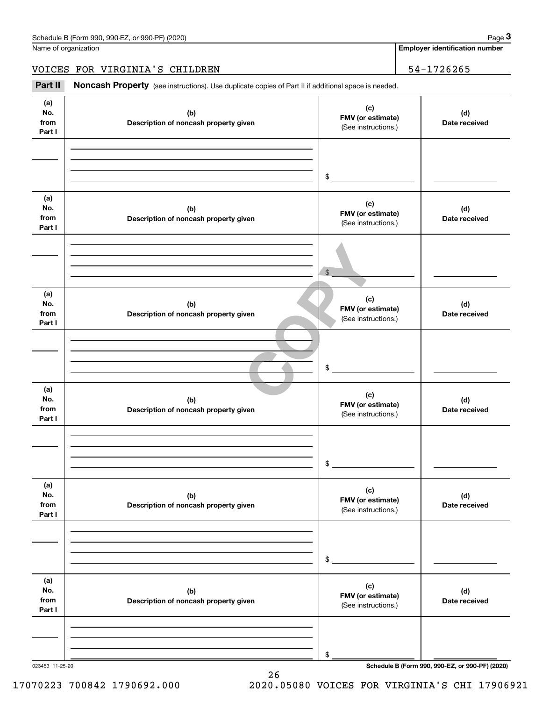Name of organization

**Employer identification number**

VOICES FOR VIRGINIA'S CHILDREN | 54-1726265

Chedule B (Form 990, 990-EZ, or 990-PF) (2020)<br>
lame of organization<br> **34-1726265<br>
<b>Part II Noncash Property** (see instructions). Use duplicate copies of Part II if additional space is needed.

| (a)<br>No.<br>from<br>Part I | (b)<br>Description of noncash property given | (c)<br>FMV (or estimate)<br>(See instructions.) | (d)<br>Date received |
|------------------------------|----------------------------------------------|-------------------------------------------------|----------------------|
|                              |                                              | $$\circ$$                                       |                      |
| (a)<br>No.<br>from<br>Part I | (b)<br>Description of noncash property given | (c)<br>FMV (or estimate)<br>(See instructions.) | (d)<br>Date received |
|                              |                                              | $\frac{1}{2}$                                   |                      |
| (a)<br>No.<br>from<br>Part I | (b)<br>Description of noncash property given | (c)<br>FMV (or estimate)<br>(See instructions.) | (d)<br>Date received |
|                              |                                              | $\sim$                                          |                      |
| (a)<br>No.<br>from<br>Part I | (b)<br>Description of noncash property given | (c)<br>FMV (or estimate)<br>(See instructions.) | (d)<br>Date received |
|                              |                                              | \$                                              |                      |
| (a)<br>No.<br>from<br>Part I | (b)<br>Description of noncash property given | (c)<br>FMV (or estimate)<br>(See instructions.) | (d)<br>Date received |
|                              |                                              | \$                                              |                      |
| (a)<br>No.<br>from<br>Part I | (b)<br>Description of noncash property given | (c)<br>FMV (or estimate)<br>(See instructions.) | (d)<br>Date received |
|                              |                                              |                                                 |                      |

26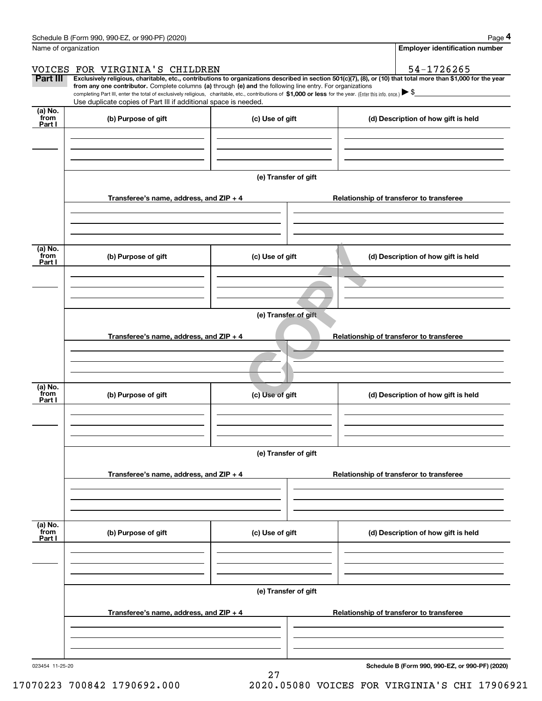|                           | Schedule B (Form 990, 990-EZ, or 990-PF) (2020)                                                                                                                                   |                                          | Page 4                                                                                                                                                         |  |  |  |  |
|---------------------------|-----------------------------------------------------------------------------------------------------------------------------------------------------------------------------------|------------------------------------------|----------------------------------------------------------------------------------------------------------------------------------------------------------------|--|--|--|--|
| Name of organization      |                                                                                                                                                                                   |                                          | <b>Employer identification number</b>                                                                                                                          |  |  |  |  |
|                           | VOICES FOR VIRGINIA'S CHILDREN                                                                                                                                                    |                                          | 54-1726265                                                                                                                                                     |  |  |  |  |
| Part III                  | from any one contributor. Complete columns (a) through (e) and the following line entry. For organizations                                                                        |                                          | Exclusively religious, charitable, etc., contributions to organizations described in section 501(c)(7), (8), or (10) that total more than \$1,000 for the year |  |  |  |  |
|                           | completing Part III, enter the total of exclusively religious, charitable, etc., contributions of \$1,000 or less for the year. (Enter this info. once.) $\blacktriangleright$ \$ |                                          |                                                                                                                                                                |  |  |  |  |
| (a) No.                   | Use duplicate copies of Part III if additional space is needed.                                                                                                                   |                                          |                                                                                                                                                                |  |  |  |  |
| from<br>Part I            | (b) Purpose of gift                                                                                                                                                               | (c) Use of gift                          | (d) Description of how gift is held                                                                                                                            |  |  |  |  |
|                           |                                                                                                                                                                                   |                                          |                                                                                                                                                                |  |  |  |  |
|                           |                                                                                                                                                                                   |                                          |                                                                                                                                                                |  |  |  |  |
|                           |                                                                                                                                                                                   |                                          |                                                                                                                                                                |  |  |  |  |
|                           |                                                                                                                                                                                   | (e) Transfer of gift                     |                                                                                                                                                                |  |  |  |  |
|                           | Transferee's name, address, and ZIP + 4                                                                                                                                           |                                          | Relationship of transferor to transferee                                                                                                                       |  |  |  |  |
|                           |                                                                                                                                                                                   |                                          |                                                                                                                                                                |  |  |  |  |
|                           |                                                                                                                                                                                   |                                          |                                                                                                                                                                |  |  |  |  |
|                           |                                                                                                                                                                                   |                                          |                                                                                                                                                                |  |  |  |  |
| (a) No.<br>from           | (b) Purpose of gift                                                                                                                                                               | (c) Use of gift                          | (d) Description of how gift is held                                                                                                                            |  |  |  |  |
| Part I                    |                                                                                                                                                                                   |                                          |                                                                                                                                                                |  |  |  |  |
|                           |                                                                                                                                                                                   |                                          |                                                                                                                                                                |  |  |  |  |
|                           |                                                                                                                                                                                   |                                          |                                                                                                                                                                |  |  |  |  |
|                           | (e) Transfer of gift                                                                                                                                                              |                                          |                                                                                                                                                                |  |  |  |  |
|                           |                                                                                                                                                                                   |                                          |                                                                                                                                                                |  |  |  |  |
|                           | Transferee's name, address, and ZIP + 4                                                                                                                                           | Relationship of transferor to transferee |                                                                                                                                                                |  |  |  |  |
|                           |                                                                                                                                                                                   |                                          |                                                                                                                                                                |  |  |  |  |
|                           |                                                                                                                                                                                   |                                          |                                                                                                                                                                |  |  |  |  |
| (a) No.<br>from           |                                                                                                                                                                                   |                                          |                                                                                                                                                                |  |  |  |  |
| Part I                    | (b) Purpose of gift                                                                                                                                                               | (c) Use of gift                          | (d) Description of how gift is held                                                                                                                            |  |  |  |  |
|                           |                                                                                                                                                                                   |                                          |                                                                                                                                                                |  |  |  |  |
|                           |                                                                                                                                                                                   |                                          |                                                                                                                                                                |  |  |  |  |
|                           |                                                                                                                                                                                   |                                          |                                                                                                                                                                |  |  |  |  |
|                           |                                                                                                                                                                                   | (e) Transfer of gift                     |                                                                                                                                                                |  |  |  |  |
|                           | Transferee's name, address, and ZIP + 4                                                                                                                                           |                                          | Relationship of transferor to transferee                                                                                                                       |  |  |  |  |
|                           |                                                                                                                                                                                   |                                          |                                                                                                                                                                |  |  |  |  |
|                           |                                                                                                                                                                                   |                                          |                                                                                                                                                                |  |  |  |  |
|                           |                                                                                                                                                                                   |                                          |                                                                                                                                                                |  |  |  |  |
| (a) No.<br>from<br>Part I | (b) Purpose of gift                                                                                                                                                               | (c) Use of gift                          | (d) Description of how gift is held                                                                                                                            |  |  |  |  |
|                           |                                                                                                                                                                                   |                                          |                                                                                                                                                                |  |  |  |  |
|                           |                                                                                                                                                                                   |                                          |                                                                                                                                                                |  |  |  |  |
|                           |                                                                                                                                                                                   |                                          |                                                                                                                                                                |  |  |  |  |
|                           | (e) Transfer of gift                                                                                                                                                              |                                          |                                                                                                                                                                |  |  |  |  |
|                           | Transferee's name, address, and ZIP + 4                                                                                                                                           |                                          | Relationship of transferor to transferee                                                                                                                       |  |  |  |  |
|                           |                                                                                                                                                                                   |                                          |                                                                                                                                                                |  |  |  |  |
|                           |                                                                                                                                                                                   |                                          |                                                                                                                                                                |  |  |  |  |
|                           |                                                                                                                                                                                   |                                          |                                                                                                                                                                |  |  |  |  |
|                           |                                                                                                                                                                                   |                                          |                                                                                                                                                                |  |  |  |  |

27

023454 11-25-20

**Schedule B (Form 990, 990-EZ, or 990-PF) (2020)**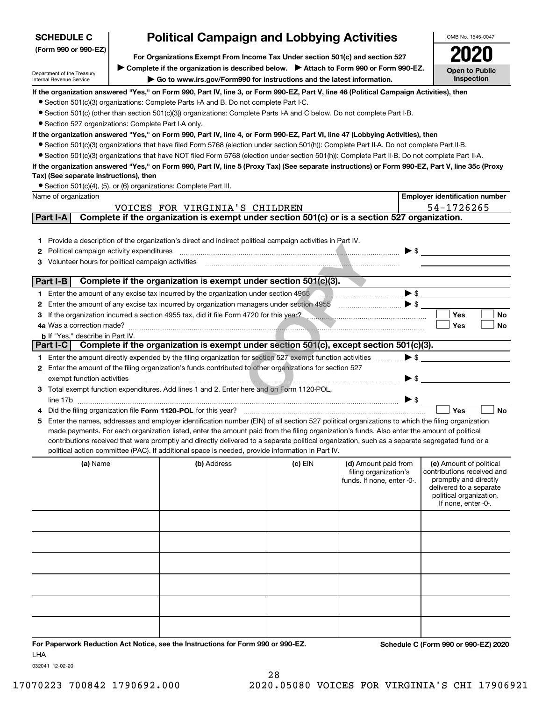| <b>SCHEDULE C</b>                                                                                                                                                        | <b>Political Campaign and Lobbying Activities</b> |                                                                                                                                                  |         |                            |                          | OMB No. 1545-0047                                |
|--------------------------------------------------------------------------------------------------------------------------------------------------------------------------|---------------------------------------------------|--------------------------------------------------------------------------------------------------------------------------------------------------|---------|----------------------------|--------------------------|--------------------------------------------------|
| (Form 990 or 990-EZ)                                                                                                                                                     |                                                   |                                                                                                                                                  |         |                            |                          |                                                  |
| For Organizations Exempt From Income Tax Under section 501(c) and section 527<br>> Complete if the organization is described below. > Attach to Form 990 or Form 990-EZ. |                                                   |                                                                                                                                                  |         |                            |                          |                                                  |
| Department of the Treasury                                                                                                                                               |                                                   |                                                                                                                                                  |         |                            |                          | Open to Public<br>Inspection                     |
| Internal Revenue Service                                                                                                                                                 |                                                   | Go to www.irs.gov/Form990 for instructions and the latest information.                                                                           |         |                            |                          |                                                  |
|                                                                                                                                                                          |                                                   | If the organization answered "Yes," on Form 990, Part IV, line 3, or Form 990-EZ, Part V, line 46 (Political Campaign Activities), then          |         |                            |                          |                                                  |
|                                                                                                                                                                          |                                                   | • Section 501(c)(3) organizations: Complete Parts I-A and B. Do not complete Part I-C.                                                           |         |                            |                          |                                                  |
| • Section 527 organizations: Complete Part I-A only.                                                                                                                     |                                                   | • Section 501(c) (other than section 501(c)(3)) organizations: Complete Parts I-A and C below. Do not complete Part I-B.                         |         |                            |                          |                                                  |
|                                                                                                                                                                          |                                                   | If the organization answered "Yes," on Form 990, Part IV, line 4, or Form 990-EZ, Part VI, line 47 (Lobbying Activities), then                   |         |                            |                          |                                                  |
|                                                                                                                                                                          |                                                   | • Section 501(c)(3) organizations that have filed Form 5768 (election under section 501(h)): Complete Part II-A. Do not complete Part II-B.      |         |                            |                          |                                                  |
|                                                                                                                                                                          |                                                   | • Section 501(c)(3) organizations that have NOT filed Form 5768 (election under section 501(h)): Complete Part II-B. Do not complete Part II-A.  |         |                            |                          |                                                  |
|                                                                                                                                                                          |                                                   | If the organization answered "Yes," on Form 990, Part IV, line 5 (Proxy Tax) (See separate instructions) or Form 990-EZ, Part V, line 35c (Proxy |         |                            |                          |                                                  |
| Tax) (See separate instructions), then                                                                                                                                   |                                                   |                                                                                                                                                  |         |                            |                          |                                                  |
|                                                                                                                                                                          |                                                   | • Section 501(c)(4), (5), or (6) organizations: Complete Part III.                                                                               |         |                            |                          |                                                  |
| Name of organization                                                                                                                                                     |                                                   |                                                                                                                                                  |         |                            |                          | <b>Employer identification number</b>            |
|                                                                                                                                                                          |                                                   | VOICES FOR VIRGINIA'S CHILDREN                                                                                                                   |         |                            |                          | 54-1726265                                       |
| Part I-A                                                                                                                                                                 |                                                   | Complete if the organization is exempt under section 501(c) or is a section 527 organization.                                                    |         |                            |                          |                                                  |
|                                                                                                                                                                          |                                                   |                                                                                                                                                  |         |                            |                          |                                                  |
| 1.                                                                                                                                                                       |                                                   | Provide a description of the organization's direct and indirect political campaign activities in Part IV.                                        |         |                            |                          |                                                  |
| Political campaign activity expenditures<br>2                                                                                                                            |                                                   |                                                                                                                                                  |         |                            | $\blacktriangleright$ \$ |                                                  |
| Volunteer hours for political campaign activities<br>з                                                                                                                   |                                                   |                                                                                                                                                  |         |                            |                          |                                                  |
|                                                                                                                                                                          |                                                   |                                                                                                                                                  |         |                            |                          |                                                  |
| Part I-B                                                                                                                                                                 |                                                   | Complete if the organization is exempt under section 501(c)(3).                                                                                  |         |                            |                          |                                                  |
|                                                                                                                                                                          |                                                   | 1 Enter the amount of any excise tax incurred by the organization under section 4955                                                             |         |                            |                          | $\blacktriangleright$ \$                         |
| 2                                                                                                                                                                        |                                                   | Enter the amount of any excise tax incurred by organization managers under section 4955                                                          |         |                            |                          |                                                  |
| з                                                                                                                                                                        |                                                   | If the organization incurred a section 4955 tax, did it file Form 4720 for this year?                                                            |         |                            |                          | <b>Yes</b><br><b>No</b>                          |
|                                                                                                                                                                          |                                                   |                                                                                                                                                  |         |                            |                          | Yes<br>No                                        |
| <b>b</b> If "Yes," describe in Part IV.<br>Part I-C                                                                                                                      |                                                   | Complete if the organization is exempt under section 501(c), except section 501(c)(3).                                                           |         |                            |                          |                                                  |
|                                                                                                                                                                          |                                                   | 1 Enter the amount directly expended by the filing organization for section 527 exempt function activities                                       |         |                            | $\blacktriangleright$ \$ |                                                  |
| 2                                                                                                                                                                        |                                                   | Enter the amount of the filing organization's funds contributed to other organizations for section 527                                           |         |                            |                          |                                                  |
| exempt function activities                                                                                                                                               |                                                   |                                                                                                                                                  |         |                            | $\blacktriangleright$ \$ |                                                  |
| 3.                                                                                                                                                                       |                                                   | Total exempt function expenditures. Add lines 1 and 2. Enter here and on Form 1120-POL,                                                          |         |                            |                          |                                                  |
|                                                                                                                                                                          |                                                   |                                                                                                                                                  |         |                            | $\triangleright$ \$      |                                                  |
|                                                                                                                                                                          |                                                   | Did the filing organization file Form 1120-POL for this year?                                                                                    |         |                            |                          | Yes<br><b>No</b>                                 |
| 5                                                                                                                                                                        |                                                   | Enter the names, addresses and employer identification number (EIN) of all section 527 political organizations to which the filing organization  |         |                            |                          |                                                  |
|                                                                                                                                                                          |                                                   | made payments. For each organization listed, enter the amount paid from the filing organization's funds. Also enter the amount of political      |         |                            |                          |                                                  |
|                                                                                                                                                                          |                                                   | contributions received that were promptly and directly delivered to a separate political organization, such as a separate segregated fund or a   |         |                            |                          |                                                  |
|                                                                                                                                                                          |                                                   | political action committee (PAC). If additional space is needed, provide information in Part IV.                                                 |         |                            |                          |                                                  |
| (a) Name                                                                                                                                                                 |                                                   | (b) Address                                                                                                                                      | (c) EIN | (d) Amount paid from       |                          | (e) Amount of political                          |
|                                                                                                                                                                          |                                                   |                                                                                                                                                  |         | filing organization's      |                          | contributions received and                       |
|                                                                                                                                                                          |                                                   |                                                                                                                                                  |         | funds. If none, enter -0-. |                          | promptly and directly<br>delivered to a separate |
|                                                                                                                                                                          |                                                   |                                                                                                                                                  |         |                            |                          | political organization.                          |
|                                                                                                                                                                          |                                                   |                                                                                                                                                  |         |                            |                          | If none, enter -0-.                              |
|                                                                                                                                                                          |                                                   |                                                                                                                                                  |         |                            |                          |                                                  |
|                                                                                                                                                                          |                                                   |                                                                                                                                                  |         |                            |                          |                                                  |
|                                                                                                                                                                          |                                                   |                                                                                                                                                  |         |                            |                          |                                                  |
|                                                                                                                                                                          |                                                   |                                                                                                                                                  |         |                            |                          |                                                  |
|                                                                                                                                                                          |                                                   |                                                                                                                                                  |         |                            |                          |                                                  |
|                                                                                                                                                                          |                                                   |                                                                                                                                                  |         |                            |                          |                                                  |
|                                                                                                                                                                          |                                                   |                                                                                                                                                  |         |                            |                          |                                                  |
|                                                                                                                                                                          |                                                   |                                                                                                                                                  |         |                            |                          |                                                  |
|                                                                                                                                                                          |                                                   |                                                                                                                                                  |         |                            |                          |                                                  |
|                                                                                                                                                                          |                                                   |                                                                                                                                                  |         |                            |                          |                                                  |
|                                                                                                                                                                          |                                                   |                                                                                                                                                  |         |                            |                          |                                                  |
|                                                                                                                                                                          |                                                   |                                                                                                                                                  |         |                            |                          |                                                  |
| LHA                                                                                                                                                                      |                                                   | For Paperwork Reduction Act Notice, see the Instructions for Form 990 or 990-EZ.                                                                 |         |                            |                          | Schedule C (Form 990 or 990-EZ) 2020             |

032041 12-02-20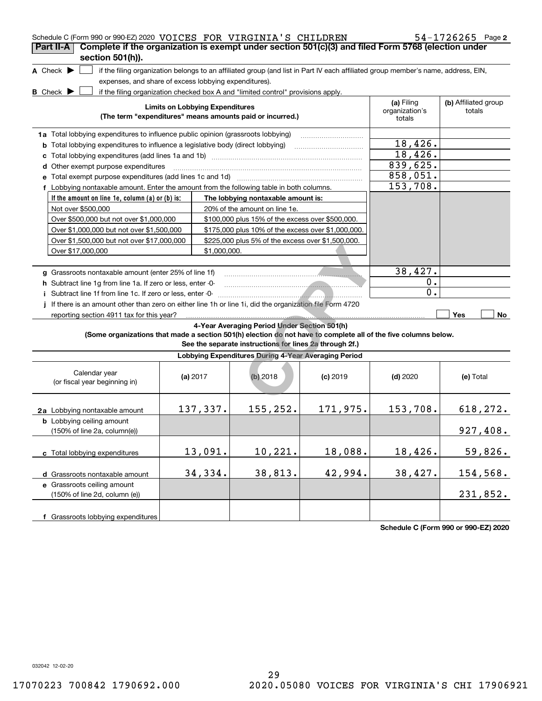| Schedule C (Form 990 or 990-EZ) 2020 VOICES FOR VIRGINIA'S CHILDREN                                             |                                        |              |                                                                                  |                                                                                                                                   |                              | $54 - 1726265$ Page 2          |
|-----------------------------------------------------------------------------------------------------------------|----------------------------------------|--------------|----------------------------------------------------------------------------------|-----------------------------------------------------------------------------------------------------------------------------------|------------------------------|--------------------------------|
| Complete if the organization is exempt under section 501(c)(3) and filed Form 5768 (election under<br>Part II-A |                                        |              |                                                                                  |                                                                                                                                   |                              |                                |
| section 501(h)).                                                                                                |                                        |              |                                                                                  |                                                                                                                                   |                              |                                |
| A Check $\blacktriangleright$                                                                                   |                                        |              |                                                                                  | if the filing organization belongs to an affiliated group (and list in Part IV each affiliated group member's name, address, EIN, |                              |                                |
| expenses, and share of excess lobbying expenditures).                                                           |                                        |              |                                                                                  |                                                                                                                                   |                              |                                |
| <b>B</b> Check $\blacktriangleright$                                                                            |                                        |              | if the filing organization checked box A and "limited control" provisions apply. |                                                                                                                                   |                              |                                |
|                                                                                                                 | <b>Limits on Lobbying Expenditures</b> |              |                                                                                  |                                                                                                                                   | (a) Filing<br>organization's | (b) Affiliated group<br>totals |
|                                                                                                                 |                                        |              | (The term "expenditures" means amounts paid or incurred.)                        |                                                                                                                                   | totals                       |                                |
| 1a Total lobbying expenditures to influence public opinion (grassroots lobbying)                                |                                        |              |                                                                                  |                                                                                                                                   |                              |                                |
| <b>b</b> Total lobbying expenditures to influence a legislative body (direct lobbying)                          |                                        |              |                                                                                  |                                                                                                                                   | 18,426.                      |                                |
| с                                                                                                               |                                        |              |                                                                                  |                                                                                                                                   | 18,426.                      |                                |
| d Other exempt purpose expenditures                                                                             |                                        |              |                                                                                  |                                                                                                                                   | 839,625.                     |                                |
|                                                                                                                 |                                        |              |                                                                                  |                                                                                                                                   | 858,051.                     |                                |
| f Lobbying nontaxable amount. Enter the amount from the following table in both columns.                        |                                        |              |                                                                                  |                                                                                                                                   | 153,708.                     |                                |
| If the amount on line 1e, column (a) or (b) is:                                                                 |                                        |              | The lobbying nontaxable amount is:                                               |                                                                                                                                   |                              |                                |
| Not over \$500,000                                                                                              |                                        |              | 20% of the amount on line 1e.                                                    |                                                                                                                                   |                              |                                |
| Over \$500,000 but not over \$1,000,000                                                                         |                                        |              | \$100,000 plus 15% of the excess over \$500,000.                                 |                                                                                                                                   |                              |                                |
| Over \$1,000,000 but not over \$1,500,000                                                                       |                                        |              | \$175,000 plus 10% of the excess over \$1,000,000.                               |                                                                                                                                   |                              |                                |
| Over \$1,500,000 but not over \$17,000,000                                                                      |                                        |              | \$225,000 plus 5% of the excess over \$1,500,000.                                |                                                                                                                                   |                              |                                |
| Over \$17,000,000                                                                                               |                                        | \$1,000,000. |                                                                                  |                                                                                                                                   |                              |                                |
|                                                                                                                 |                                        |              |                                                                                  |                                                                                                                                   |                              |                                |
| g Grassroots nontaxable amount (enter 25% of line 1f)                                                           |                                        |              |                                                                                  |                                                                                                                                   | 38,427.                      |                                |
| h Subtract line 1q from line 1a. If zero or less, enter -0-                                                     |                                        |              |                                                                                  |                                                                                                                                   | 0.                           |                                |
| i Subtract line 1f from line 1c. If zero or less, enter -0-                                                     |                                        |              |                                                                                  |                                                                                                                                   | 0.                           |                                |
| If there is an amount other than zero on either line 1h or line 1i, did the organization file Form 4720         |                                        |              |                                                                                  |                                                                                                                                   |                              |                                |
| reporting section 4911 tax for this year?                                                                       |                                        |              |                                                                                  |                                                                                                                                   |                              | Yes<br>No                      |
| (Some organizations that made a section 501(h) election do not have to complete all of the five columns below.  |                                        |              | 4-Year Averaging Period Under Section 501(h)                                     |                                                                                                                                   |                              |                                |
|                                                                                                                 |                                        |              | See the separate instructions for lines 2a through 2f.)                          |                                                                                                                                   |                              |                                |
|                                                                                                                 |                                        |              | Lobbying Expenditures During 4-Year Averaging Period                             |                                                                                                                                   |                              |                                |
|                                                                                                                 |                                        |              |                                                                                  |                                                                                                                                   |                              |                                |
| Calendar year<br>(or fiscal year beginning in)                                                                  | (a) $2017$                             |              | $(b)$ 2018                                                                       | $(c)$ 2019                                                                                                                        | $(d)$ 2020                   | (e) Total                      |
|                                                                                                                 |                                        |              |                                                                                  |                                                                                                                                   |                              |                                |
|                                                                                                                 |                                        |              |                                                                                  |                                                                                                                                   |                              |                                |
| 2a Lobbying nontaxable amount                                                                                   |                                        | 137,337.     | 155, 252.                                                                        | 171,975.                                                                                                                          | 153,708.                     | 618, 272.                      |
| <b>b</b> Lobbying ceiling amount                                                                                |                                        |              |                                                                                  |                                                                                                                                   |                              |                                |
| (150% of line 2a, column(e))                                                                                    |                                        |              |                                                                                  |                                                                                                                                   |                              | 927,408.                       |
|                                                                                                                 |                                        | 13,091.      | 10,221.                                                                          | 18,088.                                                                                                                           | 18,426.                      | 59,826.                        |
| c Total lobbying expenditures                                                                                   |                                        |              |                                                                                  |                                                                                                                                   |                              |                                |
| d Grassroots nontaxable amount                                                                                  |                                        | 34,334.      | 38,813.                                                                          | 42,994.                                                                                                                           | 38,427.                      | 154,568.                       |
| e Grassroots ceiling amount                                                                                     |                                        |              |                                                                                  |                                                                                                                                   |                              |                                |
| (150% of line 2d, column (e))                                                                                   |                                        |              |                                                                                  |                                                                                                                                   |                              | 231,852.                       |
|                                                                                                                 |                                        |              |                                                                                  |                                                                                                                                   |                              |                                |
| f Grassroots lobbying expenditures                                                                              |                                        |              |                                                                                  |                                                                                                                                   |                              |                                |
|                                                                                                                 |                                        |              |                                                                                  |                                                                                                                                   |                              |                                |

**Schedule C (Form 990 or 990-EZ) 2020**

032042 12-02-20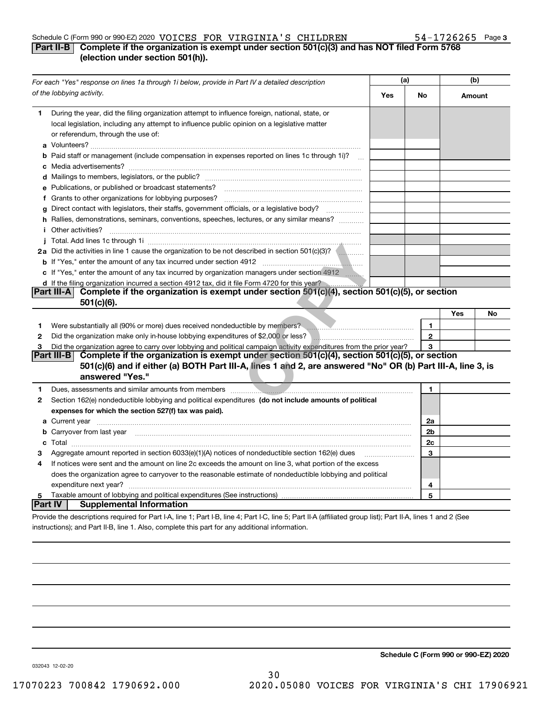#### Schedule C (Form 990 or 990-EZ) 2020 Page VOICES FOR VIRGINIA'S CHILDREN 54-1726265

#### **3**

#### **Part II-B Complete if the organization is exempt under section 501(c)(3) and has NOT filed Form 5768 (election under section 501(h)).**

|                | For each "Yes" response on lines 1a through 1i below, provide in Part IV a detailed description                                                                                                                                      |     | (a)          |        | (b) |  |
|----------------|--------------------------------------------------------------------------------------------------------------------------------------------------------------------------------------------------------------------------------------|-----|--------------|--------|-----|--|
|                | of the lobbying activity.                                                                                                                                                                                                            | Yes | No           | Amount |     |  |
| 1.             | During the year, did the filing organization attempt to influence foreign, national, state, or<br>local legislation, including any attempt to influence public opinion on a legislative matter<br>or referendum, through the use of: |     |              |        |     |  |
|                | <b>b</b> Paid staff or management (include compensation in expenses reported on lines 1c through 1i)?<br>$\sim$                                                                                                                      |     |              |        |     |  |
|                |                                                                                                                                                                                                                                      |     |              |        |     |  |
|                | e Publications, or published or broadcast statements?                                                                                                                                                                                |     |              |        |     |  |
|                | f Grants to other organizations for lobbying purposes?                                                                                                                                                                               |     |              |        |     |  |
| g              | Direct contact with legislators, their staffs, government officials, or a legislative body?                                                                                                                                          |     |              |        |     |  |
|                | h Rallies, demonstrations, seminars, conventions, speeches, lectures, or any similar means?                                                                                                                                          |     |              |        |     |  |
|                | <i>i</i> Other activities?                                                                                                                                                                                                           |     |              |        |     |  |
|                |                                                                                                                                                                                                                                      |     |              |        |     |  |
|                | 2a Did the activities in line 1 cause the organization to be not described in section 501(c)(3)?                                                                                                                                     |     |              |        |     |  |
|                |                                                                                                                                                                                                                                      |     |              |        |     |  |
|                | c If "Yes," enter the amount of any tax incurred by organization managers under section 4912                                                                                                                                         |     |              |        |     |  |
|                | d If the filing organization incurred a section 4912 tax, did it file Form 4720 for this year?                                                                                                                                       |     |              |        |     |  |
|                | Part III-A Complete if the organization is exempt under section 501(c)(4), section 501(c)(5), or section                                                                                                                             |     |              |        |     |  |
|                | 501(c)(6).                                                                                                                                                                                                                           |     |              |        |     |  |
|                |                                                                                                                                                                                                                                      |     |              | Yes    | No  |  |
| 1              | Were substantially all (90% or more) dues received nondeductible by members? <b>Were substantially all</b>                                                                                                                           |     | $\mathbf{1}$ |        |     |  |
| 2              | Did the organization make only in-house lobbying expenditures of \$2,000 or less?                                                                                                                                                    |     | $\mathbf{2}$ |        |     |  |
| 3              | Did the organization agree to carry over lobbying and political campaign activity expenditures from the prior year?                                                                                                                  |     | 3            |        |     |  |
|                | Part III-B<br>Complete if the organization is exempt under section 501(c)(4), section 501(c)(5), or section                                                                                                                          |     |              |        |     |  |
|                | 501(c)(6) and if either (a) BOTH Part III-A, lines 1 and 2, are answered "No" OR (b) Part III-A, line 3, is<br>answered "Yes."                                                                                                       |     |              |        |     |  |
| 1              | Dues, assessments and similar amounts from members [11] matter than the state of the state of the state of the state of the state of the state of the state of the state of the state of the state of the state of the state o       |     | 1            |        |     |  |
| 2              | Section 162(e) nondeductible lobbying and political expenditures (do not include amounts of political                                                                                                                                |     |              |        |     |  |
|                | expenses for which the section 527(f) tax was paid).                                                                                                                                                                                 |     |              |        |     |  |
|                |                                                                                                                                                                                                                                      |     | 2a           |        |     |  |
|                | <b>b</b> Carryover from last year                                                                                                                                                                                                    |     | 2b           |        |     |  |
|                |                                                                                                                                                                                                                                      |     | 2c           |        |     |  |
| з              | Aggregate amount reported in section 6033(e)(1)(A) notices of nondeductible section 162(e) dues                                                                                                                                      |     | 3            |        |     |  |
| 4              | If notices were sent and the amount on line 2c exceeds the amount on line 3, what portion of the excess                                                                                                                              |     |              |        |     |  |
|                | does the organization agree to carryover to the reasonable estimate of nondeductible lobbying and political                                                                                                                          |     |              |        |     |  |
|                |                                                                                                                                                                                                                                      |     | 4            |        |     |  |
|                |                                                                                                                                                                                                                                      |     | 5            |        |     |  |
| <b>Part IV</b> | <b>Supplemental Information</b>                                                                                                                                                                                                      |     |              |        |     |  |
|                | Provide the descriptions required for Part I-A, line 1; Part I-B, line 4; Part I-C, line 5; Part II-A (affiliated group list); Part II-A, lines 1 and 2 (See                                                                         |     |              |        |     |  |

instructions); and Part II-B, line 1. Also, complete this part for any additional information.

**Schedule C (Form 990 or 990-EZ) 2020**

032043 12-02-20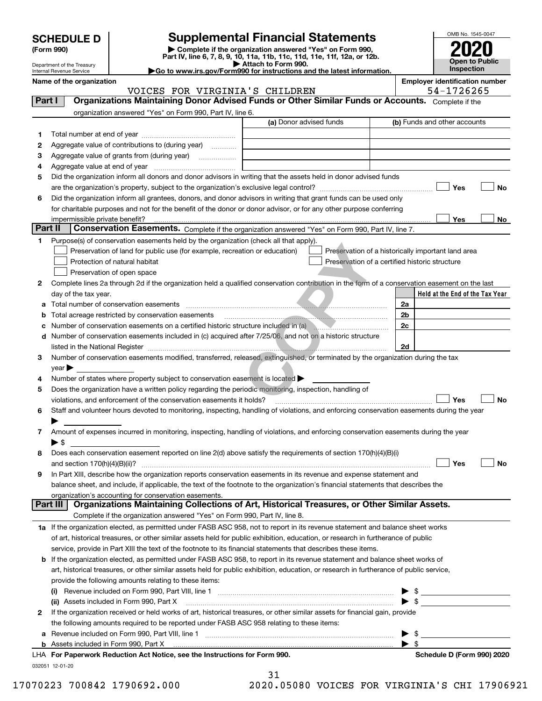| <b>SCHEDULE D</b> |  |
|-------------------|--|
|-------------------|--|

| (Form 990) |  |
|------------|--|
|------------|--|

# **SCHEDULE D Supplemental Financial Statements**

(Form 990)<br>
Pepartment of the Treasury<br>
Department of the Treasury<br>
Department of the Treasury<br>
Department of the Treasury<br> **Co to www.irs.gov/Form990 for instructions and the latest information.**<br> **Co to www.irs.gov/Form9** 



Department of the Treasury Internal Revenue Service

Name of the organization<br>**Name of the organization**<br>**Employer identification number**<br> **Employer identification number** VOOTNIELD OUTTOOR

| Part I  | VOICES FOR VIRGINIA S CHILDREN<br>Organizations Maintaining Donor Advised Funds or Other Similar Funds or Accounts. Complete if the            |                         | 54-1726265                                         |
|---------|------------------------------------------------------------------------------------------------------------------------------------------------|-------------------------|----------------------------------------------------|
|         |                                                                                                                                                |                         |                                                    |
|         | organization answered "Yes" on Form 990, Part IV, line 6.                                                                                      | (a) Donor advised funds | (b) Funds and other accounts                       |
|         |                                                                                                                                                |                         |                                                    |
| 1.      |                                                                                                                                                |                         |                                                    |
| 2       | Aggregate value of contributions to (during year)                                                                                              |                         |                                                    |
| 3       |                                                                                                                                                |                         |                                                    |
| 4       |                                                                                                                                                |                         |                                                    |
| 5       | Did the organization inform all donors and donor advisors in writing that the assets held in donor advised funds                               |                         |                                                    |
|         |                                                                                                                                                |                         | Yes<br><b>No</b>                                   |
| 6       | Did the organization inform all grantees, donors, and donor advisors in writing that grant funds can be used only                              |                         |                                                    |
|         | for charitable purposes and not for the benefit of the donor or donor advisor, or for any other purpose conferring                             |                         |                                                    |
| Part II | Conservation Easements. Complete if the organization answered "Yes" on Form 990, Part IV, line 7.                                              |                         | Yes<br>No                                          |
|         |                                                                                                                                                |                         |                                                    |
| 1.      | Purpose(s) of conservation easements held by the organization (check all that apply).                                                          |                         |                                                    |
|         | Preservation of land for public use (for example, recreation or education)<br>Protection of natural habitat                                    |                         | Preservation of a historically important land area |
|         | Preservation of open space                                                                                                                     |                         | Preservation of a certified historic structure     |
| 2       | Complete lines 2a through 2d if the organization held a qualified conservation contribution in the form of a conservation easement on the last |                         |                                                    |
|         |                                                                                                                                                |                         | Held at the End of the Tax Year                    |
|         | day of the tax year.<br>a Total number of conservation easements                                                                               |                         | 2a                                                 |
|         | <b>b</b> Total acreage restricted by conservation easements                                                                                    |                         | 2b                                                 |
|         | Number of conservation easements on a certified historic structure included in (a)                                                             |                         | 2c                                                 |
|         | d Number of conservation easements included in (c) acquired after 7/25/06, and not on a historic structure                                     |                         |                                                    |
|         |                                                                                                                                                |                         | 2d                                                 |
| з       | Number of conservation easements modified, transferred, released, extinguished, or terminated by the organization during the tax               |                         |                                                    |
|         | $year \blacktriangleright$                                                                                                                     |                         |                                                    |
|         | Number of states where property subject to conservation easement is located                                                                    |                         |                                                    |
| 5       | Does the organization have a written policy regarding the periodic monitoring, inspection, handling of                                         |                         |                                                    |
|         | violations, and enforcement of the conservation easements it holds?                                                                            |                         | Yes<br><b>No</b>                                   |
| 6       | Staff and volunteer hours devoted to monitoring, inspecting, handling of violations, and enforcing conservation easements during the year      |                         |                                                    |
|         |                                                                                                                                                |                         |                                                    |
| 7       | Amount of expenses incurred in monitoring, inspecting, handling of violations, and enforcing conservation easements during the year            |                         |                                                    |
|         | $\blacktriangleright$ \$                                                                                                                       |                         |                                                    |
| 8       | Does each conservation easement reported on line 2(d) above satisfy the requirements of section 170(h)(4)(B)(i)                                |                         |                                                    |
|         |                                                                                                                                                |                         | Yes<br><b>No</b>                                   |
| 9       | In Part XIII, describe how the organization reports conservation easements in its revenue and expense statement and                            |                         |                                                    |
|         | balance sheet, and include, if applicable, the text of the footnote to the organization's financial statements that describes the              |                         |                                                    |
|         | organization's accounting for conservation easements.                                                                                          |                         |                                                    |
|         | Organizations Maintaining Collections of Art, Historical Treasures, or Other Similar Assets.<br>Part III                                       |                         |                                                    |
|         | Complete if the organization answered "Yes" on Form 990, Part IV, line 8.                                                                      |                         |                                                    |
|         | 1a If the organization elected, as permitted under FASB ASC 958, not to report in its revenue statement and balance sheet works                |                         |                                                    |
|         | of art, historical treasures, or other similar assets held for public exhibition, education, or research in furtherance of public              |                         |                                                    |
|         | service, provide in Part XIII the text of the footnote to its financial statements that describes these items.                                 |                         |                                                    |
|         | <b>b</b> If the organization elected, as permitted under FASB ASC 958, to report in its revenue statement and balance sheet works of           |                         |                                                    |
|         | art, historical treasures, or other similar assets held for public exhibition, education, or research in furtherance of public service,        |                         |                                                    |
|         | provide the following amounts relating to these items:                                                                                         |                         |                                                    |
|         |                                                                                                                                                |                         | $\blacktriangleright$ \$                           |
|         | (ii) Assets included in Form 990, Part X                                                                                                       |                         | $\blacktriangleright$ \$                           |
| 2       | If the organization received or held works of art, historical treasures, or other similar assets for financial gain, provide                   |                         |                                                    |
|         | the following amounts required to be reported under FASB ASC 958 relating to these items:                                                      |                         |                                                    |
|         |                                                                                                                                                |                         | - \$                                               |
|         |                                                                                                                                                |                         | $\blacktriangleright$ \$                           |
|         | LHA For Paperwork Reduction Act Notice, see the Instructions for Form 990.                                                                     |                         | Schedule D (Form 990) 2020                         |
|         | 032051 12-01-20                                                                                                                                |                         |                                                    |

|   | 31 |  |         |  |
|---|----|--|---------|--|
| . |    |  | 0 F 0 C |  |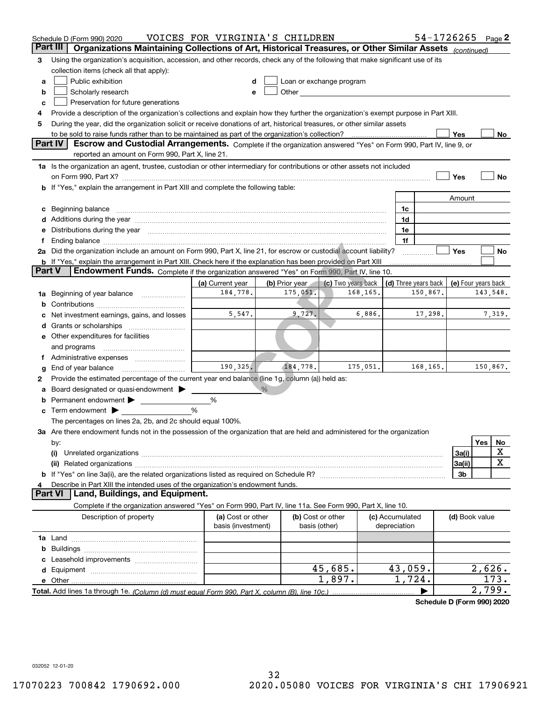|        | Schedule D (Form 990) 2020                                                                                                                                                                                                     | VOICES FOR VIRGINIA'S CHILDREN          |                |                                                                                                                                                                                                                               |          |                                 | 54-1726265 Page 2                                |                |          |             |
|--------|--------------------------------------------------------------------------------------------------------------------------------------------------------------------------------------------------------------------------------|-----------------------------------------|----------------|-------------------------------------------------------------------------------------------------------------------------------------------------------------------------------------------------------------------------------|----------|---------------------------------|--------------------------------------------------|----------------|----------|-------------|
|        | Part III<br>Organizations Maintaining Collections of Art, Historical Treasures, or Other Similar Assets (continued)                                                                                                            |                                         |                |                                                                                                                                                                                                                               |          |                                 |                                                  |                |          |             |
| з      | Using the organization's acquisition, accession, and other records, check any of the following that make significant use of its                                                                                                |                                         |                |                                                                                                                                                                                                                               |          |                                 |                                                  |                |          |             |
|        | collection items (check all that apply):                                                                                                                                                                                       |                                         |                |                                                                                                                                                                                                                               |          |                                 |                                                  |                |          |             |
| a      | Public exhibition                                                                                                                                                                                                              |                                         |                | Loan or exchange program                                                                                                                                                                                                      |          |                                 |                                                  |                |          |             |
| b      | Scholarly research                                                                                                                                                                                                             |                                         |                | Other and the contract of the contract of the contract of the contract of the contract of the contract of the contract of the contract of the contract of the contract of the contract of the contract of the contract of the |          |                                 |                                                  |                |          |             |
| с      | Preservation for future generations                                                                                                                                                                                            |                                         |                |                                                                                                                                                                                                                               |          |                                 |                                                  |                |          |             |
| 4      | Provide a description of the organization's collections and explain how they further the organization's exempt purpose in Part XIII.                                                                                           |                                         |                |                                                                                                                                                                                                                               |          |                                 |                                                  |                |          |             |
| 5      | During the year, did the organization solicit or receive donations of art, historical treasures, or other similar assets                                                                                                       |                                         |                |                                                                                                                                                                                                                               |          |                                 |                                                  |                |          |             |
|        | to be sold to raise funds rather than to be maintained as part of the organization's collection?                                                                                                                               |                                         |                |                                                                                                                                                                                                                               |          |                                 |                                                  | Yes            |          | No          |
|        | Escrow and Custodial Arrangements. Complete if the organization answered "Yes" on Form 990, Part IV, line 9, or<br><b>Part IV</b>                                                                                              |                                         |                |                                                                                                                                                                                                                               |          |                                 |                                                  |                |          |             |
|        | reported an amount on Form 990, Part X, line 21.                                                                                                                                                                               |                                         |                |                                                                                                                                                                                                                               |          |                                 |                                                  |                |          |             |
|        | 1a Is the organization an agent, trustee, custodian or other intermediary for contributions or other assets not included                                                                                                       |                                         |                |                                                                                                                                                                                                                               |          |                                 |                                                  |                |          |             |
|        |                                                                                                                                                                                                                                |                                         |                |                                                                                                                                                                                                                               |          |                                 |                                                  | Yes            |          | No          |
|        | b If "Yes," explain the arrangement in Part XIII and complete the following table:                                                                                                                                             |                                         |                |                                                                                                                                                                                                                               |          |                                 |                                                  |                |          |             |
|        |                                                                                                                                                                                                                                |                                         |                |                                                                                                                                                                                                                               |          |                                 |                                                  | Amount         |          |             |
|        | c Beginning balance measurements and the contract of the contract of the contract of the contract of the contract of the contract of the contract of the contract of the contract of the contract of the contract of the contr |                                         |                |                                                                                                                                                                                                                               |          | 1c                              |                                                  |                |          |             |
|        | d Additions during the year measurement contains and a state of the year measurement of the year measurement of                                                                                                                |                                         |                |                                                                                                                                                                                                                               |          | 1d                              |                                                  |                |          |             |
|        | e Distributions during the year manufactured and continuum and contained and the year manufactured and contained and the year manufactured and contained and contained and contained and contained and contained and contained |                                         |                |                                                                                                                                                                                                                               |          | 1e                              |                                                  |                |          |             |
| f.     | 2a Did the organization include an amount on Form 990, Part X, line 21, for escrow or custodial account liability?                                                                                                             |                                         |                |                                                                                                                                                                                                                               |          | 1f                              |                                                  | Yes            |          | No          |
|        | <b>b</b> If "Yes," explain the arrangement in Part XIII. Check here if the explanation has been provided on Part XIII                                                                                                          |                                         |                |                                                                                                                                                                                                                               |          |                                 |                                                  |                |          |             |
| Part V | Endowment Funds. Complete if the organization answered "Yes" on Form 990, Part IV, line 10.                                                                                                                                    |                                         |                |                                                                                                                                                                                                                               |          |                                 |                                                  |                |          |             |
|        |                                                                                                                                                                                                                                | (a) Current year                        | (b) Prior year | (c) Two years back                                                                                                                                                                                                            |          |                                 | (d) Three years back $\vert$ (e) Four years back |                |          |             |
|        | 1a Beginning of year balance                                                                                                                                                                                                   | 184,778.                                | 175,051.       |                                                                                                                                                                                                                               | 168,165. |                                 | 150,867.                                         |                | 143,548. |             |
| b      |                                                                                                                                                                                                                                |                                         |                |                                                                                                                                                                                                                               |          |                                 |                                                  |                |          |             |
|        | Net investment earnings, gains, and losses                                                                                                                                                                                     | 5,547.                                  | 9,727.         |                                                                                                                                                                                                                               | 6,886.   |                                 | 17,298.                                          |                |          | 7,319.      |
|        |                                                                                                                                                                                                                                |                                         |                |                                                                                                                                                                                                                               |          |                                 |                                                  |                |          |             |
|        | e Other expenditures for facilities                                                                                                                                                                                            |                                         |                |                                                                                                                                                                                                                               |          |                                 |                                                  |                |          |             |
|        | and programs                                                                                                                                                                                                                   |                                         |                |                                                                                                                                                                                                                               |          |                                 |                                                  |                |          |             |
|        | f Administrative expenses                                                                                                                                                                                                      |                                         |                |                                                                                                                                                                                                                               |          |                                 |                                                  |                |          |             |
| g      | End of year balance                                                                                                                                                                                                            | 190, 325.                               | 184,778.       |                                                                                                                                                                                                                               | 175,051. |                                 | 168,165.                                         |                | 150,867. |             |
| 2      | Provide the estimated percentage of the current year end balance (line 1g, column (a)) held as:                                                                                                                                |                                         |                |                                                                                                                                                                                                                               |          |                                 |                                                  |                |          |             |
| а      | Board designated or quasi-endowment                                                                                                                                                                                            |                                         | $\frac{0}{6}$  |                                                                                                                                                                                                                               |          |                                 |                                                  |                |          |             |
| b      | Permanent endowment                                                                                                                                                                                                            | %                                       |                |                                                                                                                                                                                                                               |          |                                 |                                                  |                |          |             |
|        | $\mathbf c$ Term endowment $\blacktriangleright$                                                                                                                                                                               | %                                       |                |                                                                                                                                                                                                                               |          |                                 |                                                  |                |          |             |
|        | The percentages on lines 2a, 2b, and 2c should equal 100%.                                                                                                                                                                     |                                         |                |                                                                                                                                                                                                                               |          |                                 |                                                  |                |          |             |
|        | 3a Are there endowment funds not in the possession of the organization that are held and administered for the organization                                                                                                     |                                         |                |                                                                                                                                                                                                                               |          |                                 |                                                  |                |          |             |
|        | by:                                                                                                                                                                                                                            |                                         |                |                                                                                                                                                                                                                               |          |                                 |                                                  |                | Yes      | No          |
|        | (i)                                                                                                                                                                                                                            |                                         |                |                                                                                                                                                                                                                               |          |                                 |                                                  | 3a(i)          |          | X           |
|        |                                                                                                                                                                                                                                |                                         |                |                                                                                                                                                                                                                               |          |                                 |                                                  | 3a(ii)         |          | $\mathbf X$ |
|        |                                                                                                                                                                                                                                |                                         |                |                                                                                                                                                                                                                               |          |                                 |                                                  | 3b             |          |             |
| 4      | Describe in Part XIII the intended uses of the organization's endowment funds.                                                                                                                                                 |                                         |                |                                                                                                                                                                                                                               |          |                                 |                                                  |                |          |             |
|        | Land, Buildings, and Equipment.<br>Part VI                                                                                                                                                                                     |                                         |                |                                                                                                                                                                                                                               |          |                                 |                                                  |                |          |             |
|        | Complete if the organization answered "Yes" on Form 990, Part IV, line 11a. See Form 990, Part X, line 10.                                                                                                                     |                                         |                |                                                                                                                                                                                                                               |          |                                 |                                                  |                |          |             |
|        | Description of property                                                                                                                                                                                                        | (a) Cost or other<br>basis (investment) |                | (b) Cost or other<br>basis (other)                                                                                                                                                                                            |          | (c) Accumulated<br>depreciation |                                                  | (d) Book value |          |             |
|        |                                                                                                                                                                                                                                |                                         |                |                                                                                                                                                                                                                               |          |                                 |                                                  |                |          |             |
| b      |                                                                                                                                                                                                                                |                                         |                |                                                                                                                                                                                                                               |          |                                 |                                                  |                |          |             |
| с      |                                                                                                                                                                                                                                |                                         |                |                                                                                                                                                                                                                               |          |                                 |                                                  |                |          |             |
|        |                                                                                                                                                                                                                                |                                         |                | 45,685.                                                                                                                                                                                                                       |          | 43,059.                         |                                                  |                | 2,626.   |             |
|        |                                                                                                                                                                                                                                |                                         |                | 1,897.                                                                                                                                                                                                                        |          | 1,724.                          |                                                  |                |          | 173.        |
|        |                                                                                                                                                                                                                                |                                         |                |                                                                                                                                                                                                                               |          |                                 |                                                  |                | 2,799.   |             |

**Schedule D (Form 990) 2020**

032052 12-01-20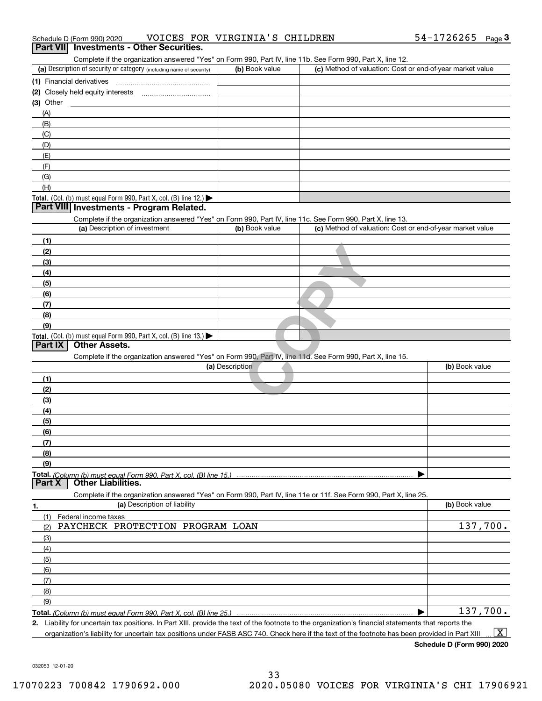| Schedule D (Form 990) 2020 |                                                 | VOICES FOR VIRGINIA'S CHILDREN | $54 - 1726265$ Page |  |
|----------------------------|-------------------------------------------------|--------------------------------|---------------------|--|
|                            | <b>Part VII</b> Investments - Other Securities. |                                |                     |  |

| Complete if the organization answered "Yes" on Form 990, Part IV, line 11b. See Form 990, Part X, line 12.                                  |                 |                                                           |                |
|---------------------------------------------------------------------------------------------------------------------------------------------|-----------------|-----------------------------------------------------------|----------------|
| (a) Description of security or category (including name of security)                                                                        | (b) Book value  | (c) Method of valuation: Cost or end-of-year market value |                |
| (1) Financial derivatives                                                                                                                   |                 |                                                           |                |
|                                                                                                                                             |                 |                                                           |                |
| $(3)$ Other                                                                                                                                 |                 |                                                           |                |
| (A)                                                                                                                                         |                 |                                                           |                |
| (B)                                                                                                                                         |                 |                                                           |                |
| (C)                                                                                                                                         |                 |                                                           |                |
| (D)                                                                                                                                         |                 |                                                           |                |
| (E)                                                                                                                                         |                 |                                                           |                |
| (F)                                                                                                                                         |                 |                                                           |                |
| (G)                                                                                                                                         |                 |                                                           |                |
| (H)                                                                                                                                         |                 |                                                           |                |
| Total. (Col. (b) must equal Form 990, Part X, col. (B) line 12.)                                                                            |                 |                                                           |                |
| Part VIII Investments - Program Related.                                                                                                    |                 |                                                           |                |
|                                                                                                                                             |                 |                                                           |                |
| Complete if the organization answered "Yes" on Form 990, Part IV, line 11c. See Form 990, Part X, line 13.<br>(a) Description of investment | (b) Book value  | (c) Method of valuation: Cost or end-of-year market value |                |
|                                                                                                                                             |                 |                                                           |                |
| (1)                                                                                                                                         |                 |                                                           |                |
| (2)                                                                                                                                         |                 |                                                           |                |
| (3)                                                                                                                                         |                 |                                                           |                |
| (4)                                                                                                                                         |                 |                                                           |                |
| (5)                                                                                                                                         |                 |                                                           |                |
| (6)                                                                                                                                         |                 |                                                           |                |
| (7)                                                                                                                                         |                 |                                                           |                |
| (8)                                                                                                                                         |                 |                                                           |                |
| (9)                                                                                                                                         |                 |                                                           |                |
| Total. (Col. (b) must equal Form 990, Part X, col. (B) line 13.)                                                                            |                 |                                                           |                |
| <b>Other Assets.</b><br>Part IX                                                                                                             |                 |                                                           |                |
| Complete if the organization answered "Yes" on Form 990, Part IV, line 11d. See Form 990, Part X, line 15.                                  |                 |                                                           |                |
|                                                                                                                                             | (a) Description |                                                           | (b) Book value |
| (1)                                                                                                                                         |                 |                                                           |                |
| (2)                                                                                                                                         |                 |                                                           |                |
| (3)                                                                                                                                         |                 |                                                           |                |
| (4)                                                                                                                                         |                 |                                                           |                |
| (5)                                                                                                                                         |                 |                                                           |                |
| (6)                                                                                                                                         |                 |                                                           |                |
| (7)                                                                                                                                         |                 |                                                           |                |
| (8)                                                                                                                                         |                 |                                                           |                |
| (9)                                                                                                                                         |                 |                                                           |                |
|                                                                                                                                             |                 |                                                           |                |
| Part X<br><b>Other Liabilities.</b>                                                                                                         |                 |                                                           |                |
| Complete if the organization answered "Yes" on Form 990, Part IV, line 11e or 11f. See Form 990, Part X, line 25.                           |                 |                                                           |                |
| (a) Description of liability                                                                                                                |                 |                                                           | (b) Book value |
| 1.                                                                                                                                          |                 |                                                           |                |
| Federal income taxes<br>(1)<br>PAYCHECK PROTECTION PROGRAM LOAN                                                                             |                 |                                                           | 137,700.       |
| (2)                                                                                                                                         |                 |                                                           |                |
| (3)                                                                                                                                         |                 |                                                           |                |
| (4)                                                                                                                                         |                 |                                                           |                |
| (5)                                                                                                                                         |                 |                                                           |                |
| (6)                                                                                                                                         |                 |                                                           |                |
| (7)                                                                                                                                         |                 |                                                           |                |
| (8)                                                                                                                                         |                 |                                                           |                |
|                                                                                                                                             |                 |                                                           |                |
| (9)                                                                                                                                         |                 |                                                           | 137,700.       |

**2.** Liability for uncertain tax positions. In Part XIII, provide the text of the footnote to the organization's financial statements that reports the organization's liability for uncertain tax positions under FASB ASC 740. Check here if the text of the footnote has been provided in Part XIII  $\boxed{\text{X}}$ 

**Schedule D (Form 990) 2020**

032053 12-01-20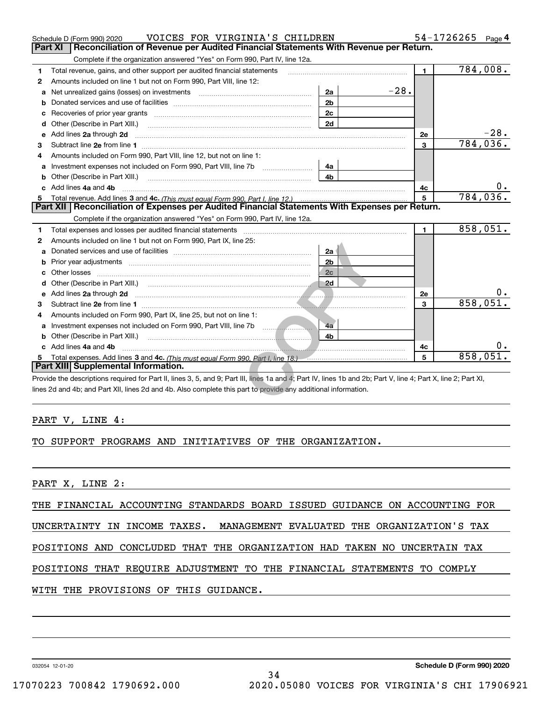| Total revenue, gains, and other support per audited financial statements<br>1.                                                                                                                                                 |                | $\blacksquare$ | 784,008. |
|--------------------------------------------------------------------------------------------------------------------------------------------------------------------------------------------------------------------------------|----------------|----------------|----------|
| Amounts included on line 1 but not on Form 990, Part VIII, line 12:<br>2                                                                                                                                                       |                |                |          |
| a                                                                                                                                                                                                                              | 2a             | $-28.$         |          |
| b                                                                                                                                                                                                                              | 2 <sub>b</sub> |                |          |
| Recoveries of prior year grants material content and prior year grants and content and all prior year grants and all prior and the Recoveries of prior year grants and all prior years and the Recoveries of Recovering and Re | 2c             |                |          |
| Other (Describe in Part XIII.)<br>d                                                                                                                                                                                            | 2d             |                |          |
| Add lines 2a through 2d<br>e                                                                                                                                                                                                   |                | <b>2e</b>      | -28.     |
| 3                                                                                                                                                                                                                              |                | $\mathbf{3}$   | 784,036  |
| Amounts included on Form 990, Part VIII, line 12, but not on line 1:<br>4                                                                                                                                                      |                |                |          |
| Investment expenses not included on Form 990, Part VIII, line 7b [11, 111, 111, 111]<br>a                                                                                                                                      | 4a             |                |          |
|                                                                                                                                                                                                                                | 4b             |                |          |
| Add lines 4a and 4b                                                                                                                                                                                                            |                | 4с             | 0.       |
|                                                                                                                                                                                                                                |                | 5              | 784,036. |
| Part XII   Reconciliation of Expenses per Audited Financial Statements With Expenses per Return.                                                                                                                               |                |                |          |
| Complete if the organization answered "Yes" on Form 990, Part IV, line 12a.                                                                                                                                                    |                |                |          |
| Total expenses and losses per audited financial statements<br>1                                                                                                                                                                |                | $\mathbf{1}$   | 858,051. |
|                                                                                                                                                                                                                                |                |                |          |
| Amounts included on line 1 but not on Form 990, Part IX, line 25:                                                                                                                                                              |                |                |          |
|                                                                                                                                                                                                                                | 2a             |                |          |
|                                                                                                                                                                                                                                | 2 <sub>b</sub> |                |          |
|                                                                                                                                                                                                                                | 2c             |                |          |
|                                                                                                                                                                                                                                |                |                |          |
|                                                                                                                                                                                                                                |                | <b>2e</b>      |          |
| 2<br>a<br>b<br>e Add lines 2a through 2d <b>minimum contracts and the Add lines</b> 2a through 2d minimum contracts and the Add lines<br>з                                                                                     |                | 3              | 858,051. |
| Amounts included on Form 990, Part IX, line 25, but not on line 1:                                                                                                                                                             |                |                |          |
| Investment expenses not included on Form 990, Part VIII, line 7b                                                                                                                                                               | 4a             |                |          |
|                                                                                                                                                                                                                                | 4b             |                |          |
| c Add lines 4a and 4b                                                                                                                                                                                                          |                | 4с             | 0.       |
| Total expenses. Add lines 3 and 4c. (This must equal Form 990, Part I, line 18.) [10] The Law manuscription of the San Holman and Ac. (This must equal Form 990, Part I, line 18.)<br>5<br>Part XIII Supplemental Information. |                | 5              | 858,051. |

#### PART V, LINE 4:

#### TO SUPPORT PROGRAMS AND INITIATIVES OF THE ORGANIZATION.

PART X, LINE 2:

THE FINANCIAL ACCOUNTING STANDARDS BOARD ISSUED GUIDANCE ON ACCOUNTING FOR

UNCERTAINTY IN INCOME TAXES. MANAGEMENT EVALUATED THE ORGANIZATION'S TAX

POSITIONS AND CONCLUDED THAT THE ORGANIZATION HAD TAKEN NO UNCERTAIN TAX

POSITIONS THAT REQUIRE ADJUSTMENT TO THE FINANCIAL STATEMENTS TO COMPLY

#### WITH THE PROVISIONS OF THIS GUIDANCE.

032054 12-01-20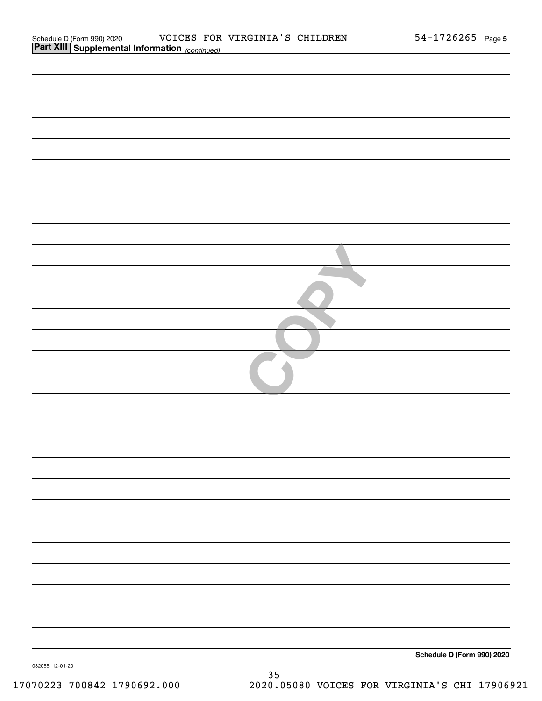| Schedule D (Form 990) 2020 |  |
|----------------------------|--|
|                            |  |

|                 | <b>Part XIII Supplemental Information</b> (continued) |                            |
|-----------------|-------------------------------------------------------|----------------------------|
|                 |                                                       |                            |
|                 |                                                       |                            |
|                 |                                                       |                            |
|                 |                                                       |                            |
|                 |                                                       |                            |
|                 |                                                       |                            |
|                 |                                                       |                            |
|                 |                                                       |                            |
|                 |                                                       |                            |
|                 |                                                       |                            |
|                 |                                                       |                            |
|                 |                                                       |                            |
|                 |                                                       |                            |
|                 |                                                       |                            |
|                 |                                                       |                            |
|                 |                                                       |                            |
|                 |                                                       |                            |
|                 |                                                       |                            |
|                 |                                                       |                            |
|                 |                                                       |                            |
|                 |                                                       |                            |
|                 |                                                       |                            |
|                 |                                                       |                            |
|                 |                                                       |                            |
|                 |                                                       |                            |
|                 |                                                       |                            |
|                 |                                                       |                            |
|                 |                                                       |                            |
|                 |                                                       |                            |
|                 |                                                       |                            |
|                 |                                                       |                            |
|                 |                                                       |                            |
|                 |                                                       |                            |
|                 |                                                       |                            |
|                 |                                                       |                            |
|                 |                                                       | Schedule D (Form 990) 2020 |
| 032055 12-01-20 | 35                                                    |                            |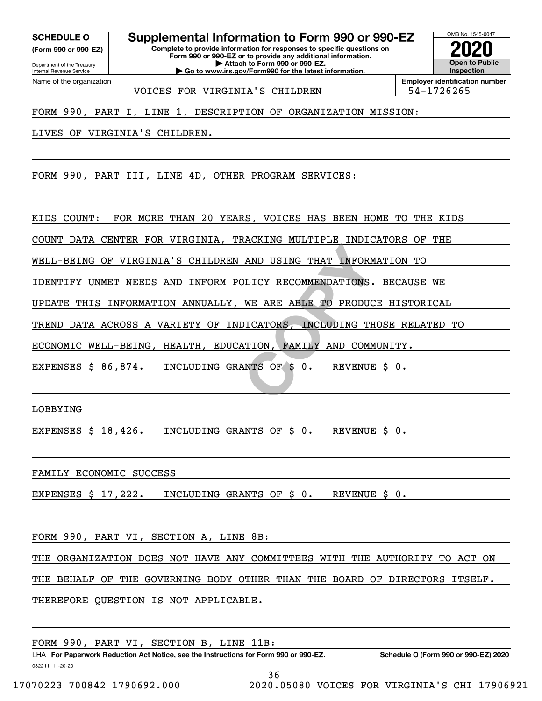Internal Revenue Service

Department of the Treasury **(Form 990 or 990-EZ)**

**SCHEDULE O Supplemental Information to Form 990 or 990-EZ**

**Complete to provide information for responses to specific questions on Form 990 or 990-EZ or to provide any additional information. | Attach to Form 990 or 990-EZ. | Go to www.irs.gov/Form990 for the latest information.**



Name of the organization VOICES FOR VIRGINIA'S CHILDREN FOR 194-1726265

**Employer identification number**

FORM 990, PART I, LINE 1, DESCRIPTION OF ORGANIZATION MISSION:

LIVES OF VIRGINIA'S CHILDREN.

FORM 990, PART III, LINE 4D, OTHER PROGRAM SERVICES:

KIDS COUNT: FOR MORE THAN 20 YEARS, VOICES HAS BEEN HOME TO THE KIDS

COUNT DATA CENTER FOR VIRGINIA, TRACKING MULTIPLE INDICATORS OF THE

WELL-BEING OF VIRGINIA'S CHILDREN AND USING THAT INFORMATION TO

IDENTIFY UNMET NEEDS AND INFORM POLICY RECOMMENDATIONS. BECAUSE WE

UPDATE THIS INFORMATION ANNUALLY, WE ARE ABLE TO PRODUCE HISTORICAL

TREND DATA ACROSS A VARIETY OF INDICATORS, INCLUDING THOSE RELATED TO

**AND USING THAT INFORM<br>
DLICY RECOMMENDATIONS.**<br>
WE ARE ABLE TO PRODUC<br>
DICATORS, INCLUDING TH<br>
ATION, FAMILY AND COMM<br>
ANTS OF \$ 0. REVENUE ECONOMIC WELL-BEING, HEALTH, EDUCATION, FAMILY AND COMMUNITY.

EXPENSES \$ 86,874. INCLUDING GRANTS OF \$ 0. REVENUE \$ 0.

LOBBYING

EXPENSES \$ 18,426. INCLUDING GRANTS OF \$ 0. REVENUE \$ 0.

FAMILY ECONOMIC SUCCESS

EXPENSES \$ 17,222. INCLUDING GRANTS OF \$ 0. REVENUE \$ 0.

FORM 990, PART VI, SECTION A, LINE 8B:

THE ORGANIZATION DOES NOT HAVE ANY COMMITTEES WITH THE AUTHORITY TO ACT ON

THE BEHALF OF THE GOVERNING BODY OTHER THAN THE BOARD OF DIRECTORS ITSELF.

THEREFORE QUESTION IS NOT APPLICABLE.

FORM 990, PART VI, SECTION B, LINE 11B: